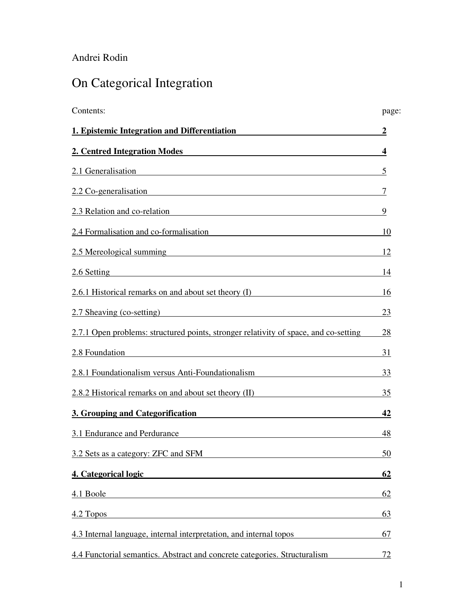# Andrei Rodin

# On Categorical Integration

| Contents:                                                                                                                                                                                                                     | page:            |
|-------------------------------------------------------------------------------------------------------------------------------------------------------------------------------------------------------------------------------|------------------|
| 1. Epistemic Integration and Differentiation                                                                                                                                                                                  | $\boldsymbol{2}$ |
| 2. Centred Integration Modes                                                                                                                                                                                                  | 4                |
| 2.1 Generalisation<br><u> 1989 - Johann Stoff, deutscher Stoffen und der Stoffen und der Stoffen und der Stoffen und der Stoffen und d</u>                                                                                    | $\overline{5}$   |
| 2.2 Co-generalisation                                                                                                                                                                                                         | 7                |
| 2.3 Relation and co-relation example of the state of the state of the state of the state of the state of the state of the state of the state of the state of the state of the state of the state of the state of the state of | 9                |
| 2.4 Formalisation and co-formalisation                                                                                                                                                                                        | -10              |
| 2.5 Mereological summing<br><u>2.5 Mereological summing</u>                                                                                                                                                                   | 12               |
| 2.6 Setting<br><u> 1989 - Johann Barn, mars eta bat erroman erroman erroman erroman erroman erroman erroman erroman erroman err</u>                                                                                           | 14               |
| 2.6.1 Historical remarks on and about set theory (I)                                                                                                                                                                          | 16               |
| 2.7 Sheaving (co-setting)                                                                                                                                                                                                     | 23               |
| 2.7.1 Open problems: structured points, stronger relativity of space, and co-setting                                                                                                                                          | 28               |
| 2.8 Foundation<br><u> 1989 - Johann Stein, fransk politiker (d. 1989)</u>                                                                                                                                                     | 31               |
| 2.8.1 Foundationalism versus Anti-Foundationalism                                                                                                                                                                             | 33               |
| 2.8.2 Historical remarks on and about set theory (II)                                                                                                                                                                         | 35               |
| 3. Grouping and Categorification                                                                                                                                                                                              | 42               |
| 3.1 Endurance and Perdurance                                                                                                                                                                                                  | 48               |
| 3.2 Sets as a category: ZFC and SFM                                                                                                                                                                                           | 50               |
| 4. Categorical logic                                                                                                                                                                                                          | 62               |
| 4.1 Boole                                                                                                                                                                                                                     | 62               |
| 4.2 Topos                                                                                                                                                                                                                     | 63               |
| 4.3 Internal language, internal interpretation, and internal topos                                                                                                                                                            | 67               |
| 4.4 Functorial semantics. Abstract and concrete categories. Structuralism                                                                                                                                                     | 72               |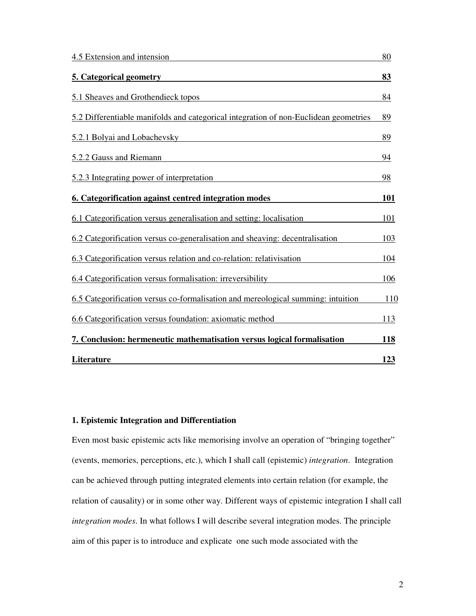| 4.5 Extension and intension                                                          | 80         |
|--------------------------------------------------------------------------------------|------------|
| 5. Categorical geometry                                                              | 83         |
| 5.1 Sheaves and Grothendieck topos                                                   | 84         |
| 5.2 Differentiable manifolds and categorical integration of non-Euclidean geometries | 89         |
| 5.2.1 Bolyai and Lobachevsky                                                         | 89         |
| 5.2.2 Gauss and Riemann                                                              | 94         |
| 5.2.3 Integrating power of interpretation                                            | 98         |
| 6. Categorification against centred integration modes                                | <b>101</b> |
| 6.1 Categorification versus generalisation and setting: localisation                 | 101        |
| 6.2 Categorification versus co-generalisation and sheaving: decentralisation         | 103        |
| 6.3 Categorification versus relation and co-relation: relativisation                 | 104        |
| 6.4 Categorification versus formalisation: irreversibility                           | 106        |
| 6.5 Categorification versus co-formalisation and mereological summing: intuition     | 110        |
| 6.6 Categorification versus foundation: axiomatic method                             | 113        |
| 7. Conclusion: hermeneutic mathematisation versus logical formalisation              | <b>118</b> |
| Literature                                                                           | 123        |

# **1. Epistemic Integration and Differentiation**

Even most basic epistemic acts like memorising involve an operation of "bringing together" (events, memories, perceptions, etc.), which I shall call (epistemic) *integration*. Integration can be achieved through putting integrated elements into certain relation (for example, the relation of causality) or in some other way. Different ways of epistemic integration I shall call *integration modes*. In what follows I will describe several integration modes. The principle aim of this paper is to introduce and explicate one such mode associated with the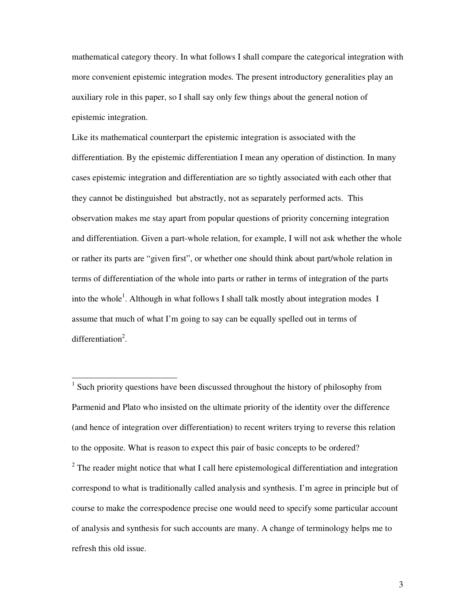mathematical category theory. In what follows I shall compare the categorical integration with more convenient epistemic integration modes. The present introductory generalities play an auxiliary role in this paper, so I shall say only few things about the general notion of epistemic integration.

Like its mathematical counterpart the epistemic integration is associated with the differentiation. By the epistemic differentiation I mean any operation of distinction. In many cases epistemic integration and differentiation are so tightly associated with each other that they cannot be distinguished but abstractly, not as separately performed acts. This observation makes me stay apart from popular questions of priority concerning integration and differentiation. Given a part-whole relation, for example, I will not ask whether the whole or rather its parts are "given first", or whether one should think about part/whole relation in terms of differentiation of the whole into parts or rather in terms of integration of the parts into the whole<sup>1</sup>. Although in what follows I shall talk mostly about integration modes I assume that much of what I'm going to say can be equally spelled out in terms of differentiation<sup>2</sup>.

-

 $2$  The reader might notice that what I call here epistemological differentiation and integration correspond to what is traditionally called analysis and synthesis. I'm agree in principle but of course to make the correspodence precise one would need to specify some particular account of analysis and synthesis for such accounts are many. A change of terminology helps me to refresh this old issue.

<sup>&</sup>lt;sup>1</sup> Such priority questions have been discussed throughout the history of philosophy from Parmenid and Plato who insisted on the ultimate priority of the identity over the difference (and hence of integration over differentiation) to recent writers trying to reverse this relation to the opposite. What is reason to expect this pair of basic concepts to be ordered?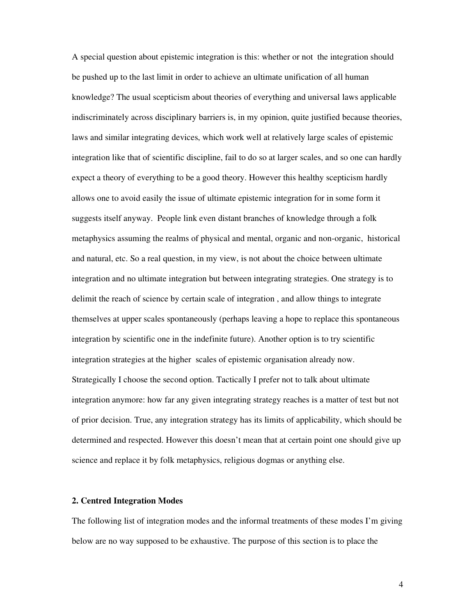A special question about epistemic integration is this: whether or not the integration should be pushed up to the last limit in order to achieve an ultimate unification of all human knowledge? The usual scepticism about theories of everything and universal laws applicable indiscriminately across disciplinary barriers is, in my opinion, quite justified because theories, laws and similar integrating devices, which work well at relatively large scales of epistemic integration like that of scientific discipline, fail to do so at larger scales, and so one can hardly expect a theory of everything to be a good theory. However this healthy scepticism hardly allows one to avoid easily the issue of ultimate epistemic integration for in some form it suggests itself anyway. People link even distant branches of knowledge through a folk metaphysics assuming the realms of physical and mental, organic and non-organic, historical and natural, etc. So a real question, in my view, is not about the choice between ultimate integration and no ultimate integration but between integrating strategies. One strategy is to delimit the reach of science by certain scale of integration , and allow things to integrate themselves at upper scales spontaneously (perhaps leaving a hope to replace this spontaneous integration by scientific one in the indefinite future). Another option is to try scientific integration strategies at the higher scales of epistemic organisation already now. Strategically I choose the second option. Tactically I prefer not to talk about ultimate integration anymore: how far any given integrating strategy reaches is a matter of test but not of prior decision. True, any integration strategy has its limits of applicability, which should be determined and respected. However this doesn't mean that at certain point one should give up science and replace it by folk metaphysics, religious dogmas or anything else.

# **2. Centred Integration Modes**

The following list of integration modes and the informal treatments of these modes I'm giving below are no way supposed to be exhaustive. The purpose of this section is to place the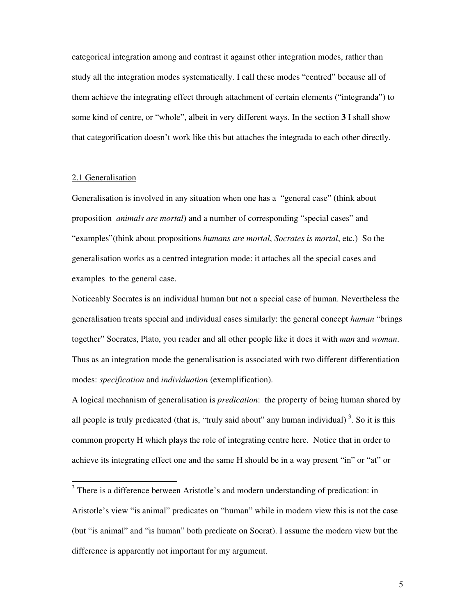categorical integration among and contrast it against other integration modes, rather than study all the integration modes systematically. I call these modes "centred" because all of them achieve the integrating effect through attachment of certain elements ("integranda") to some kind of centre, or "whole", albeit in very different ways. In the section **3** I shall show that categorification doesn't work like this but attaches the integrada to each other directly.

# 2.1 Generalisation

-

Generalisation is involved in any situation when one has a "general case" (think about proposition *animals are mortal*) and a number of corresponding "special cases" and "examples"(think about propositions *humans are mortal*, *Socrates is mortal*, etc.) So the generalisation works as a centred integration mode: it attaches all the special cases and examples to the general case.

Noticeably Socrates is an individual human but not a special case of human. Nevertheless the generalisation treats special and individual cases similarly: the general concept *human* "brings together" Socrates, Plato, you reader and all other people like it does it with *man* and *woman*. Thus as an integration mode the generalisation is associated with two different differentiation modes: *specification* and *individuation* (exemplification).

A logical mechanism of generalisation is *predication*: the property of being human shared by all people is truly predicated (that is, "truly said about" any human individual)<sup>3</sup>. So it is this common property H which plays the role of integrating centre here. Notice that in order to achieve its integrating effect one and the same H should be in a way present "in" or "at" or

 $3$  There is a difference between Aristotle's and modern understanding of predication: in Aristotle's view "is animal" predicates on "human" while in modern view this is not the case (but "is animal" and "is human" both predicate on Socrat). I assume the modern view but the difference is apparently not important for my argument.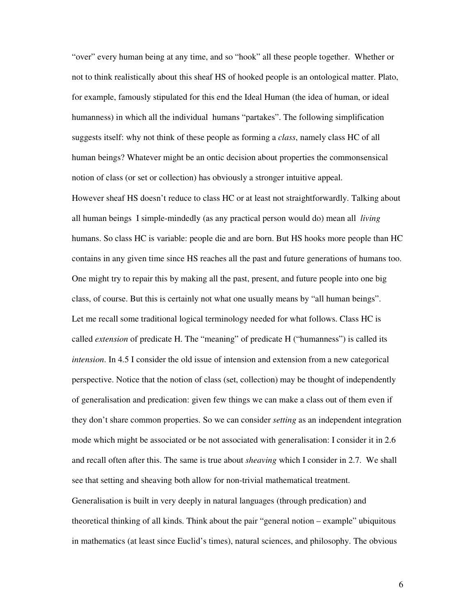"over" every human being at any time, and so "hook" all these people together. Whether or not to think realistically about this sheaf HS of hooked people is an ontological matter. Plato, for example, famously stipulated for this end the Ideal Human (the idea of human, or ideal humanness) in which all the individual humans "partakes". The following simplification suggests itself: why not think of these people as forming a *class*, namely class HC of all human beings? Whatever might be an ontic decision about properties the commonsensical notion of class (or set or collection) has obviously a stronger intuitive appeal.

However sheaf HS doesn't reduce to class HC or at least not straightforwardly. Talking about all human beings I simple-mindedly (as any practical person would do) mean all *living* humans. So class HC is variable: people die and are born. But HS hooks more people than HC contains in any given time since HS reaches all the past and future generations of humans too. One might try to repair this by making all the past, present, and future people into one big class, of course. But this is certainly not what one usually means by "all human beings". Let me recall some traditional logical terminology needed for what follows. Class HC is called *extension* of predicate H. The "meaning" of predicate H ("humanness") is called its *intension*. In 4.5 I consider the old issue of intension and extension from a new categorical perspective. Notice that the notion of class (set, collection) may be thought of independently of generalisation and predication: given few things we can make a class out of them even if they don't share common properties. So we can consider *setting* as an independent integration mode which might be associated or be not associated with generalisation: I consider it in 2.6 and recall often after this. The same is true about *sheaving* which I consider in 2.7. We shall see that setting and sheaving both allow for non-trivial mathematical treatment. Generalisation is built in very deeply in natural languages (through predication) and theoretical thinking of all kinds. Think about the pair "general notion – example" ubiquitous

in mathematics (at least since Euclid's times), natural sciences, and philosophy. The obvious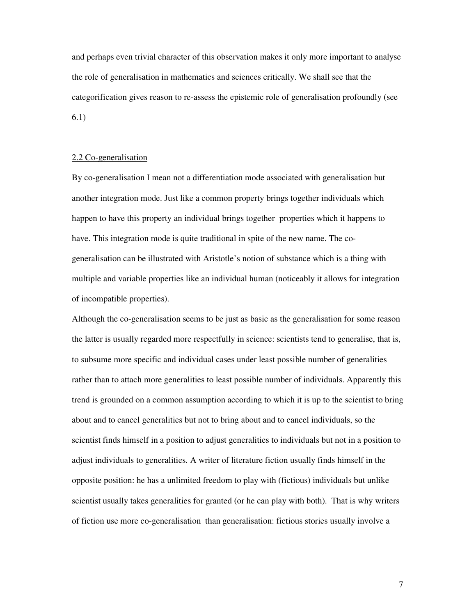and perhaps even trivial character of this observation makes it only more important to analyse the role of generalisation in mathematics and sciences critically. We shall see that the categorification gives reason to re-assess the epistemic role of generalisation profoundly (see 6.1)

#### 2.2 Co-generalisation

By co-generalisation I mean not a differentiation mode associated with generalisation but another integration mode. Just like a common property brings together individuals which happen to have this property an individual brings together properties which it happens to have. This integration mode is quite traditional in spite of the new name. The cogeneralisation can be illustrated with Aristotle's notion of substance which is a thing with multiple and variable properties like an individual human (noticeably it allows for integration of incompatible properties).

Although the co-generalisation seems to be just as basic as the generalisation for some reason the latter is usually regarded more respectfully in science: scientists tend to generalise, that is, to subsume more specific and individual cases under least possible number of generalities rather than to attach more generalities to least possible number of individuals. Apparently this trend is grounded on a common assumption according to which it is up to the scientist to bring about and to cancel generalities but not to bring about and to cancel individuals, so the scientist finds himself in a position to adjust generalities to individuals but not in a position to adjust individuals to generalities. A writer of literature fiction usually finds himself in the opposite position: he has a unlimited freedom to play with (fictious) individuals but unlike scientist usually takes generalities for granted (or he can play with both). That is why writers of fiction use more co-generalisation than generalisation: fictious stories usually involve a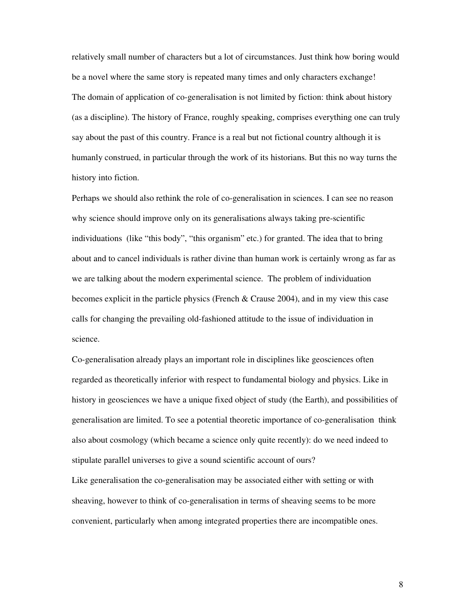relatively small number of characters but a lot of circumstances. Just think how boring would be a novel where the same story is repeated many times and only characters exchange! The domain of application of co-generalisation is not limited by fiction: think about history (as a discipline). The history of France, roughly speaking, comprises everything one can truly say about the past of this country. France is a real but not fictional country although it is humanly construed, in particular through the work of its historians. But this no way turns the history into fiction.

Perhaps we should also rethink the role of co-generalisation in sciences. I can see no reason why science should improve only on its generalisations always taking pre-scientific individuations (like "this body", "this organism" etc.) for granted. The idea that to bring about and to cancel individuals is rather divine than human work is certainly wrong as far as we are talking about the modern experimental science. The problem of individuation becomes explicit in the particle physics (French  $\&$  Crause 2004), and in my view this case calls for changing the prevailing old-fashioned attitude to the issue of individuation in science.

Co-generalisation already plays an important role in disciplines like geosciences often regarded as theoretically inferior with respect to fundamental biology and physics. Like in history in geosciences we have a unique fixed object of study (the Earth), and possibilities of generalisation are limited. To see a potential theoretic importance of co-generalisation think also about cosmology (which became a science only quite recently): do we need indeed to stipulate parallel universes to give a sound scientific account of ours?

Like generalisation the co-generalisation may be associated either with setting or with sheaving, however to think of co-generalisation in terms of sheaving seems to be more convenient, particularly when among integrated properties there are incompatible ones.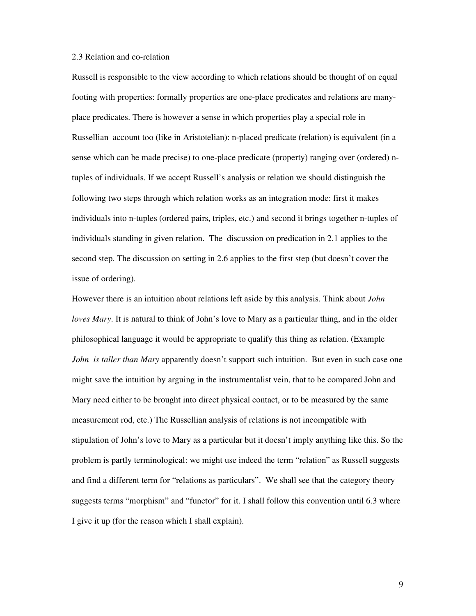## 2.3 Relation and co-relation

Russell is responsible to the view according to which relations should be thought of on equal footing with properties: formally properties are one-place predicates and relations are manyplace predicates. There is however a sense in which properties play a special role in Russellian account too (like in Aristotelian): n-placed predicate (relation) is equivalent (in a sense which can be made precise) to one-place predicate (property) ranging over (ordered) ntuples of individuals. If we accept Russell's analysis or relation we should distinguish the following two steps through which relation works as an integration mode: first it makes individuals into n-tuples (ordered pairs, triples, etc.) and second it brings together n-tuples of individuals standing in given relation. The discussion on predication in 2.1 applies to the second step. The discussion on setting in 2.6 applies to the first step (but doesn't cover the issue of ordering).

However there is an intuition about relations left aside by this analysis. Think about *John loves Mary*. It is natural to think of John's love to Mary as a particular thing, and in the older philosophical language it would be appropriate to qualify this thing as relation. (Example *John is taller than Mary* apparently doesn't support such intuition. But even in such case one might save the intuition by arguing in the instrumentalist vein, that to be compared John and Mary need either to be brought into direct physical contact, or to be measured by the same measurement rod, etc.) The Russellian analysis of relations is not incompatible with stipulation of John's love to Mary as a particular but it doesn't imply anything like this. So the problem is partly terminological: we might use indeed the term "relation" as Russell suggests and find a different term for "relations as particulars". We shall see that the category theory suggests terms "morphism" and "functor" for it. I shall follow this convention until 6.3 where I give it up (for the reason which I shall explain).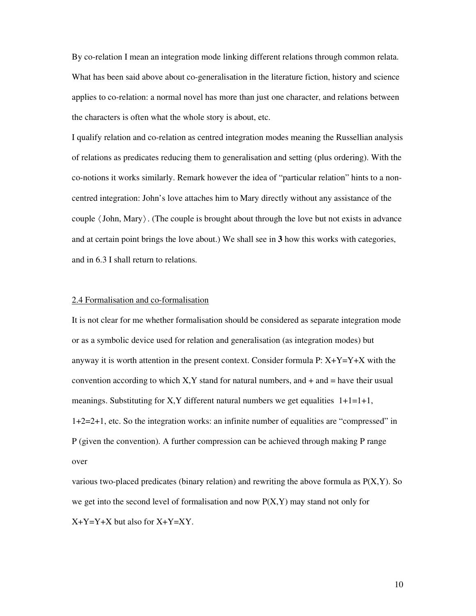By co-relation I mean an integration mode linking different relations through common relata. What has been said above about co-generalisation in the literature fiction, history and science applies to co-relation: a normal novel has more than just one character, and relations between the characters is often what the whole story is about, etc.

I qualify relation and co-relation as centred integration modes meaning the Russellian analysis of relations as predicates reducing them to generalisation and setting (plus ordering). With the co-notions it works similarly. Remark however the idea of "particular relation" hints to a noncentred integration: John's love attaches him to Mary directly without any assistance of the couple 〈John, Mary〉. (The couple is brought about through the love but not exists in advance and at certain point brings the love about.) We shall see in **3** how this works with categories, and in 6.3 I shall return to relations.

# 2.4 Formalisation and co-formalisation

It is not clear for me whether formalisation should be considered as separate integration mode or as a symbolic device used for relation and generalisation (as integration modes) but anyway it is worth attention in the present context. Consider formula  $P: X+Y=Y+X$  with the convention according to which  $X, Y$  stand for natural numbers, and  $+$  and  $=$  have their usual meanings. Substituting for X,Y different natural numbers we get equalities  $1+1=1+1$ , 1+2=2+1, etc. So the integration works: an infinite number of equalities are "compressed" in P (given the convention). A further compression can be achieved through making P range over

various two-placed predicates (binary relation) and rewriting the above formula as  $P(X, Y)$ . So we get into the second level of formalisation and now  $P(X, Y)$  may stand not only for X+Y=Y+X but also for X+Y=XY.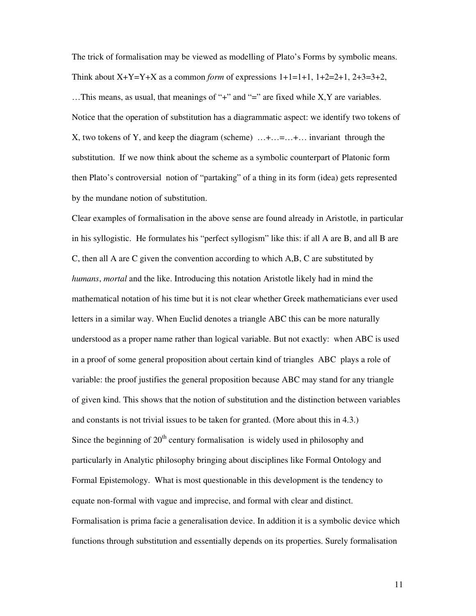The trick of formalisation may be viewed as modelling of Plato's Forms by symbolic means. Think about  $X+Y=Y+X$  as a common *form* of expressions  $1+1=1+1$ ,  $1+2=2+1$ ,  $2+3=3+2$ , …This means, as usual, that meanings of "+" and "=" are fixed while X,Y are variables. Notice that the operation of substitution has a diagrammatic aspect: we identify two tokens of X, two tokens of Y, and keep the diagram (scheme) …+…=…+… invariant through the substitution. If we now think about the scheme as a symbolic counterpart of Platonic form then Plato's controversial notion of "partaking" of a thing in its form (idea) gets represented by the mundane notion of substitution.

Clear examples of formalisation in the above sense are found already in Aristotle, in particular in his syllogistic. He formulates his "perfect syllogism" like this: if all A are B, and all B are C, then all A are C given the convention according to which A,B, C are substituted by *humans*, *mortal* and the like. Introducing this notation Aristotle likely had in mind the mathematical notation of his time but it is not clear whether Greek mathematicians ever used letters in a similar way. When Euclid denotes a triangle ABC this can be more naturally understood as a proper name rather than logical variable. But not exactly: when ABC is used in a proof of some general proposition about certain kind of triangles ABC plays a role of variable: the proof justifies the general proposition because ABC may stand for any triangle of given kind. This shows that the notion of substitution and the distinction between variables and constants is not trivial issues to be taken for granted. (More about this in 4.3.) Since the beginning of  $20<sup>th</sup>$  century formalisation is widely used in philosophy and particularly in Analytic philosophy bringing about disciplines like Formal Ontology and Formal Epistemology. What is most questionable in this development is the tendency to equate non-formal with vague and imprecise, and formal with clear and distinct. Formalisation is prima facie a generalisation device. In addition it is a symbolic device which functions through substitution and essentially depends on its properties. Surely formalisation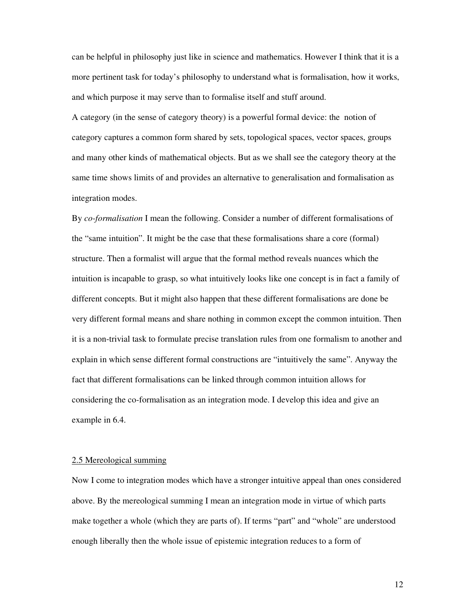can be helpful in philosophy just like in science and mathematics. However I think that it is a more pertinent task for today's philosophy to understand what is formalisation, how it works, and which purpose it may serve than to formalise itself and stuff around.

A category (in the sense of category theory) is a powerful formal device: the notion of category captures a common form shared by sets, topological spaces, vector spaces, groups and many other kinds of mathematical objects. But as we shall see the category theory at the same time shows limits of and provides an alternative to generalisation and formalisation as integration modes.

By *co-formalisation* I mean the following. Consider a number of different formalisations of the "same intuition". It might be the case that these formalisations share a core (formal) structure. Then a formalist will argue that the formal method reveals nuances which the intuition is incapable to grasp, so what intuitively looks like one concept is in fact a family of different concepts. But it might also happen that these different formalisations are done be very different formal means and share nothing in common except the common intuition. Then it is a non-trivial task to formulate precise translation rules from one formalism to another and explain in which sense different formal constructions are "intuitively the same". Anyway the fact that different formalisations can be linked through common intuition allows for considering the co-formalisation as an integration mode. I develop this idea and give an example in 6.4.

# 2.5 Mereological summing

Now I come to integration modes which have a stronger intuitive appeal than ones considered above. By the mereological summing I mean an integration mode in virtue of which parts make together a whole (which they are parts of). If terms "part" and "whole" are understood enough liberally then the whole issue of epistemic integration reduces to a form of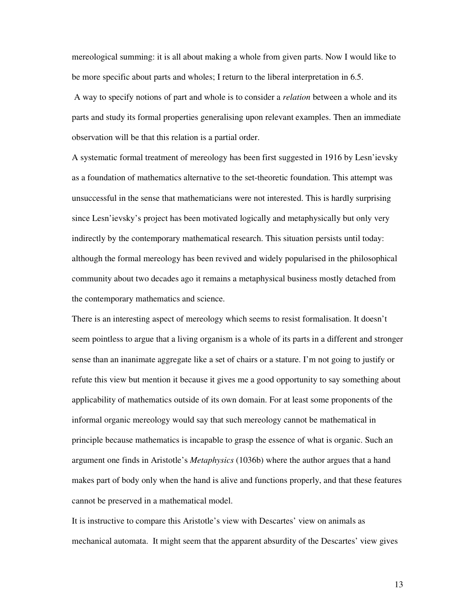mereological summing: it is all about making a whole from given parts. Now I would like to be more specific about parts and wholes; I return to the liberal interpretation in 6.5.

 A way to specify notions of part and whole is to consider a *relation* between a whole and its parts and study its formal properties generalising upon relevant examples. Then an immediate observation will be that this relation is a partial order.

A systematic formal treatment of mereology has been first suggested in 1916 by Lesn'ievsky as a foundation of mathematics alternative to the set-theoretic foundation. This attempt was unsuccessful in the sense that mathematicians were not interested. This is hardly surprising since Lesn'ievsky's project has been motivated logically and metaphysically but only very indirectly by the contemporary mathematical research. This situation persists until today: although the formal mereology has been revived and widely popularised in the philosophical community about two decades ago it remains a metaphysical business mostly detached from the contemporary mathematics and science.

There is an interesting aspect of mereology which seems to resist formalisation. It doesn't seem pointless to argue that a living organism is a whole of its parts in a different and stronger sense than an inanimate aggregate like a set of chairs or a stature. I'm not going to justify or refute this view but mention it because it gives me a good opportunity to say something about applicability of mathematics outside of its own domain. For at least some proponents of the informal organic mereology would say that such mereology cannot be mathematical in principle because mathematics is incapable to grasp the essence of what is organic. Such an argument one finds in Aristotle's *Metaphysics* (1036b) where the author argues that a hand makes part of body only when the hand is alive and functions properly, and that these features cannot be preserved in a mathematical model.

It is instructive to compare this Aristotle's view with Descartes' view on animals as mechanical automata. It might seem that the apparent absurdity of the Descartes' view gives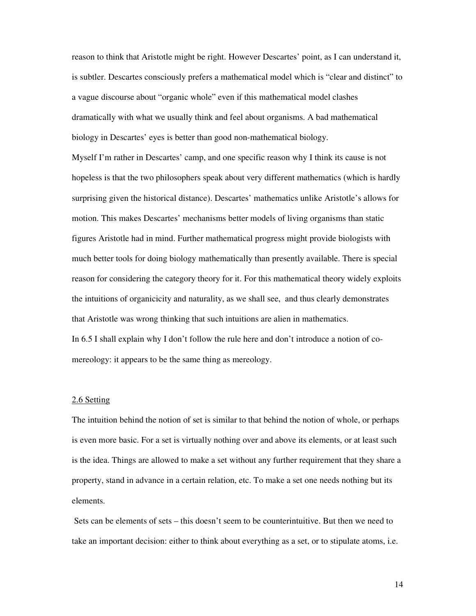reason to think that Aristotle might be right. However Descartes' point, as I can understand it, is subtler. Descartes consciously prefers a mathematical model which is "clear and distinct" to a vague discourse about "organic whole" even if this mathematical model clashes dramatically with what we usually think and feel about organisms. A bad mathematical biology in Descartes' eyes is better than good non-mathematical biology.

Myself I'm rather in Descartes' camp, and one specific reason why I think its cause is not hopeless is that the two philosophers speak about very different mathematics (which is hardly surprising given the historical distance). Descartes' mathematics unlike Aristotle's allows for motion. This makes Descartes' mechanisms better models of living organisms than static figures Aristotle had in mind. Further mathematical progress might provide biologists with much better tools for doing biology mathematically than presently available. There is special reason for considering the category theory for it. For this mathematical theory widely exploits the intuitions of organicicity and naturality, as we shall see, and thus clearly demonstrates that Aristotle was wrong thinking that such intuitions are alien in mathematics. In 6.5 I shall explain why I don't follow the rule here and don't introduce a notion of comereology: it appears to be the same thing as mereology.

# 2.6 Setting

The intuition behind the notion of set is similar to that behind the notion of whole, or perhaps is even more basic. For a set is virtually nothing over and above its elements, or at least such is the idea. Things are allowed to make a set without any further requirement that they share a property, stand in advance in a certain relation, etc. To make a set one needs nothing but its elements.

 Sets can be elements of sets – this doesn't seem to be counterintuitive. But then we need to take an important decision: either to think about everything as a set, or to stipulate atoms, i.e.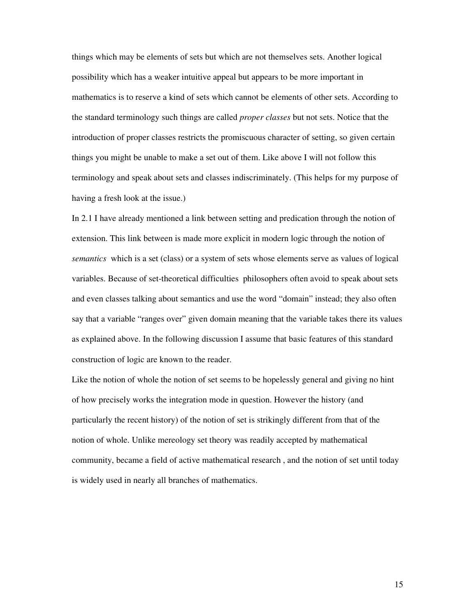things which may be elements of sets but which are not themselves sets. Another logical possibility which has a weaker intuitive appeal but appears to be more important in mathematics is to reserve a kind of sets which cannot be elements of other sets. According to the standard terminology such things are called *proper classes* but not sets. Notice that the introduction of proper classes restricts the promiscuous character of setting, so given certain things you might be unable to make a set out of them. Like above I will not follow this terminology and speak about sets and classes indiscriminately. (This helps for my purpose of having a fresh look at the issue.)

In 2.1 I have already mentioned a link between setting and predication through the notion of extension. This link between is made more explicit in modern logic through the notion of *semantics* which is a set (class) or a system of sets whose elements serve as values of logical variables. Because of set-theoretical difficulties philosophers often avoid to speak about sets and even classes talking about semantics and use the word "domain" instead; they also often say that a variable "ranges over" given domain meaning that the variable takes there its values as explained above. In the following discussion I assume that basic features of this standard construction of logic are known to the reader.

Like the notion of whole the notion of set seems to be hopelessly general and giving no hint of how precisely works the integration mode in question. However the history (and particularly the recent history) of the notion of set is strikingly different from that of the notion of whole. Unlike mereology set theory was readily accepted by mathematical community, became a field of active mathematical research , and the notion of set until today is widely used in nearly all branches of mathematics.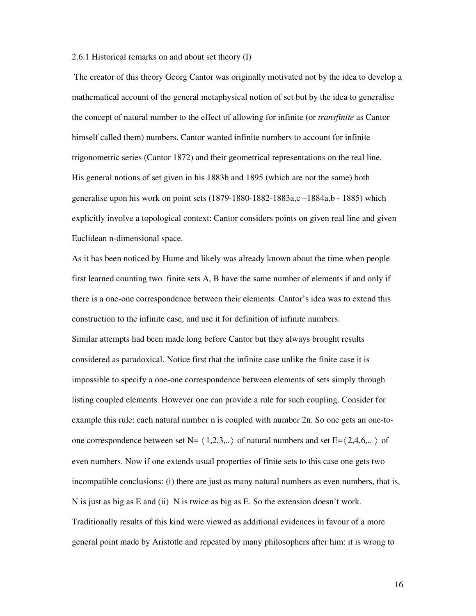## 2.6.1 Historical remarks on and about set theory (I)

 The creator of this theory Georg Cantor was originally motivated not by the idea to develop a mathematical account of the general metaphysical notion of set but by the idea to generalise the concept of natural number to the effect of allowing for infinite (or *transfinite* as Cantor himself called them) numbers. Cantor wanted infinite numbers to account for infinite trigonometric series (Cantor 1872) and their geometrical representations on the real line. His general notions of set given in his 1883b and 1895 (which are not the same) both generalise upon his work on point sets (1879-1880-1882-1883a,c –1884a,b - 1885) which explicitly involve a topological context: Cantor considers points on given real line and given Euclidean n-dimensional space.

As it has been noticed by Hume and likely was already known about the time when people first learned counting two finite sets A, B have the same number of elements if and only if there is a one-one correspondence between their elements. Cantor's idea was to extend this construction to the infinite case, and use it for definition of infinite numbers. Similar attempts had been made long before Cantor but they always brought results considered as paradoxical. Notice first that the infinite case unlike the finite case it is impossible to specify a one-one correspondence between elements of sets simply through listing coupled elements. However one can provide a rule for such coupling. Consider for example this rule: each natural number n is coupled with number 2n. So one gets an one-toone correspondence between set N=  $\langle 1,2,3, \ldots \rangle$  of natural numbers and set E= $\langle 2,4,6, \ldots \rangle$  of even numbers. Now if one extends usual properties of finite sets to this case one gets two incompatible conclusions: (i) there are just as many natural numbers as even numbers, that is, N is just as big as E and (ii) N is twice as big as E. So the extension doesn't work. Traditionally results of this kind were viewed as additional evidences in favour of a more general point made by Aristotle and repeated by many philosophers after him: it is wrong to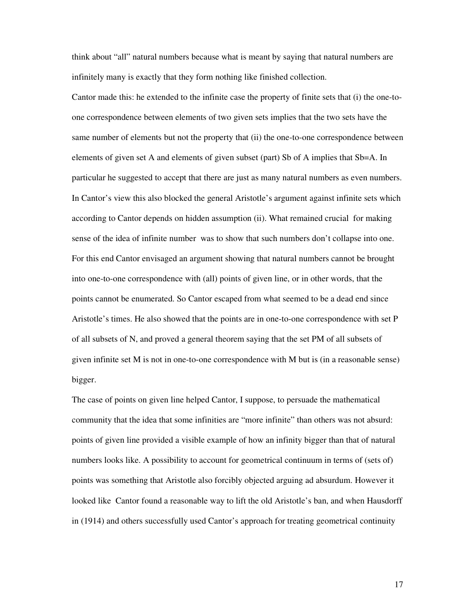think about "all" natural numbers because what is meant by saying that natural numbers are infinitely many is exactly that they form nothing like finished collection.

Cantor made this: he extended to the infinite case the property of finite sets that (i) the one-toone correspondence between elements of two given sets implies that the two sets have the same number of elements but not the property that (ii) the one-to-one correspondence between elements of given set A and elements of given subset (part) Sb of A implies that Sb=A. In particular he suggested to accept that there are just as many natural numbers as even numbers. In Cantor's view this also blocked the general Aristotle's argument against infinite sets which according to Cantor depends on hidden assumption (ii). What remained crucial for making sense of the idea of infinite number was to show that such numbers don't collapse into one. For this end Cantor envisaged an argument showing that natural numbers cannot be brought into one-to-one correspondence with (all) points of given line, or in other words, that the points cannot be enumerated. So Cantor escaped from what seemed to be a dead end since Aristotle's times. He also showed that the points are in one-to-one correspondence with set P of all subsets of N, and proved a general theorem saying that the set PM of all subsets of given infinite set M is not in one-to-one correspondence with M but is (in a reasonable sense) bigger.

The case of points on given line helped Cantor, I suppose, to persuade the mathematical community that the idea that some infinities are "more infinite" than others was not absurd: points of given line provided a visible example of how an infinity bigger than that of natural numbers looks like. A possibility to account for geometrical continuum in terms of (sets of) points was something that Aristotle also forcibly objected arguing ad absurdum. However it looked like Cantor found a reasonable way to lift the old Aristotle's ban, and when Hausdorff in (1914) and others successfully used Cantor's approach for treating geometrical continuity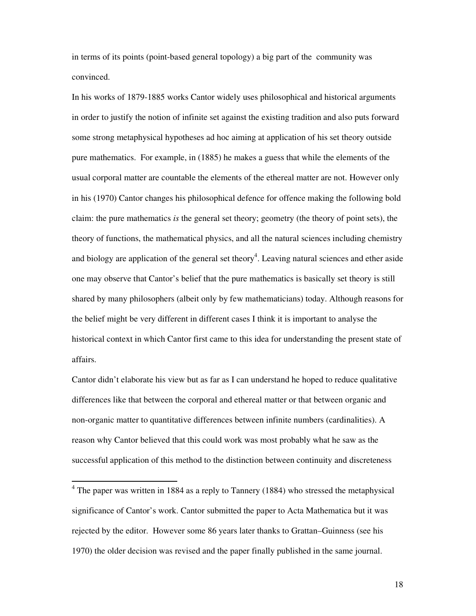in terms of its points (point-based general topology) a big part of the community was convinced.

In his works of 1879-1885 works Cantor widely uses philosophical and historical arguments in order to justify the notion of infinite set against the existing tradition and also puts forward some strong metaphysical hypotheses ad hoc aiming at application of his set theory outside pure mathematics. For example, in (1885) he makes a guess that while the elements of the usual corporal matter are countable the elements of the ethereal matter are not. However only in his (1970) Cantor changes his philosophical defence for offence making the following bold claim: the pure mathematics *is* the general set theory; geometry (the theory of point sets), the theory of functions, the mathematical physics, and all the natural sciences including chemistry and biology are application of the general set theory<sup>4</sup>. Leaving natural sciences and ether aside one may observe that Cantor's belief that the pure mathematics is basically set theory is still shared by many philosophers (albeit only by few mathematicians) today. Although reasons for the belief might be very different in different cases I think it is important to analyse the historical context in which Cantor first came to this idea for understanding the present state of affairs.

Cantor didn't elaborate his view but as far as I can understand he hoped to reduce qualitative differences like that between the corporal and ethereal matter or that between organic and non-organic matter to quantitative differences between infinite numbers (cardinalities). A reason why Cantor believed that this could work was most probably what he saw as the successful application of this method to the distinction between continuity and discreteness

-

<sup>&</sup>lt;sup>4</sup> The paper was written in 1884 as a reply to Tannery (1884) who stressed the metaphysical significance of Cantor's work. Cantor submitted the paper to Acta Mathematica but it was rejected by the editor. However some 86 years later thanks to Grattan–Guinness (see his 1970) the older decision was revised and the paper finally published in the same journal.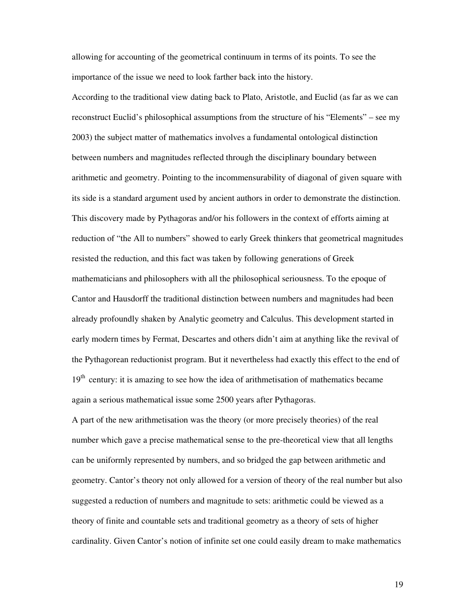allowing for accounting of the geometrical continuum in terms of its points. To see the importance of the issue we need to look farther back into the history.

According to the traditional view dating back to Plato, Aristotle, and Euclid (as far as we can reconstruct Euclid's philosophical assumptions from the structure of his "Elements" – see my 2003) the subject matter of mathematics involves a fundamental ontological distinction between numbers and magnitudes reflected through the disciplinary boundary between arithmetic and geometry. Pointing to the incommensurability of diagonal of given square with its side is a standard argument used by ancient authors in order to demonstrate the distinction. This discovery made by Pythagoras and/or his followers in the context of efforts aiming at reduction of "the All to numbers" showed to early Greek thinkers that geometrical magnitudes resisted the reduction, and this fact was taken by following generations of Greek mathematicians and philosophers with all the philosophical seriousness. To the epoque of Cantor and Hausdorff the traditional distinction between numbers and magnitudes had been already profoundly shaken by Analytic geometry and Calculus. This development started in early modern times by Fermat, Descartes and others didn't aim at anything like the revival of the Pythagorean reductionist program. But it nevertheless had exactly this effect to the end of  $19<sup>th</sup>$  century: it is amazing to see how the idea of arithmetisation of mathematics became again a serious mathematical issue some 2500 years after Pythagoras.

A part of the new arithmetisation was the theory (or more precisely theories) of the real number which gave a precise mathematical sense to the pre-theoretical view that all lengths can be uniformly represented by numbers, and so bridged the gap between arithmetic and geometry. Cantor's theory not only allowed for a version of theory of the real number but also suggested a reduction of numbers and magnitude to sets: arithmetic could be viewed as a theory of finite and countable sets and traditional geometry as a theory of sets of higher cardinality. Given Cantor's notion of infinite set one could easily dream to make mathematics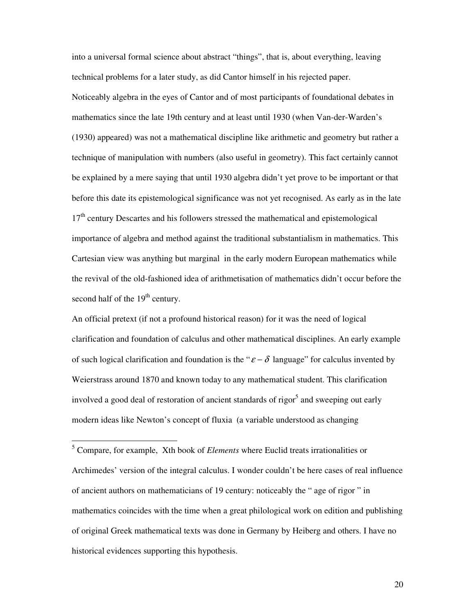into a universal formal science about abstract "things", that is, about everything, leaving technical problems for a later study, as did Cantor himself in his rejected paper. Noticeably algebra in the eyes of Cantor and of most participants of foundational debates in mathematics since the late 19th century and at least until 1930 (when Van-der-Warden's (1930) appeared) was not a mathematical discipline like arithmetic and geometry but rather a technique of manipulation with numbers (also useful in geometry). This fact certainly cannot be explained by a mere saying that until 1930 algebra didn't yet prove to be important or that before this date its epistemological significance was not yet recognised. As early as in the late 17<sup>th</sup> century Descartes and his followers stressed the mathematical and epistemological importance of algebra and method against the traditional substantialism in mathematics. This Cartesian view was anything but marginal in the early modern European mathematics while the revival of the old-fashioned idea of arithmetisation of mathematics didn't occur before the second half of the  $19<sup>th</sup>$  century.

An official pretext (if not a profound historical reason) for it was the need of logical clarification and foundation of calculus and other mathematical disciplines. An early example of such logical clarification and foundation is the " $\varepsilon - \delta$  language" for calculus invented by Weierstrass around 1870 and known today to any mathematical student. This clarification involved a good deal of restoration of ancient standards of rigor<sup>5</sup> and sweeping out early modern ideas like Newton's concept of fluxia (a variable understood as changing

-

<sup>5</sup> Compare, for example, Xth book of *Elements* where Euclid treats irrationalities or Archimedes' version of the integral calculus. I wonder couldn't be here cases of real influence of ancient authors on mathematicians of 19 century: noticeably the " age of rigor " in mathematics coincides with the time when a great philological work on edition and publishing of original Greek mathematical texts was done in Germany by Heiberg and others. I have no historical evidences supporting this hypothesis.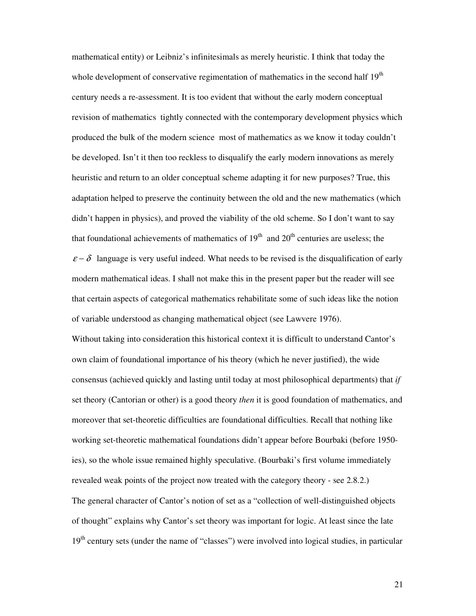mathematical entity) or Leibniz's infinitesimals as merely heuristic. I think that today the whole development of conservative regimentation of mathematics in the second half  $19<sup>th</sup>$ century needs a re-assessment. It is too evident that without the early modern conceptual revision of mathematics tightly connected with the contemporary development physics which produced the bulk of the modern science most of mathematics as we know it today couldn't be developed. Isn't it then too reckless to disqualify the early modern innovations as merely heuristic and return to an older conceptual scheme adapting it for new purposes? True, this adaptation helped to preserve the continuity between the old and the new mathematics (which didn't happen in physics), and proved the viability of the old scheme. So I don't want to say that foundational achievements of mathematics of  $19<sup>th</sup>$  and  $20<sup>th</sup>$  centuries are useless; the  $\varepsilon - \delta$  language is very useful indeed. What needs to be revised is the disqualification of early modern mathematical ideas. I shall not make this in the present paper but the reader will see that certain aspects of categorical mathematics rehabilitate some of such ideas like the notion of variable understood as changing mathematical object (see Lawvere 1976). Without taking into consideration this historical context it is difficult to understand Cantor's own claim of foundational importance of his theory (which he never justified), the wide consensus (achieved quickly and lasting until today at most philosophical departments) that *if* set theory (Cantorian or other) is a good theory *then* it is good foundation of mathematics, and moreover that set-theoretic difficulties are foundational difficulties. Recall that nothing like working set-theoretic mathematical foundations didn't appear before Bourbaki (before 1950 ies), so the whole issue remained highly speculative. (Bourbaki's first volume immediately revealed weak points of the project now treated with the category theory - see 2.8.2.) The general character of Cantor's notion of set as a "collection of well-distinguished objects of thought" explains why Cantor's set theory was important for logic. At least since the late 19<sup>th</sup> century sets (under the name of "classes") were involved into logical studies, in particular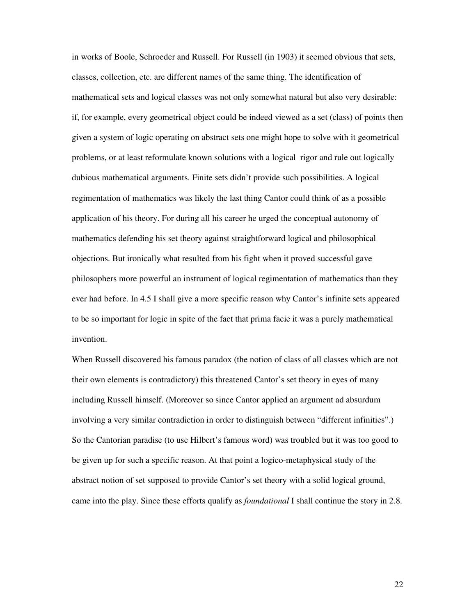in works of Boole, Schroeder and Russell. For Russell (in 1903) it seemed obvious that sets, classes, collection, etc. are different names of the same thing. The identification of mathematical sets and logical classes was not only somewhat natural but also very desirable: if, for example, every geometrical object could be indeed viewed as a set (class) of points then given a system of logic operating on abstract sets one might hope to solve with it geometrical problems, or at least reformulate known solutions with a logical rigor and rule out logically dubious mathematical arguments. Finite sets didn't provide such possibilities. A logical regimentation of mathematics was likely the last thing Cantor could think of as a possible application of his theory. For during all his career he urged the conceptual autonomy of mathematics defending his set theory against straightforward logical and philosophical objections. But ironically what resulted from his fight when it proved successful gave philosophers more powerful an instrument of logical regimentation of mathematics than they ever had before. In 4.5 I shall give a more specific reason why Cantor's infinite sets appeared to be so important for logic in spite of the fact that prima facie it was a purely mathematical invention.

When Russell discovered his famous paradox (the notion of class of all classes which are not their own elements is contradictory) this threatened Cantor's set theory in eyes of many including Russell himself. (Moreover so since Cantor applied an argument ad absurdum involving a very similar contradiction in order to distinguish between "different infinities".) So the Cantorian paradise (to use Hilbert's famous word) was troubled but it was too good to be given up for such a specific reason. At that point a logico-metaphysical study of the abstract notion of set supposed to provide Cantor's set theory with a solid logical ground, came into the play. Since these efforts qualify as *foundational* I shall continue the story in 2.8.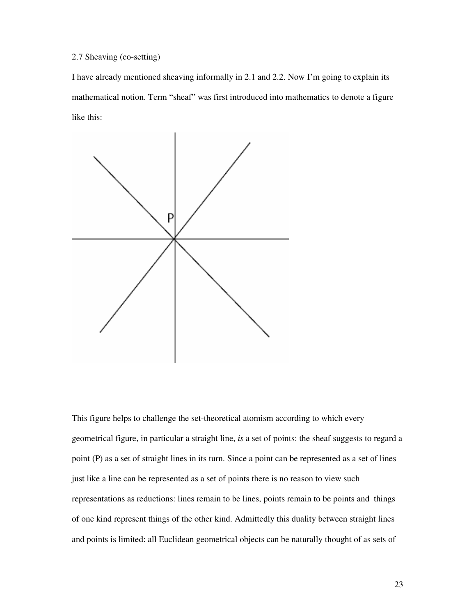# 2.7 Sheaving (co-setting)

I have already mentioned sheaving informally in 2.1 and 2.2. Now I'm going to explain its mathematical notion. Term "sheaf" was first introduced into mathematics to denote a figure like this:



This figure helps to challenge the set-theoretical atomism according to which every geometrical figure, in particular a straight line, *is* a set of points: the sheaf suggests to regard a point (P) as a set of straight lines in its turn. Since a point can be represented as a set of lines just like a line can be represented as a set of points there is no reason to view such representations as reductions: lines remain to be lines, points remain to be points and things of one kind represent things of the other kind. Admittedly this duality between straight lines and points is limited: all Euclidean geometrical objects can be naturally thought of as sets of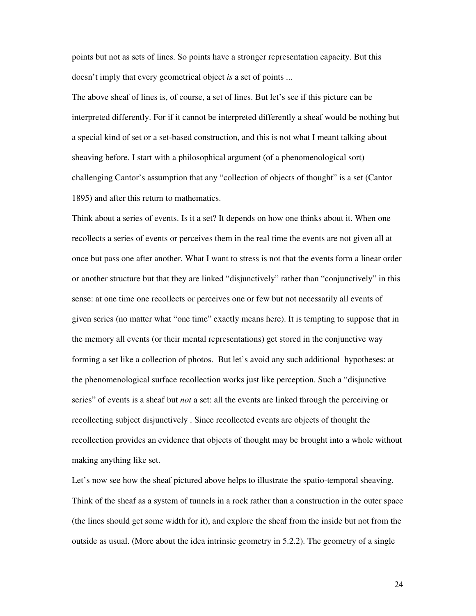points but not as sets of lines. So points have a stronger representation capacity. But this doesn't imply that every geometrical object *is* a set of points ...

The above sheaf of lines is, of course, a set of lines. But let's see if this picture can be interpreted differently. For if it cannot be interpreted differently a sheaf would be nothing but a special kind of set or a set-based construction, and this is not what I meant talking about sheaving before. I start with a philosophical argument (of a phenomenological sort) challenging Cantor's assumption that any "collection of objects of thought" is a set (Cantor 1895) and after this return to mathematics.

Think about a series of events. Is it a set? It depends on how one thinks about it. When one recollects a series of events or perceives them in the real time the events are not given all at once but pass one after another. What I want to stress is not that the events form a linear order or another structure but that they are linked "disjunctively" rather than "conjunctively" in this sense: at one time one recollects or perceives one or few but not necessarily all events of given series (no matter what "one time" exactly means here). It is tempting to suppose that in the memory all events (or their mental representations) get stored in the conjunctive way forming a set like a collection of photos. But let's avoid any such additional hypotheses: at the phenomenological surface recollection works just like perception. Such a "disjunctive series" of events is a sheaf but *not* a set: all the events are linked through the perceiving or recollecting subject disjunctively . Since recollected events are objects of thought the recollection provides an evidence that objects of thought may be brought into a whole without making anything like set.

Let's now see how the sheaf pictured above helps to illustrate the spatio-temporal sheaving. Think of the sheaf as a system of tunnels in a rock rather than a construction in the outer space (the lines should get some width for it), and explore the sheaf from the inside but not from the outside as usual. (More about the idea intrinsic geometry in 5.2.2). The geometry of a single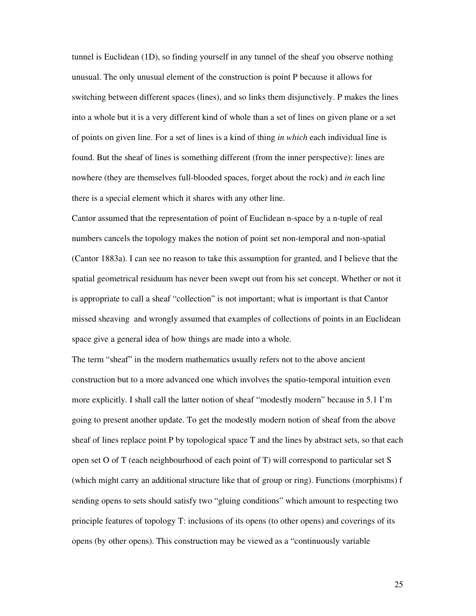tunnel is Euclidean (1D), so finding yourself in any tunnel of the sheaf you observe nothing unusual. The only unusual element of the construction is point P because it allows for switching between different spaces (lines), and so links them disjunctively. P makes the lines into a whole but it is a very different kind of whole than a set of lines on given plane or a set of points on given line. For a set of lines is a kind of thing *in which* each individual line is found. But the sheaf of lines is something different (from the inner perspective): lines are nowhere (they are themselves full-blooded spaces, forget about the rock) and *in* each line there is a special element which it shares with any other line.

Cantor assumed that the representation of point of Euclidean n-space by a n-tuple of real numbers cancels the topology makes the notion of point set non-temporal and non-spatial (Cantor 1883a). I can see no reason to take this assumption for granted, and I believe that the spatial geometrical residuum has never been swept out from his set concept. Whether or not it is appropriate to call a sheaf "collection" is not important; what is important is that Cantor missed sheaving and wrongly assumed that examples of collections of points in an Euclidean space give a general idea of how things are made into a whole.

The term "sheaf" in the modern mathematics usually refers not to the above ancient construction but to a more advanced one which involves the spatio-temporal intuition even more explicitly. I shall call the latter notion of sheaf "modestly modern" because in 5.1 I'm going to present another update. To get the modestly modern notion of sheaf from the above sheaf of lines replace point P by topological space T and the lines by abstract sets, so that each open set O of T (each neighbourhood of each point of T) will correspond to particular set S (which might carry an additional structure like that of group or ring). Functions (morphisms) f sending opens to sets should satisfy two "gluing conditions" which amount to respecting two principle features of topology T: inclusions of its opens (to other opens) and coverings of its opens (by other opens). This construction may be viewed as a "continuously variable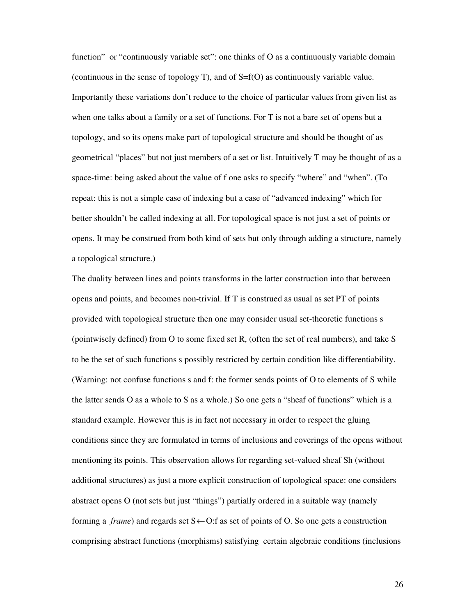function" or "continuously variable set": one thinks of O as a continuously variable domain (continuous in the sense of topology T), and of S=f(O) as continuously variable value. Importantly these variations don't reduce to the choice of particular values from given list as when one talks about a family or a set of functions. For T is not a bare set of opens but a topology, and so its opens make part of topological structure and should be thought of as geometrical "places" but not just members of a set or list. Intuitively T may be thought of as a space-time: being asked about the value of f one asks to specify "where" and "when". (To repeat: this is not a simple case of indexing but a case of "advanced indexing" which for better shouldn't be called indexing at all. For topological space is not just a set of points or opens. It may be construed from both kind of sets but only through adding a structure, namely a topological structure.)

The duality between lines and points transforms in the latter construction into that between opens and points, and becomes non-trivial. If T is construed as usual as set PT of points provided with topological structure then one may consider usual set-theoretic functions s (pointwisely defined) from O to some fixed set R, (often the set of real numbers), and take S to be the set of such functions s possibly restricted by certain condition like differentiability. (Warning: not confuse functions s and f: the former sends points of O to elements of S while the latter sends O as a whole to S as a whole.) So one gets a "sheaf of functions" which is a standard example. However this is in fact not necessary in order to respect the gluing conditions since they are formulated in terms of inclusions and coverings of the opens without mentioning its points. This observation allows for regarding set-valued sheaf Sh (without additional structures) as just a more explicit construction of topological space: one considers abstract opens O (not sets but just "things") partially ordered in a suitable way (namely forming a *frame*) and regards set  $S \leftarrow O$ : f as set of points of O. So one gets a construction comprising abstract functions (morphisms) satisfying certain algebraic conditions (inclusions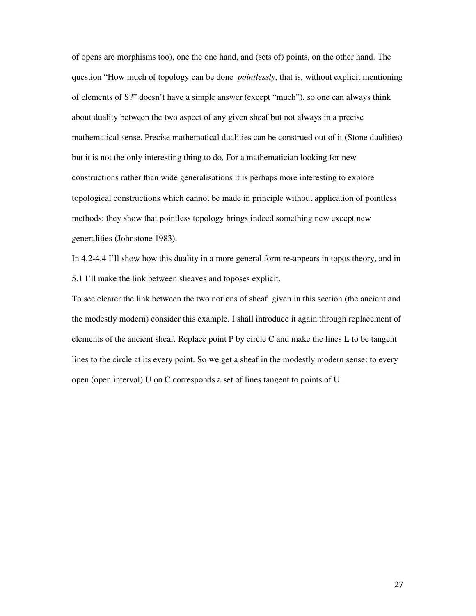of opens are morphisms too), one the one hand, and (sets of) points, on the other hand. The question "How much of topology can be done *pointlessly*, that is, without explicit mentioning of elements of S?" doesn't have a simple answer (except "much"), so one can always think about duality between the two aspect of any given sheaf but not always in a precise mathematical sense. Precise mathematical dualities can be construed out of it (Stone dualities) but it is not the only interesting thing to do. For a mathematician looking for new constructions rather than wide generalisations it is perhaps more interesting to explore topological constructions which cannot be made in principle without application of pointless methods: they show that pointless topology brings indeed something new except new generalities (Johnstone 1983).

In 4.2-4.4 I'll show how this duality in a more general form re-appears in topos theory, and in 5.1 I'll make the link between sheaves and toposes explicit.

To see clearer the link between the two notions of sheaf given in this section (the ancient and the modestly modern) consider this example. I shall introduce it again through replacement of elements of the ancient sheaf. Replace point P by circle C and make the lines L to be tangent lines to the circle at its every point. So we get a sheaf in the modestly modern sense: to every open (open interval) U on C corresponds a set of lines tangent to points of U.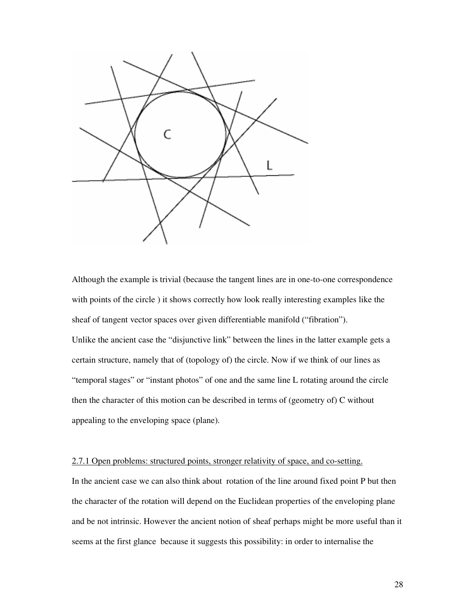

Although the example is trivial (because the tangent lines are in one-to-one correspondence with points of the circle ) it shows correctly how look really interesting examples like the sheaf of tangent vector spaces over given differentiable manifold ("fibration"). Unlike the ancient case the "disjunctive link" between the lines in the latter example gets a certain structure, namely that of (topology of) the circle. Now if we think of our lines as "temporal stages" or "instant photos" of one and the same line L rotating around the circle then the character of this motion can be described in terms of (geometry of) C without appealing to the enveloping space (plane).

# 2.7.1 Open problems: structured points, stronger relativity of space, and co-setting.

In the ancient case we can also think about rotation of the line around fixed point P but then the character of the rotation will depend on the Euclidean properties of the enveloping plane and be not intrinsic. However the ancient notion of sheaf perhaps might be more useful than it seems at the first glance because it suggests this possibility: in order to internalise the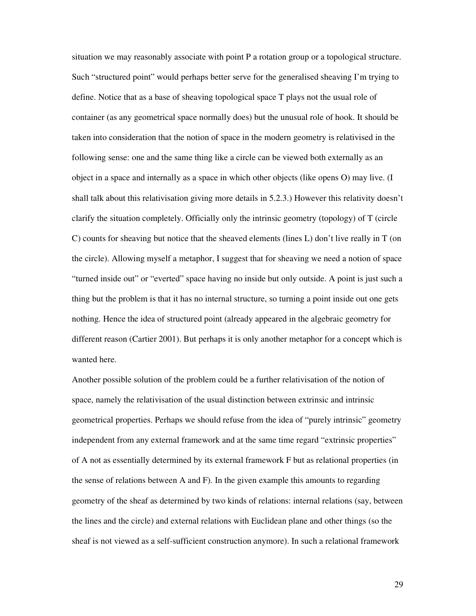situation we may reasonably associate with point P a rotation group or a topological structure. Such "structured point" would perhaps better serve for the generalised sheaving I'm trying to define. Notice that as a base of sheaving topological space T plays not the usual role of container (as any geometrical space normally does) but the unusual role of hook. It should be taken into consideration that the notion of space in the modern geometry is relativised in the following sense: one and the same thing like a circle can be viewed both externally as an object in a space and internally as a space in which other objects (like opens O) may live. (I shall talk about this relativisation giving more details in 5.2.3.) However this relativity doesn't clarify the situation completely. Officially only the intrinsic geometry (topology) of T (circle C) counts for sheaving but notice that the sheaved elements (lines L) don't live really in T (on the circle). Allowing myself a metaphor, I suggest that for sheaving we need a notion of space "turned inside out" or "everted" space having no inside but only outside. A point is just such a thing but the problem is that it has no internal structure, so turning a point inside out one gets nothing. Hence the idea of structured point (already appeared in the algebraic geometry for different reason (Cartier 2001). But perhaps it is only another metaphor for a concept which is wanted here.

Another possible solution of the problem could be a further relativisation of the notion of space, namely the relativisation of the usual distinction between extrinsic and intrinsic geometrical properties. Perhaps we should refuse from the idea of "purely intrinsic" geometry independent from any external framework and at the same time regard "extrinsic properties" of A not as essentially determined by its external framework F but as relational properties (in the sense of relations between A and F). In the given example this amounts to regarding geometry of the sheaf as determined by two kinds of relations: internal relations (say, between the lines and the circle) and external relations with Euclidean plane and other things (so the sheaf is not viewed as a self-sufficient construction anymore). In such a relational framework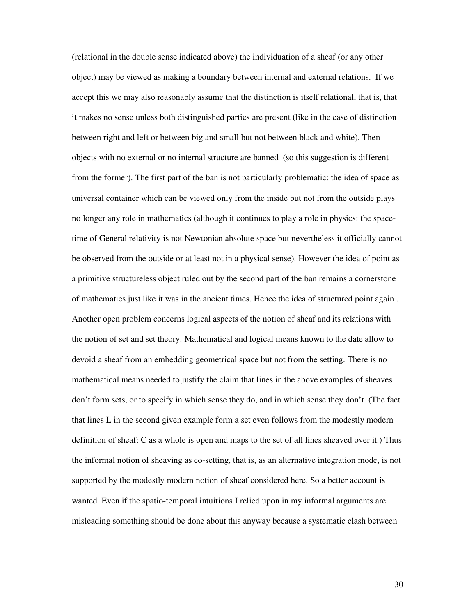(relational in the double sense indicated above) the individuation of a sheaf (or any other object) may be viewed as making a boundary between internal and external relations. If we accept this we may also reasonably assume that the distinction is itself relational, that is, that it makes no sense unless both distinguished parties are present (like in the case of distinction between right and left or between big and small but not between black and white). Then objects with no external or no internal structure are banned (so this suggestion is different from the former). The first part of the ban is not particularly problematic: the idea of space as universal container which can be viewed only from the inside but not from the outside plays no longer any role in mathematics (although it continues to play a role in physics: the spacetime of General relativity is not Newtonian absolute space but nevertheless it officially cannot be observed from the outside or at least not in a physical sense). However the idea of point as a primitive structureless object ruled out by the second part of the ban remains a cornerstone of mathematics just like it was in the ancient times. Hence the idea of structured point again . Another open problem concerns logical aspects of the notion of sheaf and its relations with the notion of set and set theory. Mathematical and logical means known to the date allow to devoid a sheaf from an embedding geometrical space but not from the setting. There is no mathematical means needed to justify the claim that lines in the above examples of sheaves don't form sets, or to specify in which sense they do, and in which sense they don't. (The fact that lines L in the second given example form a set even follows from the modestly modern definition of sheaf: C as a whole is open and maps to the set of all lines sheaved over it.) Thus the informal notion of sheaving as co-setting, that is, as an alternative integration mode, is not supported by the modestly modern notion of sheaf considered here. So a better account is wanted. Even if the spatio-temporal intuitions I relied upon in my informal arguments are misleading something should be done about this anyway because a systematic clash between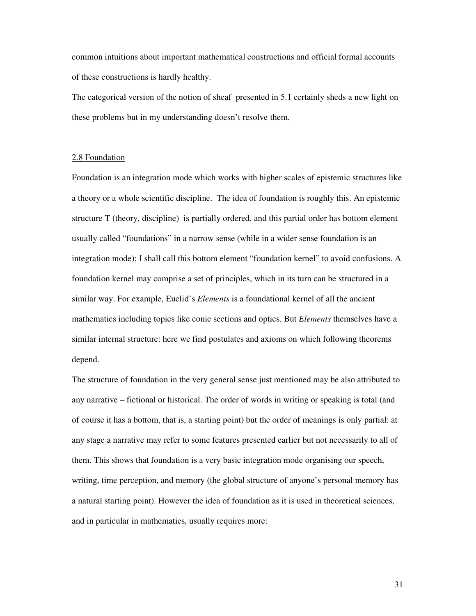common intuitions about important mathematical constructions and official formal accounts of these constructions is hardly healthy.

The categorical version of the notion of sheaf presented in 5.1 certainly sheds a new light on these problems but in my understanding doesn't resolve them.

## 2.8 Foundation

Foundation is an integration mode which works with higher scales of epistemic structures like a theory or a whole scientific discipline. The idea of foundation is roughly this. An epistemic structure T (theory, discipline) is partially ordered, and this partial order has bottom element usually called "foundations" in a narrow sense (while in a wider sense foundation is an integration mode); I shall call this bottom element "foundation kernel" to avoid confusions. A foundation kernel may comprise a set of principles, which in its turn can be structured in a similar way. For example, Euclid's *Elements* is a foundational kernel of all the ancient mathematics including topics like conic sections and optics. But *Elements* themselves have a similar internal structure: here we find postulates and axioms on which following theorems depend.

The structure of foundation in the very general sense just mentioned may be also attributed to any narrative – fictional or historical. The order of words in writing or speaking is total (and of course it has a bottom, that is, a starting point) but the order of meanings is only partial: at any stage a narrative may refer to some features presented earlier but not necessarily to all of them. This shows that foundation is a very basic integration mode organising our speech, writing, time perception, and memory (the global structure of anyone's personal memory has a natural starting point). However the idea of foundation as it is used in theoretical sciences, and in particular in mathematics, usually requires more: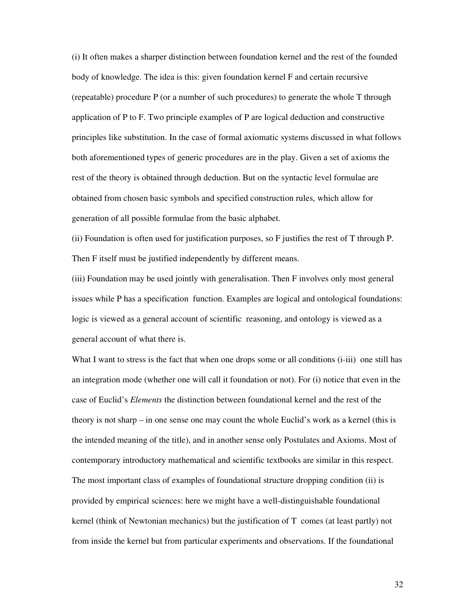(i) It often makes a sharper distinction between foundation kernel and the rest of the founded body of knowledge. The idea is this: given foundation kernel F and certain recursive (repeatable) procedure P (or a number of such procedures) to generate the whole T through application of P to F. Two principle examples of P are logical deduction and constructive principles like substitution. In the case of formal axiomatic systems discussed in what follows both aforementioned types of generic procedures are in the play. Given a set of axioms the rest of the theory is obtained through deduction. But on the syntactic level formulae are obtained from chosen basic symbols and specified construction rules, which allow for generation of all possible formulae from the basic alphabet.

(ii) Foundation is often used for justification purposes, so F justifies the rest of T through P. Then F itself must be justified independently by different means.

(iii) Foundation may be used jointly with generalisation. Then F involves only most general issues while P has a specification function. Examples are logical and ontological foundations: logic is viewed as a general account of scientific reasoning, and ontology is viewed as a general account of what there is.

What I want to stress is the fact that when one drops some or all conditions (i-iii) one still has an integration mode (whether one will call it foundation or not). For (i) notice that even in the case of Euclid's *Elements* the distinction between foundational kernel and the rest of the theory is not sharp – in one sense one may count the whole Euclid's work as a kernel (this is the intended meaning of the title), and in another sense only Postulates and Axioms. Most of contemporary introductory mathematical and scientific textbooks are similar in this respect. The most important class of examples of foundational structure dropping condition (ii) is provided by empirical sciences: here we might have a well-distinguishable foundational kernel (think of Newtonian mechanics) but the justification of T comes (at least partly) not from inside the kernel but from particular experiments and observations. If the foundational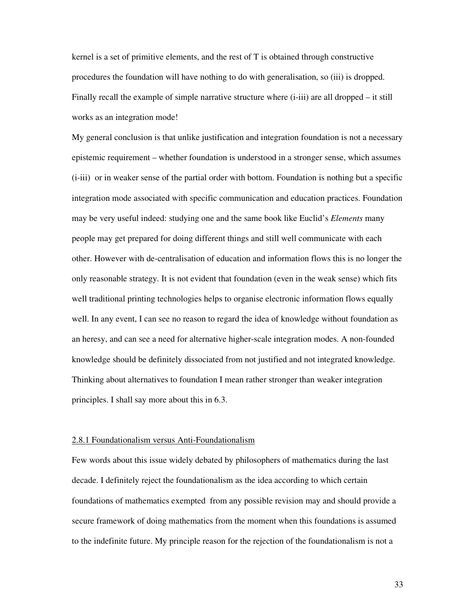kernel is a set of primitive elements, and the rest of T is obtained through constructive procedures the foundation will have nothing to do with generalisation, so (iii) is dropped. Finally recall the example of simple narrative structure where (i-iii) are all dropped – it still works as an integration mode!

My general conclusion is that unlike justification and integration foundation is not a necessary epistemic requirement – whether foundation is understood in a stronger sense, which assumes (i-iii) or in weaker sense of the partial order with bottom. Foundation is nothing but a specific integration mode associated with specific communication and education practices. Foundation may be very useful indeed: studying one and the same book like Euclid's *Elements* many people may get prepared for doing different things and still well communicate with each other. However with de-centralisation of education and information flows this is no longer the only reasonable strategy. It is not evident that foundation (even in the weak sense) which fits well traditional printing technologies helps to organise electronic information flows equally well. In any event, I can see no reason to regard the idea of knowledge without foundation as an heresy, and can see a need for alternative higher-scale integration modes. A non-founded knowledge should be definitely dissociated from not justified and not integrated knowledge. Thinking about alternatives to foundation I mean rather stronger than weaker integration principles. I shall say more about this in 6.3.

# 2.8.1 Foundationalism versus Anti-Foundationalism

Few words about this issue widely debated by philosophers of mathematics during the last decade. I definitely reject the foundationalism as the idea according to which certain foundations of mathematics exempted from any possible revision may and should provide a secure framework of doing mathematics from the moment when this foundations is assumed to the indefinite future. My principle reason for the rejection of the foundationalism is not a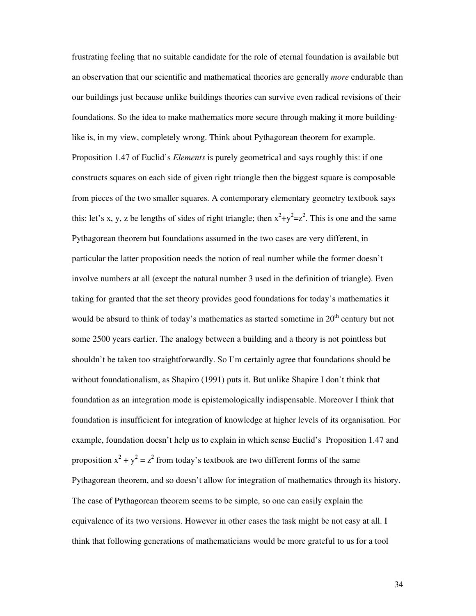frustrating feeling that no suitable candidate for the role of eternal foundation is available but an observation that our scientific and mathematical theories are generally *more* endurable than our buildings just because unlike buildings theories can survive even radical revisions of their foundations. So the idea to make mathematics more secure through making it more buildinglike is, in my view, completely wrong. Think about Pythagorean theorem for example. Proposition 1.47 of Euclid's *Elements* is purely geometrical and says roughly this: if one constructs squares on each side of given right triangle then the biggest square is composable from pieces of the two smaller squares. A contemporary elementary geometry textbook says this: let's x, y, z be lengths of sides of right triangle; then  $x^2+y^2=z^2$ . This is one and the same Pythagorean theorem but foundations assumed in the two cases are very different, in particular the latter proposition needs the notion of real number while the former doesn't involve numbers at all (except the natural number 3 used in the definition of triangle). Even taking for granted that the set theory provides good foundations for today's mathematics it would be absurd to think of today's mathematics as started sometime in  $20<sup>th</sup>$  century but not some 2500 years earlier. The analogy between a building and a theory is not pointless but shouldn't be taken too straightforwardly. So I'm certainly agree that foundations should be without foundationalism, as Shapiro (1991) puts it. But unlike Shapire I don't think that foundation as an integration mode is epistemologically indispensable. Moreover I think that foundation is insufficient for integration of knowledge at higher levels of its organisation. For example, foundation doesn't help us to explain in which sense Euclid's Proposition 1.47 and proposition  $x^2 + y^2 = z^2$  from today's textbook are two different forms of the same Pythagorean theorem, and so doesn't allow for integration of mathematics through its history. The case of Pythagorean theorem seems to be simple, so one can easily explain the equivalence of its two versions. However in other cases the task might be not easy at all. I think that following generations of mathematicians would be more grateful to us for a tool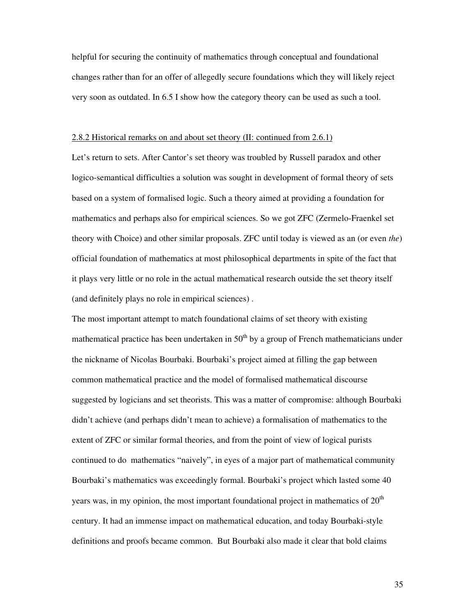helpful for securing the continuity of mathematics through conceptual and foundational changes rather than for an offer of allegedly secure foundations which they will likely reject very soon as outdated. In 6.5 I show how the category theory can be used as such a tool.

# 2.8.2 Historical remarks on and about set theory (II: continued from 2.6.1)

Let's return to sets. After Cantor's set theory was troubled by Russell paradox and other logico-semantical difficulties a solution was sought in development of formal theory of sets based on a system of formalised logic. Such a theory aimed at providing a foundation for mathematics and perhaps also for empirical sciences. So we got ZFC (Zermelo-Fraenkel set theory with Choice) and other similar proposals. ZFC until today is viewed as an (or even *the*) official foundation of mathematics at most philosophical departments in spite of the fact that it plays very little or no role in the actual mathematical research outside the set theory itself (and definitely plays no role in empirical sciences) .

The most important attempt to match foundational claims of set theory with existing mathematical practice has been undertaken in  $50<sup>th</sup>$  by a group of French mathematicians under the nickname of Nicolas Bourbaki. Bourbaki's project aimed at filling the gap between common mathematical practice and the model of formalised mathematical discourse suggested by logicians and set theorists. This was a matter of compromise: although Bourbaki didn't achieve (and perhaps didn't mean to achieve) a formalisation of mathematics to the extent of ZFC or similar formal theories, and from the point of view of logical purists continued to do mathematics "naively", in eyes of a major part of mathematical community Bourbaki's mathematics was exceedingly formal. Bourbaki's project which lasted some 40 years was, in my opinion, the most important foundational project in mathematics of  $20<sup>th</sup>$ century. It had an immense impact on mathematical education, and today Bourbaki-style definitions and proofs became common. But Bourbaki also made it clear that bold claims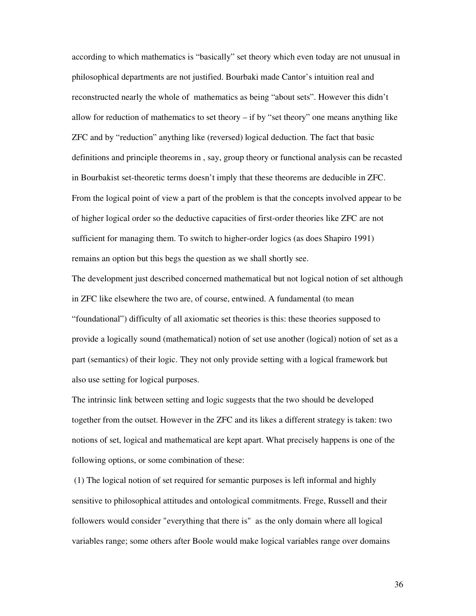according to which mathematics is "basically" set theory which even today are not unusual in philosophical departments are not justified. Bourbaki made Cantor's intuition real and reconstructed nearly the whole of mathematics as being "about sets". However this didn't allow for reduction of mathematics to set theory – if by "set theory" one means anything like ZFC and by "reduction" anything like (reversed) logical deduction. The fact that basic definitions and principle theorems in , say, group theory or functional analysis can be recasted in Bourbakist set-theoretic terms doesn't imply that these theorems are deducible in ZFC. From the logical point of view a part of the problem is that the concepts involved appear to be of higher logical order so the deductive capacities of first-order theories like ZFC are not sufficient for managing them. To switch to higher-order logics (as does Shapiro 1991) remains an option but this begs the question as we shall shortly see.

The development just described concerned mathematical but not logical notion of set although in ZFC like elsewhere the two are, of course, entwined. A fundamental (to mean "foundational") difficulty of all axiomatic set theories is this: these theories supposed to provide a logically sound (mathematical) notion of set use another (logical) notion of set as a part (semantics) of their logic. They not only provide setting with a logical framework but also use setting for logical purposes.

The intrinsic link between setting and logic suggests that the two should be developed together from the outset. However in the ZFC and its likes a different strategy is taken: two notions of set, logical and mathematical are kept apart. What precisely happens is one of the following options, or some combination of these:

 (1) The logical notion of set required for semantic purposes is left informal and highly sensitive to philosophical attitudes and ontological commitments. Frege, Russell and their followers would consider "everything that there is" as the only domain where all logical variables range; some others after Boole would make logical variables range over domains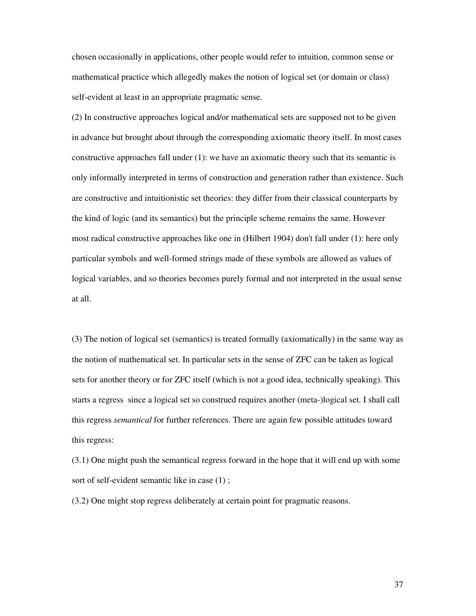chosen occasionally in applications, other people would refer to intuition, common sense or mathematical practice which allegedly makes the notion of logical set (or domain or class) self-evident at least in an appropriate pragmatic sense.

(2) In constructive approaches logical and/or mathematical sets are supposed not to be given in advance but brought about through the corresponding axiomatic theory itself. In most cases constructive approaches fall under (1): we have an axiomatic theory such that its semantic is only informally interpreted in terms of construction and generation rather than existence. Such are constructive and intuitionistic set theories: they differ from their classical counterparts by the kind of logic (and its semantics) but the principle scheme remains the same. However most radical constructive approaches like one in (Hilbert 1904) don't fall under (1): here only particular symbols and well-formed strings made of these symbols are allowed as values of logical variables, and so theories becomes purely formal and not interpreted in the usual sense at all.

(3) The notion of logical set (semantics) is treated formally (axiomatically) in the same way as the notion of mathematical set. In particular sets in the sense of ZFC can be taken as logical sets for another theory or for ZFC itself (which is not a good idea, technically speaking). This starts a regress since a logical set so construed requires another (meta-)logical set. I shall call this regress *semantical* for further references. There are again few possible attitudes toward this regress:

(3.1) One might push the semantical regress forward in the hope that it will end up with some sort of self-evident semantic like in case (1) ;

(3.2) One might stop regress deliberately at certain point for pragmatic reasons.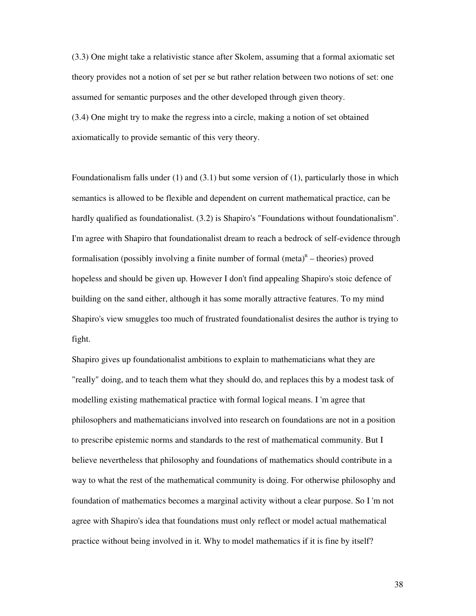(3.3) One might take a relativistic stance after Skolem, assuming that a formal axiomatic set theory provides not a notion of set per se but rather relation between two notions of set: one assumed for semantic purposes and the other developed through given theory.

(3.4) One might try to make the regress into a circle, making a notion of set obtained axiomatically to provide semantic of this very theory.

Foundationalism falls under (1) and (3.1) but some version of (1), particularly those in which semantics is allowed to be flexible and dependent on current mathematical practice, can be hardly qualified as foundationalist. (3.2) is Shapiro's "Foundations without foundationalism". I'm agree with Shapiro that foundationalist dream to reach a bedrock of self-evidence through formalisation (possibly involving a finite number of formal  $(meta)^n$  – theories) proved hopeless and should be given up. However I don't find appealing Shapiro's stoic defence of building on the sand either, although it has some morally attractive features. To my mind Shapiro's view smuggles too much of frustrated foundationalist desires the author is trying to fight.

Shapiro gives up foundationalist ambitions to explain to mathematicians what they are "really" doing, and to teach them what they should do, and replaces this by a modest task of modelling existing mathematical practice with formal logical means. I 'm agree that philosophers and mathematicians involved into research on foundations are not in a position to prescribe epistemic norms and standards to the rest of mathematical community. But I believe nevertheless that philosophy and foundations of mathematics should contribute in a way to what the rest of the mathematical community is doing. For otherwise philosophy and foundation of mathematics becomes a marginal activity without a clear purpose. So I 'm not agree with Shapiro's idea that foundations must only reflect or model actual mathematical practice without being involved in it. Why to model mathematics if it is fine by itself?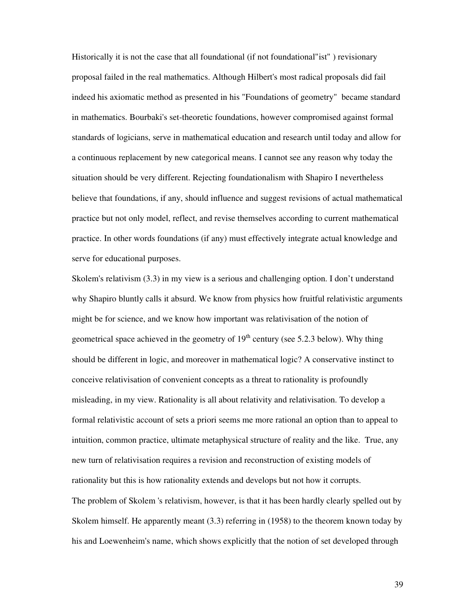Historically it is not the case that all foundational (if not foundational"ist" ) revisionary proposal failed in the real mathematics. Although Hilbert's most radical proposals did fail indeed his axiomatic method as presented in his "Foundations of geometry" became standard in mathematics. Bourbaki's set-theoretic foundations, however compromised against formal standards of logicians, serve in mathematical education and research until today and allow for a continuous replacement by new categorical means. I cannot see any reason why today the situation should be very different. Rejecting foundationalism with Shapiro I nevertheless believe that foundations, if any, should influence and suggest revisions of actual mathematical practice but not only model, reflect, and revise themselves according to current mathematical practice. In other words foundations (if any) must effectively integrate actual knowledge and serve for educational purposes.

Skolem's relativism (3.3) in my view is a serious and challenging option. I don't understand why Shapiro bluntly calls it absurd. We know from physics how fruitful relativistic arguments might be for science, and we know how important was relativisation of the notion of geometrical space achieved in the geometry of  $19<sup>th</sup>$  century (see 5.2.3 below). Why thing should be different in logic, and moreover in mathematical logic? A conservative instinct to conceive relativisation of convenient concepts as a threat to rationality is profoundly misleading, in my view. Rationality is all about relativity and relativisation. To develop a formal relativistic account of sets a priori seems me more rational an option than to appeal to intuition, common practice, ultimate metaphysical structure of reality and the like. True, any new turn of relativisation requires a revision and reconstruction of existing models of rationality but this is how rationality extends and develops but not how it corrupts. The problem of Skolem 's relativism, however, is that it has been hardly clearly spelled out by Skolem himself. He apparently meant (3.3) referring in (1958) to the theorem known today by his and Loewenheim's name, which shows explicitly that the notion of set developed through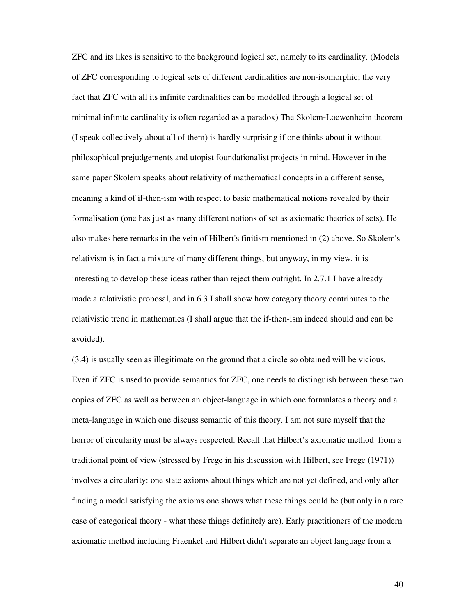ZFC and its likes is sensitive to the background logical set, namely to its cardinality. (Models of ZFC corresponding to logical sets of different cardinalities are non-isomorphic; the very fact that ZFC with all its infinite cardinalities can be modelled through a logical set of minimal infinite cardinality is often regarded as a paradox) The Skolem-Loewenheim theorem (I speak collectively about all of them) is hardly surprising if one thinks about it without philosophical prejudgements and utopist foundationalist projects in mind. However in the same paper Skolem speaks about relativity of mathematical concepts in a different sense, meaning a kind of if-then-ism with respect to basic mathematical notions revealed by their formalisation (one has just as many different notions of set as axiomatic theories of sets). He also makes here remarks in the vein of Hilbert's finitism mentioned in (2) above. So Skolem's relativism is in fact a mixture of many different things, but anyway, in my view, it is interesting to develop these ideas rather than reject them outright. In 2.7.1 I have already made a relativistic proposal, and in 6.3 I shall show how category theory contributes to the relativistic trend in mathematics (I shall argue that the if-then-ism indeed should and can be avoided).

(3.4) is usually seen as illegitimate on the ground that a circle so obtained will be vicious. Even if ZFC is used to provide semantics for ZFC, one needs to distinguish between these two copies of ZFC as well as between an object-language in which one formulates a theory and a meta-language in which one discuss semantic of this theory. I am not sure myself that the horror of circularity must be always respected. Recall that Hilbert's axiomatic method from a traditional point of view (stressed by Frege in his discussion with Hilbert, see Frege (1971)) involves a circularity: one state axioms about things which are not yet defined, and only after finding a model satisfying the axioms one shows what these things could be (but only in a rare case of categorical theory - what these things definitely are). Early practitioners of the modern axiomatic method including Fraenkel and Hilbert didn't separate an object language from a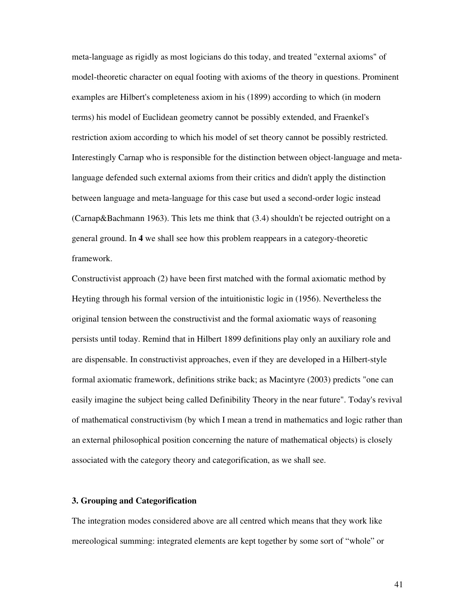meta-language as rigidly as most logicians do this today, and treated "external axioms" of model-theoretic character on equal footing with axioms of the theory in questions. Prominent examples are Hilbert's completeness axiom in his (1899) according to which (in modern terms) his model of Euclidean geometry cannot be possibly extended, and Fraenkel's restriction axiom according to which his model of set theory cannot be possibly restricted. Interestingly Carnap who is responsible for the distinction between object-language and metalanguage defended such external axioms from their critics and didn't apply the distinction between language and meta-language for this case but used a second-order logic instead (Carnap&Bachmann 1963). This lets me think that (3.4) shouldn't be rejected outright on a general ground. In **4** we shall see how this problem reappears in a category-theoretic framework.

Constructivist approach (2) have been first matched with the formal axiomatic method by Heyting through his formal version of the intuitionistic logic in (1956). Nevertheless the original tension between the constructivist and the formal axiomatic ways of reasoning persists until today. Remind that in Hilbert 1899 definitions play only an auxiliary role and are dispensable. In constructivist approaches, even if they are developed in a Hilbert-style formal axiomatic framework, definitions strike back; as Macintyre (2003) predicts "one can easily imagine the subject being called Definibility Theory in the near future". Today's revival of mathematical constructivism (by which I mean a trend in mathematics and logic rather than an external philosophical position concerning the nature of mathematical objects) is closely associated with the category theory and categorification, as we shall see.

## **3. Grouping and Categorification**

The integration modes considered above are all centred which means that they work like mereological summing: integrated elements are kept together by some sort of "whole" or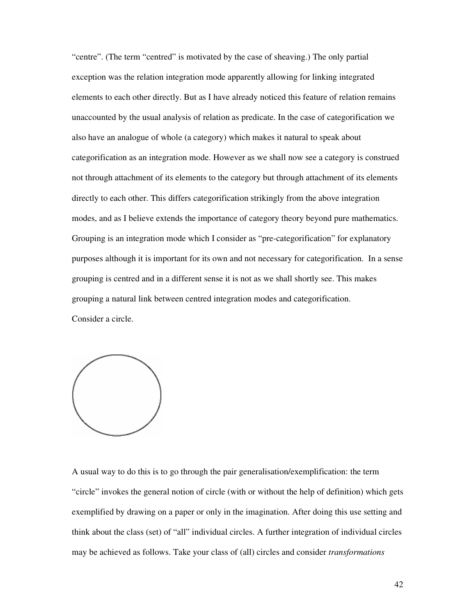"centre". (The term "centred" is motivated by the case of sheaving.) The only partial exception was the relation integration mode apparently allowing for linking integrated elements to each other directly. But as I have already noticed this feature of relation remains unaccounted by the usual analysis of relation as predicate. In the case of categorification we also have an analogue of whole (a category) which makes it natural to speak about categorification as an integration mode. However as we shall now see a category is construed not through attachment of its elements to the category but through attachment of its elements directly to each other. This differs categorification strikingly from the above integration modes, and as I believe extends the importance of category theory beyond pure mathematics. Grouping is an integration mode which I consider as "pre-categorification" for explanatory purposes although it is important for its own and not necessary for categorification. In a sense grouping is centred and in a different sense it is not as we shall shortly see. This makes grouping a natural link between centred integration modes and categorification. Consider a circle.



A usual way to do this is to go through the pair generalisation/exemplification: the term "circle" invokes the general notion of circle (with or without the help of definition) which gets exemplified by drawing on a paper or only in the imagination. After doing this use setting and think about the class (set) of "all" individual circles. A further integration of individual circles may be achieved as follows. Take your class of (all) circles and consider *transformations*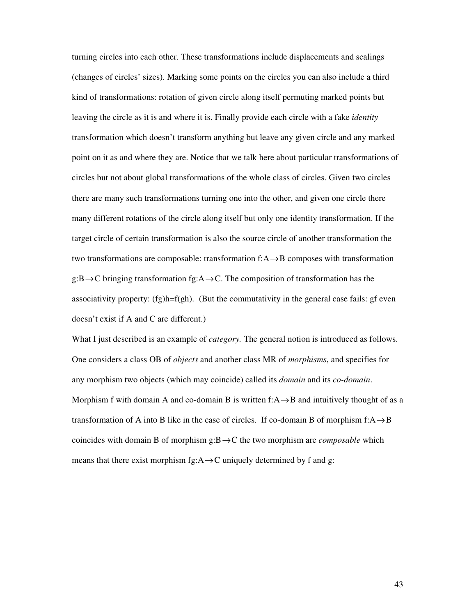turning circles into each other. These transformations include displacements and scalings (changes of circles' sizes). Marking some points on the circles you can also include a third kind of transformations: rotation of given circle along itself permuting marked points but leaving the circle as it is and where it is. Finally provide each circle with a fake *identity*  transformation which doesn't transform anything but leave any given circle and any marked point on it as and where they are. Notice that we talk here about particular transformations of circles but not about global transformations of the whole class of circles. Given two circles there are many such transformations turning one into the other, and given one circle there many different rotations of the circle along itself but only one identity transformation. If the target circle of certain transformation is also the source circle of another transformation the two transformations are composable: transformation f:A→B composes with transformation  $g:B\to C$  bringing transformation fg:A $\to C$ . The composition of transformation has the associativity property:  $(fg)h=f(gh)$ . (But the commutativity in the general case fails: gf even doesn't exist if A and C are different.)

What I just described is an example of *category.* The general notion is introduced as follows. One considers a class OB of *objects* and another class MR of *morphisms*, and specifies for any morphism two objects (which may coincide) called its *domain* and its *co-domain*. Morphism f with domain A and co-domain B is written f: $A \rightarrow B$  and intuitively thought of as a transformation of A into B like in the case of circles. If co-domain B of morphism  $f: A \rightarrow B$ coincides with domain B of morphism g:B→C the two morphism are *composable* which means that there exist morphism fg: $A \rightarrow C$  uniquely determined by f and g: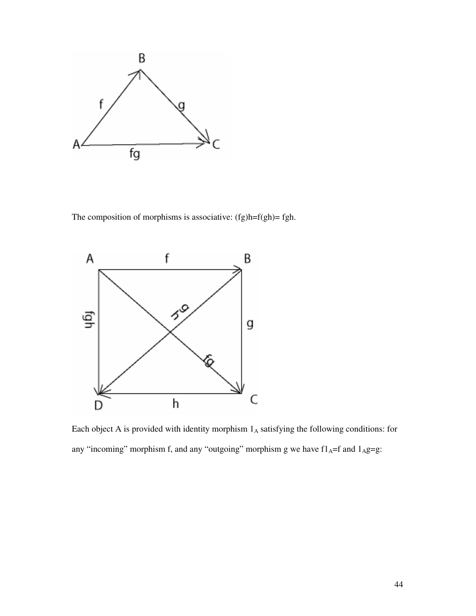

The composition of morphisms is associative: (fg)h=f(gh)= fgh.



Each object A is provided with identity morphism  $1_A$  satisfying the following conditions: for any "incoming" morphism f, and any "outgoing" morphism g we have  $f1_A=f$  and  $1_Ag=g$ :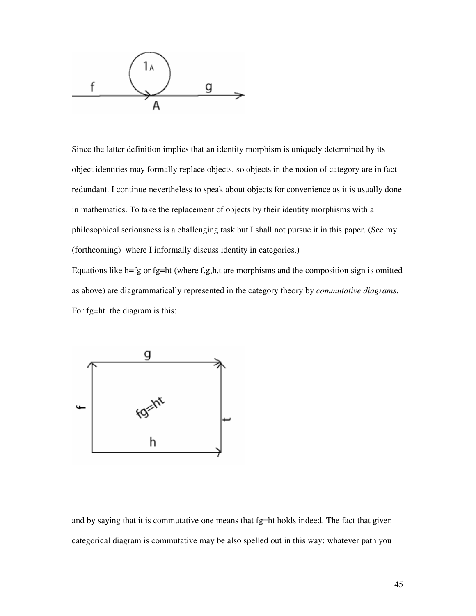

Since the latter definition implies that an identity morphism is uniquely determined by its object identities may formally replace objects, so objects in the notion of category are in fact redundant. I continue nevertheless to speak about objects for convenience as it is usually done in mathematics. To take the replacement of objects by their identity morphisms with a philosophical seriousness is a challenging task but I shall not pursue it in this paper. (See my (forthcoming) where I informally discuss identity in categories.) Equations like h=fg or fg=ht (where f,g,h,t are morphisms and the composition sign is omitted as above) are diagrammatically represented in the category theory by *commutative diagrams*. For fg=ht the diagram is this:



and by saying that it is commutative one means that  $fg=ht$  holds indeed. The fact that given categorical diagram is commutative may be also spelled out in this way: whatever path you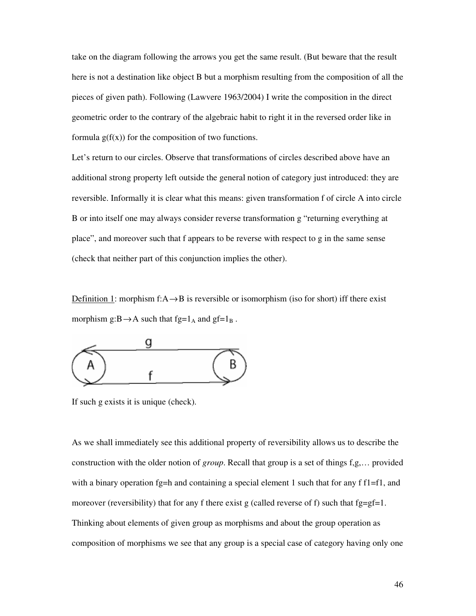take on the diagram following the arrows you get the same result. (But beware that the result here is not a destination like object B but a morphism resulting from the composition of all the pieces of given path). Following (Lawvere 1963/2004) I write the composition in the direct geometric order to the contrary of the algebraic habit to right it in the reversed order like in formula  $g(f(x))$  for the composition of two functions.

Let's return to our circles. Observe that transformations of circles described above have an additional strong property left outside the general notion of category just introduced: they are reversible. Informally it is clear what this means: given transformation f of circle A into circle B or into itself one may always consider reverse transformation g "returning everything at place", and moreover such that f appears to be reverse with respect to g in the same sense (check that neither part of this conjunction implies the other).

Definition 1: morphism f: $A \rightarrow B$  is reversible or isomorphism (iso for short) iff there exist morphism  $g:B \rightarrow A$  such that  $fg=1_A$  and  $gf=1_B$ .



If such g exists it is unique (check).

As we shall immediately see this additional property of reversibility allows us to describe the construction with the older notion of *group*. Recall that group is a set of things f,g,… provided with a binary operation fg=h and containing a special element 1 such that for any f  $f1=f1$ , and moreover (reversibility) that for any f there exist g (called reverse of f) such that  $fg=gf=1$ . Thinking about elements of given group as morphisms and about the group operation as composition of morphisms we see that any group is a special case of category having only one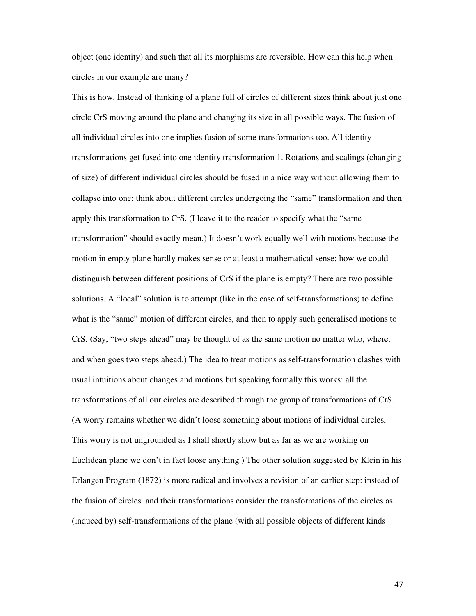object (one identity) and such that all its morphisms are reversible. How can this help when circles in our example are many?

This is how. Instead of thinking of a plane full of circles of different sizes think about just one circle CrS moving around the plane and changing its size in all possible ways. The fusion of all individual circles into one implies fusion of some transformations too. All identity transformations get fused into one identity transformation 1. Rotations and scalings (changing of size) of different individual circles should be fused in a nice way without allowing them to collapse into one: think about different circles undergoing the "same" transformation and then apply this transformation to CrS. (I leave it to the reader to specify what the "same transformation" should exactly mean.) It doesn't work equally well with motions because the motion in empty plane hardly makes sense or at least a mathematical sense: how we could distinguish between different positions of CrS if the plane is empty? There are two possible solutions. A "local" solution is to attempt (like in the case of self-transformations) to define what is the "same" motion of different circles, and then to apply such generalised motions to CrS. (Say, "two steps ahead" may be thought of as the same motion no matter who, where, and when goes two steps ahead.) The idea to treat motions as self-transformation clashes with usual intuitions about changes and motions but speaking formally this works: all the transformations of all our circles are described through the group of transformations of CrS. (A worry remains whether we didn't loose something about motions of individual circles. This worry is not ungrounded as I shall shortly show but as far as we are working on Euclidean plane we don't in fact loose anything.) The other solution suggested by Klein in his Erlangen Program (1872) is more radical and involves a revision of an earlier step: instead of the fusion of circles and their transformations consider the transformations of the circles as (induced by) self-transformations of the plane (with all possible objects of different kinds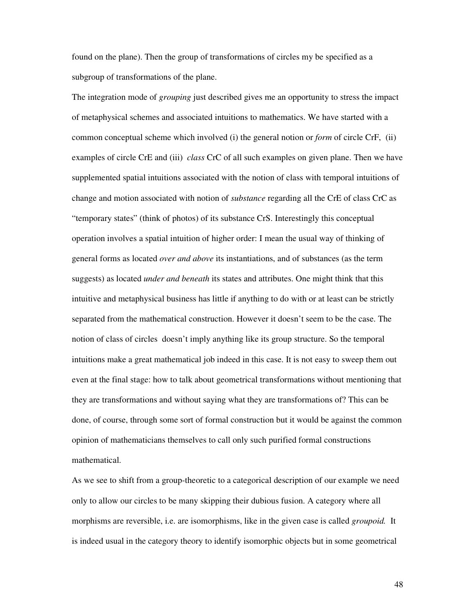found on the plane). Then the group of transformations of circles my be specified as a subgroup of transformations of the plane.

The integration mode of *grouping* just described gives me an opportunity to stress the impact of metaphysical schemes and associated intuitions to mathematics. We have started with a common conceptual scheme which involved (i) the general notion or *form* of circle CrF, (ii) examples of circle CrE and (iii) *class* CrC of all such examples on given plane. Then we have supplemented spatial intuitions associated with the notion of class with temporal intuitions of change and motion associated with notion of *substance* regarding all the CrE of class CrC as "temporary states" (think of photos) of its substance CrS. Interestingly this conceptual operation involves a spatial intuition of higher order: I mean the usual way of thinking of general forms as located *over and above* its instantiations, and of substances (as the term suggests) as located *under and beneath* its states and attributes. One might think that this intuitive and metaphysical business has little if anything to do with or at least can be strictly separated from the mathematical construction. However it doesn't seem to be the case. The notion of class of circles doesn't imply anything like its group structure. So the temporal intuitions make a great mathematical job indeed in this case. It is not easy to sweep them out even at the final stage: how to talk about geometrical transformations without mentioning that they are transformations and without saying what they are transformations of? This can be done, of course, through some sort of formal construction but it would be against the common opinion of mathematicians themselves to call only such purified formal constructions mathematical.

As we see to shift from a group-theoretic to a categorical description of our example we need only to allow our circles to be many skipping their dubious fusion. A category where all morphisms are reversible, i.e. are isomorphisms, like in the given case is called *groupoid.* It is indeed usual in the category theory to identify isomorphic objects but in some geometrical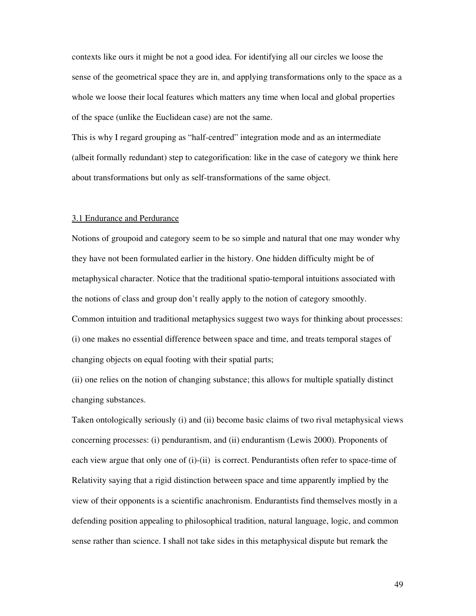contexts like ours it might be not a good idea. For identifying all our circles we loose the sense of the geometrical space they are in, and applying transformations only to the space as a whole we loose their local features which matters any time when local and global properties of the space (unlike the Euclidean case) are not the same.

This is why I regard grouping as "half-centred" integration mode and as an intermediate (albeit formally redundant) step to categorification: like in the case of category we think here about transformations but only as self-transformations of the same object.

### 3.1 Endurance and Perdurance

Notions of groupoid and category seem to be so simple and natural that one may wonder why they have not been formulated earlier in the history. One hidden difficulty might be of metaphysical character. Notice that the traditional spatio-temporal intuitions associated with the notions of class and group don't really apply to the notion of category smoothly. Common intuition and traditional metaphysics suggest two ways for thinking about processes: (i) one makes no essential difference between space and time, and treats temporal stages of changing objects on equal footing with their spatial parts;

(ii) one relies on the notion of changing substance; this allows for multiple spatially distinct changing substances.

Taken ontologically seriously (i) and (ii) become basic claims of two rival metaphysical views concerning processes: (i) pendurantism, and (ii) endurantism (Lewis 2000). Proponents of each view argue that only one of (i)-(ii) is correct. Pendurantists often refer to space-time of Relativity saying that a rigid distinction between space and time apparently implied by the view of their opponents is a scientific anachronism. Endurantists find themselves mostly in a defending position appealing to philosophical tradition, natural language, logic, and common sense rather than science. I shall not take sides in this metaphysical dispute but remark the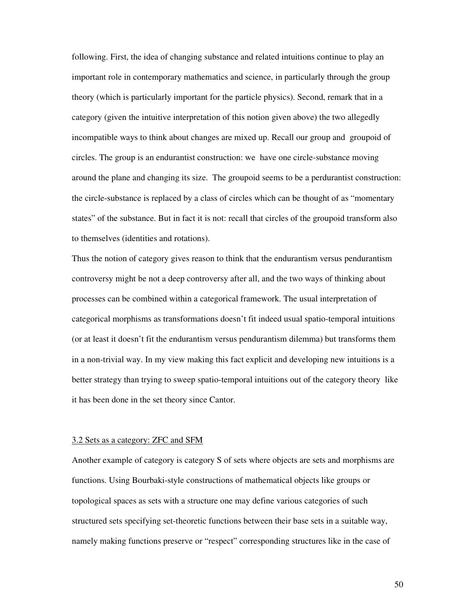following. First, the idea of changing substance and related intuitions continue to play an important role in contemporary mathematics and science, in particularly through the group theory (which is particularly important for the particle physics). Second, remark that in a category (given the intuitive interpretation of this notion given above) the two allegedly incompatible ways to think about changes are mixed up. Recall our group and groupoid of circles. The group is an endurantist construction: we have one circle-substance moving around the plane and changing its size. The groupoid seems to be a perdurantist construction: the circle-substance is replaced by a class of circles which can be thought of as "momentary states" of the substance. But in fact it is not: recall that circles of the groupoid transform also to themselves (identities and rotations).

Thus the notion of category gives reason to think that the endurantism versus pendurantism controversy might be not a deep controversy after all, and the two ways of thinking about processes can be combined within a categorical framework. The usual interpretation of categorical morphisms as transformations doesn't fit indeed usual spatio-temporal intuitions (or at least it doesn't fit the endurantism versus pendurantism dilemma) but transforms them in a non-trivial way. In my view making this fact explicit and developing new intuitions is a better strategy than trying to sweep spatio-temporal intuitions out of the category theory like it has been done in the set theory since Cantor.

### 3.2 Sets as a category: ZFC and SFM

Another example of category is category S of sets where objects are sets and morphisms are functions. Using Bourbaki-style constructions of mathematical objects like groups or topological spaces as sets with a structure one may define various categories of such structured sets specifying set-theoretic functions between their base sets in a suitable way, namely making functions preserve or "respect" corresponding structures like in the case of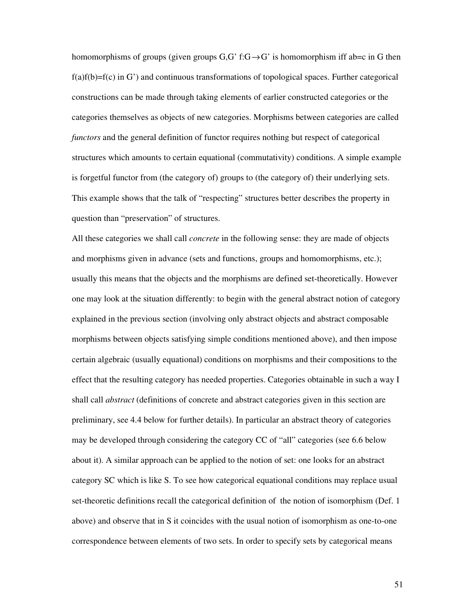homomorphisms of groups (given groups  $G, G'$  f: $G \rightarrow G'$  is homomorphism iff ab=c in G then  $f(a)f(b)=f(c)$  in G') and continuous transformations of topological spaces. Further categorical constructions can be made through taking elements of earlier constructed categories or the categories themselves as objects of new categories. Morphisms between categories are called *functors* and the general definition of functor requires nothing but respect of categorical structures which amounts to certain equational (commutativity) conditions. A simple example is forgetful functor from (the category of) groups to (the category of) their underlying sets. This example shows that the talk of "respecting" structures better describes the property in question than "preservation" of structures.

All these categories we shall call *concrete* in the following sense: they are made of objects and morphisms given in advance (sets and functions, groups and homomorphisms, etc.); usually this means that the objects and the morphisms are defined set-theoretically. However one may look at the situation differently: to begin with the general abstract notion of category explained in the previous section (involving only abstract objects and abstract composable morphisms between objects satisfying simple conditions mentioned above), and then impose certain algebraic (usually equational) conditions on morphisms and their compositions to the effect that the resulting category has needed properties. Categories obtainable in such a way I shall call *abstract* (definitions of concrete and abstract categories given in this section are preliminary, see 4.4 below for further details). In particular an abstract theory of categories may be developed through considering the category CC of "all" categories (see 6.6 below about it). A similar approach can be applied to the notion of set: one looks for an abstract category SC which is like S. To see how categorical equational conditions may replace usual set-theoretic definitions recall the categorical definition of the notion of isomorphism (Def. 1 above) and observe that in S it coincides with the usual notion of isomorphism as one-to-one correspondence between elements of two sets. In order to specify sets by categorical means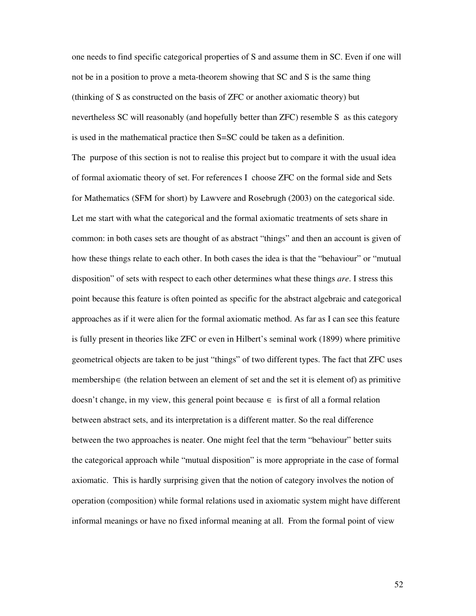one needs to find specific categorical properties of S and assume them in SC. Even if one will not be in a position to prove a meta-theorem showing that SC and S is the same thing (thinking of S as constructed on the basis of ZFC or another axiomatic theory) but nevertheless SC will reasonably (and hopefully better than ZFC) resemble S as this category is used in the mathematical practice then S=SC could be taken as a definition.

The purpose of this section is not to realise this project but to compare it with the usual idea of formal axiomatic theory of set. For references I choose ZFC on the formal side and Sets for Mathematics (SFM for short) by Lawvere and Rosebrugh (2003) on the categorical side. Let me start with what the categorical and the formal axiomatic treatments of sets share in common: in both cases sets are thought of as abstract "things" and then an account is given of how these things relate to each other. In both cases the idea is that the "behaviour" or "mutual disposition" of sets with respect to each other determines what these things *are*. I stress this point because this feature is often pointed as specific for the abstract algebraic and categorical approaches as if it were alien for the formal axiomatic method. As far as I can see this feature is fully present in theories like ZFC or even in Hilbert's seminal work (1899) where primitive geometrical objects are taken to be just "things" of two different types. The fact that ZFC uses membership∈ (the relation between an element of set and the set it is element of) as primitive doesn't change, in my view, this general point because  $\in$  is first of all a formal relation between abstract sets, and its interpretation is a different matter. So the real difference between the two approaches is neater. One might feel that the term "behaviour" better suits the categorical approach while "mutual disposition" is more appropriate in the case of formal axiomatic. This is hardly surprising given that the notion of category involves the notion of operation (composition) while formal relations used in axiomatic system might have different informal meanings or have no fixed informal meaning at all. From the formal point of view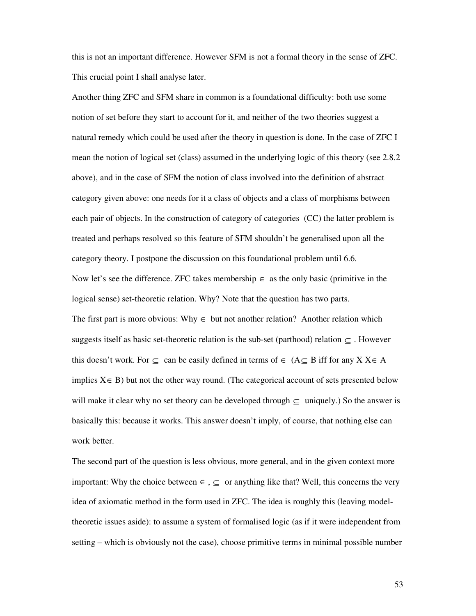this is not an important difference. However SFM is not a formal theory in the sense of ZFC. This crucial point I shall analyse later.

Another thing ZFC and SFM share in common is a foundational difficulty: both use some notion of set before they start to account for it, and neither of the two theories suggest a natural remedy which could be used after the theory in question is done. In the case of ZFC I mean the notion of logical set (class) assumed in the underlying logic of this theory (see 2.8.2 above), and in the case of SFM the notion of class involved into the definition of abstract category given above: one needs for it a class of objects and a class of morphisms between each pair of objects. In the construction of category of categories (CC) the latter problem is treated and perhaps resolved so this feature of SFM shouldn't be generalised upon all the category theory. I postpone the discussion on this foundational problem until 6.6. Now let's see the difference. ZFC takes membership  $\in$  as the only basic (primitive in the logical sense) set-theoretic relation. Why? Note that the question has two parts. The first part is more obvious: Why  $\in$  but not another relation? Another relation which suggests itself as basic set-theoretic relation is the sub-set (parthood) relation  $\subseteq$ . However this doesn't work. For  $\subseteq$  can be easily defined in terms of  $\in$  (A $\subseteq$  B iff for any X X $\in$  A implies  $X \in B$ ) but not the other way round. (The categorical account of sets presented below will make it clear why no set theory can be developed through  $\subseteq$  uniquely.) So the answer is basically this: because it works. This answer doesn't imply, of course, that nothing else can work better.

The second part of the question is less obvious, more general, and in the given context more important: Why the choice between  $\in$ ,  $\subseteq$  or anything like that? Well, this concerns the very idea of axiomatic method in the form used in ZFC. The idea is roughly this (leaving modeltheoretic issues aside): to assume a system of formalised logic (as if it were independent from setting – which is obviously not the case), choose primitive terms in minimal possible number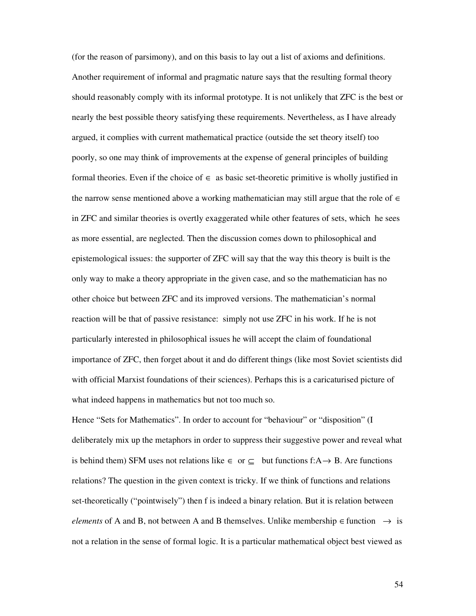(for the reason of parsimony), and on this basis to lay out a list of axioms and definitions. Another requirement of informal and pragmatic nature says that the resulting formal theory should reasonably comply with its informal prototype. It is not unlikely that ZFC is the best or nearly the best possible theory satisfying these requirements. Nevertheless, as I have already argued, it complies with current mathematical practice (outside the set theory itself) too poorly, so one may think of improvements at the expense of general principles of building formal theories. Even if the choice of  $\in$  as basic set-theoretic primitive is wholly justified in the narrow sense mentioned above a working mathematician may still argue that the role of  $\in$ in ZFC and similar theories is overtly exaggerated while other features of sets, which he sees as more essential, are neglected. Then the discussion comes down to philosophical and epistemological issues: the supporter of ZFC will say that the way this theory is built is the only way to make a theory appropriate in the given case, and so the mathematician has no other choice but between ZFC and its improved versions. The mathematician's normal reaction will be that of passive resistance: simply not use ZFC in his work. If he is not particularly interested in philosophical issues he will accept the claim of foundational importance of ZFC, then forget about it and do different things (like most Soviet scientists did with official Marxist foundations of their sciences). Perhaps this is a caricaturised picture of what indeed happens in mathematics but not too much so.

Hence "Sets for Mathematics". In order to account for "behaviour" or "disposition" (I deliberately mix up the metaphors in order to suppress their suggestive power and reveal what is behind them) SFM uses not relations like  $\in$  or  $\subseteq$  but functions f:A→ B. Are functions relations? The question in the given context is tricky. If we think of functions and relations set-theoretically ("pointwisely") then f is indeed a binary relation. But it is relation between *elements* of A and B, not between A and B themselves. Unlike membership  $\in$  function  $\rightarrow$  is not a relation in the sense of formal logic. It is a particular mathematical object best viewed as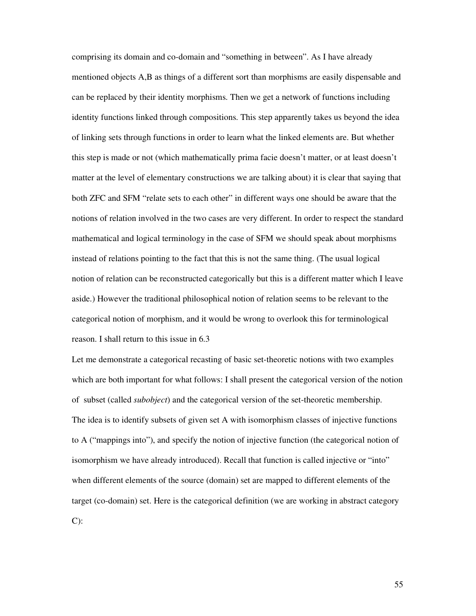comprising its domain and co-domain and "something in between". As I have already mentioned objects A,B as things of a different sort than morphisms are easily dispensable and can be replaced by their identity morphisms. Then we get a network of functions including identity functions linked through compositions. This step apparently takes us beyond the idea of linking sets through functions in order to learn what the linked elements are. But whether this step is made or not (which mathematically prima facie doesn't matter, or at least doesn't matter at the level of elementary constructions we are talking about) it is clear that saying that both ZFC and SFM "relate sets to each other" in different ways one should be aware that the notions of relation involved in the two cases are very different. In order to respect the standard mathematical and logical terminology in the case of SFM we should speak about morphisms instead of relations pointing to the fact that this is not the same thing. (The usual logical notion of relation can be reconstructed categorically but this is a different matter which I leave aside.) However the traditional philosophical notion of relation seems to be relevant to the categorical notion of morphism, and it would be wrong to overlook this for terminological reason. I shall return to this issue in 6.3

Let me demonstrate a categorical recasting of basic set-theoretic notions with two examples which are both important for what follows: I shall present the categorical version of the notion of subset (called *subobject*) and the categorical version of the set-theoretic membership. The idea is to identify subsets of given set A with isomorphism classes of injective functions to A ("mappings into"), and specify the notion of injective function (the categorical notion of isomorphism we have already introduced). Recall that function is called injective or "into" when different elements of the source (domain) set are mapped to different elements of the target (co-domain) set. Here is the categorical definition (we are working in abstract category  $C$ :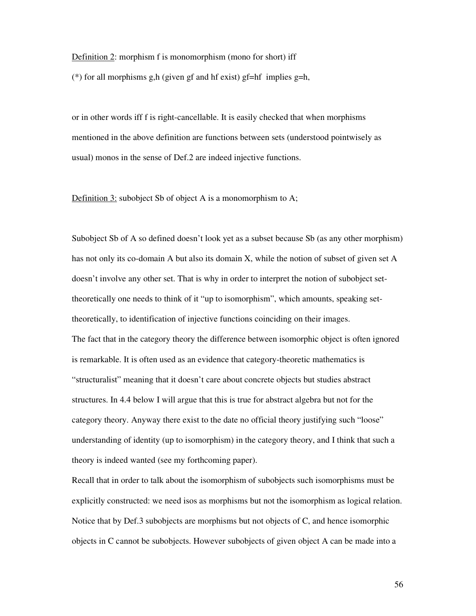#### Definition 2: morphism f is monomorphism (mono for short) iff

(\*) for all morphisms g,h (given gf and hf exist) gf=hf implies g=h,

or in other words iff f is right-cancellable. It is easily checked that when morphisms mentioned in the above definition are functions between sets (understood pointwisely as usual) monos in the sense of Def.2 are indeed injective functions.

Definition 3: subobject Sb of object A is a monomorphism to A;

Subobject Sb of A so defined doesn't look yet as a subset because Sb (as any other morphism) has not only its co-domain A but also its domain X, while the notion of subset of given set A doesn't involve any other set. That is why in order to interpret the notion of subobject settheoretically one needs to think of it "up to isomorphism", which amounts, speaking settheoretically, to identification of injective functions coinciding on their images. The fact that in the category theory the difference between isomorphic object is often ignored is remarkable. It is often used as an evidence that category-theoretic mathematics is "structuralist" meaning that it doesn't care about concrete objects but studies abstract structures. In 4.4 below I will argue that this is true for abstract algebra but not for the category theory. Anyway there exist to the date no official theory justifying such "loose" understanding of identity (up to isomorphism) in the category theory, and I think that such a theory is indeed wanted (see my forthcoming paper).

Recall that in order to talk about the isomorphism of subobjects such isomorphisms must be explicitly constructed: we need isos as morphisms but not the isomorphism as logical relation. Notice that by Def.3 subobjects are morphisms but not objects of C, and hence isomorphic objects in C cannot be subobjects. However subobjects of given object A can be made into a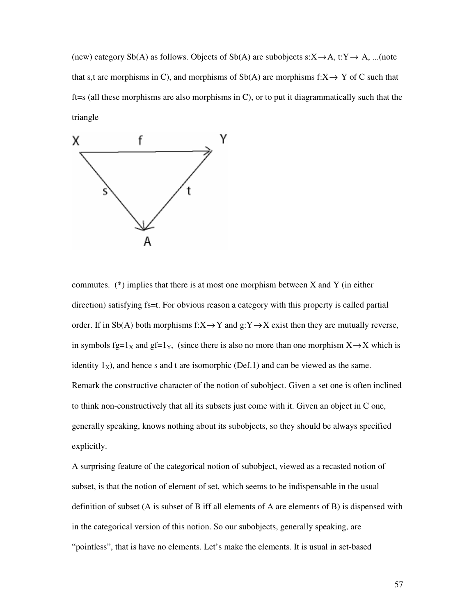(new) category Sb(A) as follows. Objects of Sb(A) are subobjects  $s:X\rightarrow A$ ,  $t:Y\rightarrow A$ , ...(note that s,t are morphisms in C), and morphisms of  $Sb(A)$  are morphisms f: $X \rightarrow Y$  of C such that ft=s (all these morphisms are also morphisms in C), or to put it diagrammatically such that the triangle



commutes. (\*) implies that there is at most one morphism between X and Y (in either direction) satisfying fs=t. For obvious reason a category with this property is called partial order. If in Sb(A) both morphisms  $f:X\to Y$  and  $g:Y\to X$  exist then they are mutually reverse, in symbols fg=1<sub>X</sub> and gf=1<sub>Y</sub>, (since there is also no more than one morphism  $X \rightarrow X$  which is identity  $1_x$ ), and hence s and t are isomorphic (Def.1) and can be viewed as the same. Remark the constructive character of the notion of subobject. Given a set one is often inclined to think non-constructively that all its subsets just come with it. Given an object in C one, generally speaking, knows nothing about its subobjects, so they should be always specified explicitly.

A surprising feature of the categorical notion of subobject, viewed as a recasted notion of subset, is that the notion of element of set, which seems to be indispensable in the usual definition of subset (A is subset of B iff all elements of A are elements of B) is dispensed with in the categorical version of this notion. So our subobjects, generally speaking, are "pointless", that is have no elements. Let's make the elements. It is usual in set-based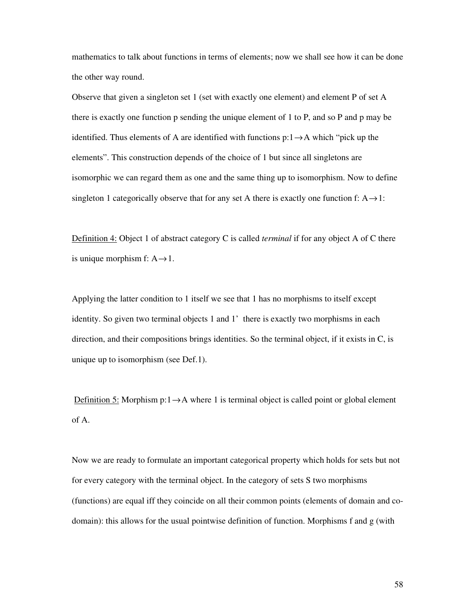mathematics to talk about functions in terms of elements; now we shall see how it can be done the other way round.

Observe that given a singleton set 1 (set with exactly one element) and element P of set A there is exactly one function p sending the unique element of 1 to P, and so P and p may be identified. Thus elements of A are identified with functions  $p:1\rightarrow A$  which "pick up the elements". This construction depends of the choice of 1 but since all singletons are isomorphic we can regard them as one and the same thing up to isomorphism. Now to define singleton 1 categorically observe that for any set A there is exactly one function f:  $A \rightarrow 1$ :

Definition 4: Object 1 of abstract category C is called *terminal* if for any object A of C there is unique morphism f:  $A \rightarrow 1$ .

Applying the latter condition to 1 itself we see that 1 has no morphisms to itself except identity. So given two terminal objects 1 and 1' there is exactly two morphisms in each direction, and their compositions brings identities. So the terminal object, if it exists in C, is unique up to isomorphism (see Def.1).

Definition 5: Morphism  $p:1 \rightarrow A$  where 1 is terminal object is called point or global element of A.

Now we are ready to formulate an important categorical property which holds for sets but not for every category with the terminal object. In the category of sets S two morphisms (functions) are equal iff they coincide on all their common points (elements of domain and codomain): this allows for the usual pointwise definition of function. Morphisms f and g (with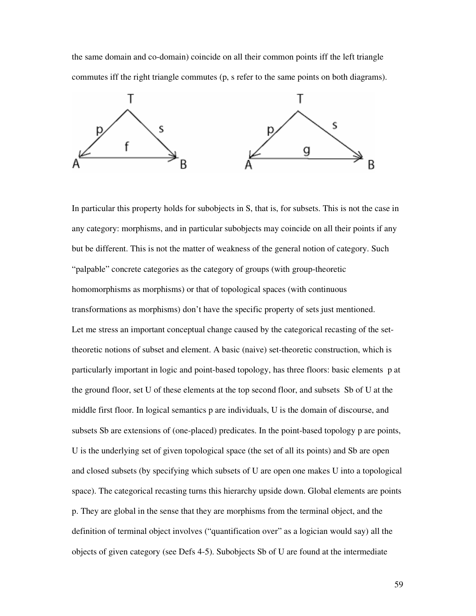the same domain and co-domain) coincide on all their common points iff the left triangle commutes iff the right triangle commutes (p, s refer to the same points on both diagrams).



In particular this property holds for subobjects in S, that is, for subsets. This is not the case in any category: morphisms, and in particular subobjects may coincide on all their points if any but be different. This is not the matter of weakness of the general notion of category. Such "palpable" concrete categories as the category of groups (with group-theoretic homomorphisms as morphisms) or that of topological spaces (with continuous transformations as morphisms) don't have the specific property of sets just mentioned. Let me stress an important conceptual change caused by the categorical recasting of the settheoretic notions of subset and element. A basic (naive) set-theoretic construction, which is particularly important in logic and point-based topology, has three floors: basic elements p at the ground floor, set U of these elements at the top second floor, and subsets Sb of U at the middle first floor. In logical semantics p are individuals, U is the domain of discourse, and subsets Sb are extensions of (one-placed) predicates. In the point-based topology p are points, U is the underlying set of given topological space (the set of all its points) and Sb are open and closed subsets (by specifying which subsets of U are open one makes U into a topological space). The categorical recasting turns this hierarchy upside down. Global elements are points p. They are global in the sense that they are morphisms from the terminal object, and the definition of terminal object involves ("quantification over" as a logician would say) all the objects of given category (see Defs 4-5). Subobjects Sb of U are found at the intermediate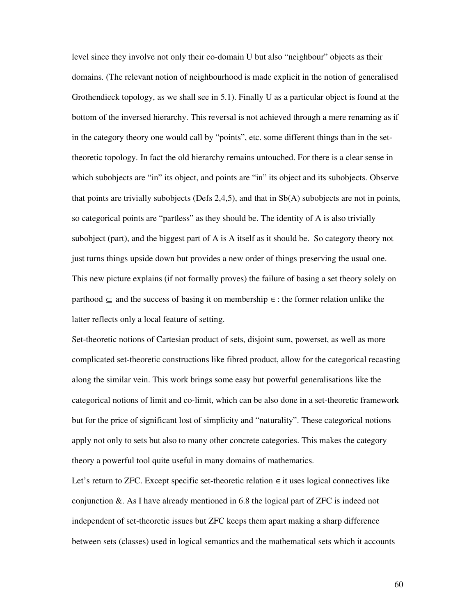level since they involve not only their co-domain U but also "neighbour" objects as their domains. (The relevant notion of neighbourhood is made explicit in the notion of generalised Grothendieck topology, as we shall see in 5.1). Finally U as a particular object is found at the bottom of the inversed hierarchy. This reversal is not achieved through a mere renaming as if in the category theory one would call by "points", etc. some different things than in the settheoretic topology. In fact the old hierarchy remains untouched. For there is a clear sense in which subobjects are "in" its object, and points are "in" its object and its subobjects. Observe that points are trivially subobjects (Defs 2,4,5), and that in Sb(A) subobjects are not in points, so categorical points are "partless" as they should be. The identity of A is also trivially subobject (part), and the biggest part of A is A itself as it should be. So category theory not just turns things upside down but provides a new order of things preserving the usual one. This new picture explains (if not formally proves) the failure of basing a set theory solely on parthood  $\subseteq$  and the success of basing it on membership  $\in$  : the former relation unlike the latter reflects only a local feature of setting.

Set-theoretic notions of Cartesian product of sets, disjoint sum, powerset, as well as more complicated set-theoretic constructions like fibred product, allow for the categorical recasting along the similar vein. This work brings some easy but powerful generalisations like the categorical notions of limit and co-limit, which can be also done in a set-theoretic framework but for the price of significant lost of simplicity and "naturality". These categorical notions apply not only to sets but also to many other concrete categories. This makes the category theory a powerful tool quite useful in many domains of mathematics.

Let's return to ZFC. Except specific set-theoretic relation  $\in$  it uses logical connectives like conjunction &. As I have already mentioned in 6.8 the logical part of ZFC is indeed not independent of set-theoretic issues but ZFC keeps them apart making a sharp difference between sets (classes) used in logical semantics and the mathematical sets which it accounts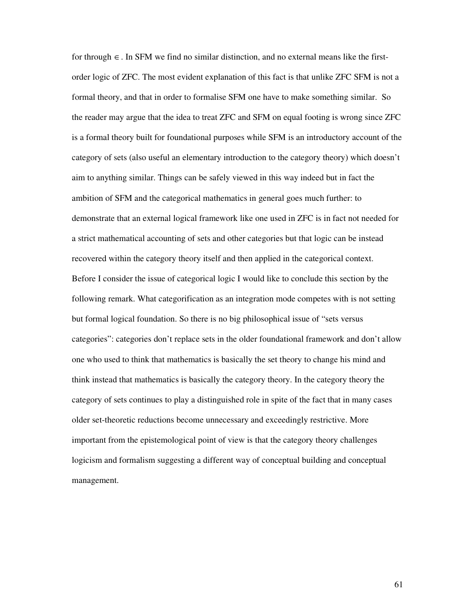for through  $\in$ . In SFM we find no similar distinction, and no external means like the firstorder logic of ZFC. The most evident explanation of this fact is that unlike ZFC SFM is not a formal theory, and that in order to formalise SFM one have to make something similar. So the reader may argue that the idea to treat ZFC and SFM on equal footing is wrong since ZFC is a formal theory built for foundational purposes while SFM is an introductory account of the category of sets (also useful an elementary introduction to the category theory) which doesn't aim to anything similar. Things can be safely viewed in this way indeed but in fact the ambition of SFM and the categorical mathematics in general goes much further: to demonstrate that an external logical framework like one used in ZFC is in fact not needed for a strict mathematical accounting of sets and other categories but that logic can be instead recovered within the category theory itself and then applied in the categorical context. Before I consider the issue of categorical logic I would like to conclude this section by the following remark. What categorification as an integration mode competes with is not setting but formal logical foundation. So there is no big philosophical issue of "sets versus categories": categories don't replace sets in the older foundational framework and don't allow one who used to think that mathematics is basically the set theory to change his mind and think instead that mathematics is basically the category theory. In the category theory the category of sets continues to play a distinguished role in spite of the fact that in many cases older set-theoretic reductions become unnecessary and exceedingly restrictive. More important from the epistemological point of view is that the category theory challenges logicism and formalism suggesting a different way of conceptual building and conceptual management.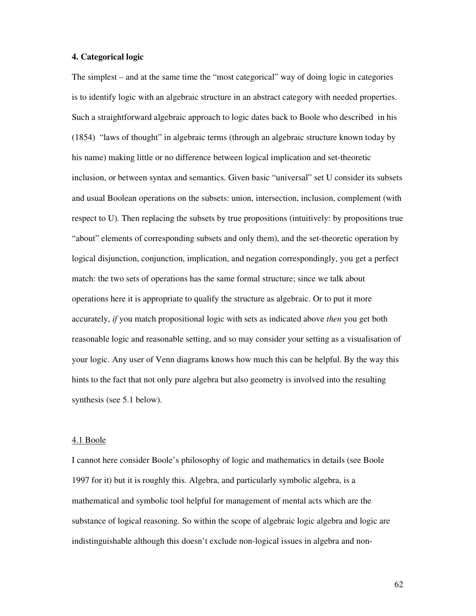## **4. Categorical logic**

The simplest – and at the same time the "most categorical" way of doing logic in categories is to identify logic with an algebraic structure in an abstract category with needed properties. Such a straightforward algebraic approach to logic dates back to Boole who described in his (1854) "laws of thought" in algebraic terms (through an algebraic structure known today by his name) making little or no difference between logical implication and set-theoretic inclusion, or between syntax and semantics. Given basic "universal" set U consider its subsets and usual Boolean operations on the subsets: union, intersection, inclusion, complement (with respect to U). Then replacing the subsets by true propositions (intuitively: by propositions true "about" elements of corresponding subsets and only them), and the set-theoretic operation by logical disjunction, conjunction, implication, and negation correspondingly, you get a perfect match: the two sets of operations has the same formal structure; since we talk about operations here it is appropriate to qualify the structure as algebraic. Or to put it more accurately, *if* you match propositional logic with sets as indicated above *then* you get both reasonable logic and reasonable setting, and so may consider your setting as a visualisation of your logic. Any user of Venn diagrams knows how much this can be helpful. By the way this hints to the fact that not only pure algebra but also geometry is involved into the resulting synthesis (see 5.1 below).

### 4.1 Boole

I cannot here consider Boole's philosophy of logic and mathematics in details (see Boole 1997 for it) but it is roughly this. Algebra, and particularly symbolic algebra, is a mathematical and symbolic tool helpful for management of mental acts which are the substance of logical reasoning. So within the scope of algebraic logic algebra and logic are indistinguishable although this doesn't exclude non-logical issues in algebra and non-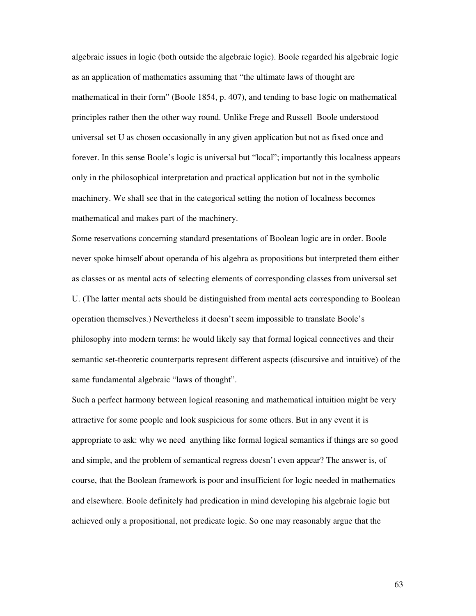algebraic issues in logic (both outside the algebraic logic). Boole regarded his algebraic logic as an application of mathematics assuming that "the ultimate laws of thought are mathematical in their form" (Boole 1854, p. 407), and tending to base logic on mathematical principles rather then the other way round. Unlike Frege and Russell Boole understood universal set U as chosen occasionally in any given application but not as fixed once and forever. In this sense Boole's logic is universal but "local"; importantly this localness appears only in the philosophical interpretation and practical application but not in the symbolic machinery. We shall see that in the categorical setting the notion of localness becomes mathematical and makes part of the machinery.

Some reservations concerning standard presentations of Boolean logic are in order. Boole never spoke himself about operanda of his algebra as propositions but interpreted them either as classes or as mental acts of selecting elements of corresponding classes from universal set U. (The latter mental acts should be distinguished from mental acts corresponding to Boolean operation themselves.) Nevertheless it doesn't seem impossible to translate Boole's philosophy into modern terms: he would likely say that formal logical connectives and their semantic set-theoretic counterparts represent different aspects (discursive and intuitive) of the same fundamental algebraic "laws of thought".

Such a perfect harmony between logical reasoning and mathematical intuition might be very attractive for some people and look suspicious for some others. But in any event it is appropriate to ask: why we need anything like formal logical semantics if things are so good and simple, and the problem of semantical regress doesn't even appear? The answer is, of course, that the Boolean framework is poor and insufficient for logic needed in mathematics and elsewhere. Boole definitely had predication in mind developing his algebraic logic but achieved only a propositional, not predicate logic. So one may reasonably argue that the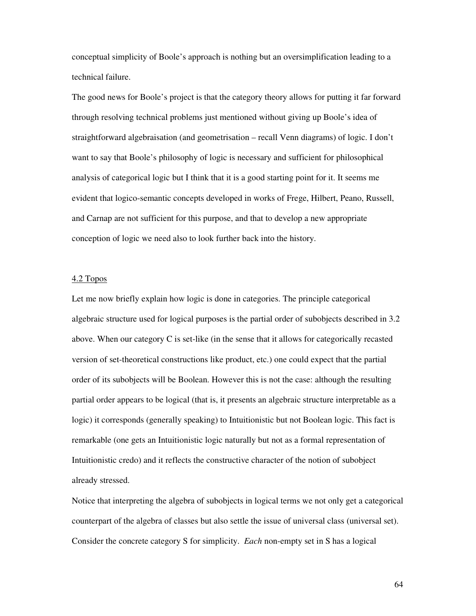conceptual simplicity of Boole's approach is nothing but an oversimplification leading to a technical failure.

The good news for Boole's project is that the category theory allows for putting it far forward through resolving technical problems just mentioned without giving up Boole's idea of straightforward algebraisation (and geometrisation – recall Venn diagrams) of logic. I don't want to say that Boole's philosophy of logic is necessary and sufficient for philosophical analysis of categorical logic but I think that it is a good starting point for it. It seems me evident that logico-semantic concepts developed in works of Frege, Hilbert, Peano, Russell, and Carnap are not sufficient for this purpose, and that to develop a new appropriate conception of logic we need also to look further back into the history.

### 4.2 Topos

Let me now briefly explain how logic is done in categories. The principle categorical algebraic structure used for logical purposes is the partial order of subobjects described in 3.2 above. When our category  $C$  is set-like (in the sense that it allows for categorically recasted version of set-theoretical constructions like product, etc.) one could expect that the partial order of its subobjects will be Boolean. However this is not the case: although the resulting partial order appears to be logical (that is, it presents an algebraic structure interpretable as a logic) it corresponds (generally speaking) to Intuitionistic but not Boolean logic. This fact is remarkable (one gets an Intuitionistic logic naturally but not as a formal representation of Intuitionistic credo) and it reflects the constructive character of the notion of subobject already stressed.

Notice that interpreting the algebra of subobjects in logical terms we not only get a categorical counterpart of the algebra of classes but also settle the issue of universal class (universal set). Consider the concrete category S for simplicity. *Each* non-empty set in S has a logical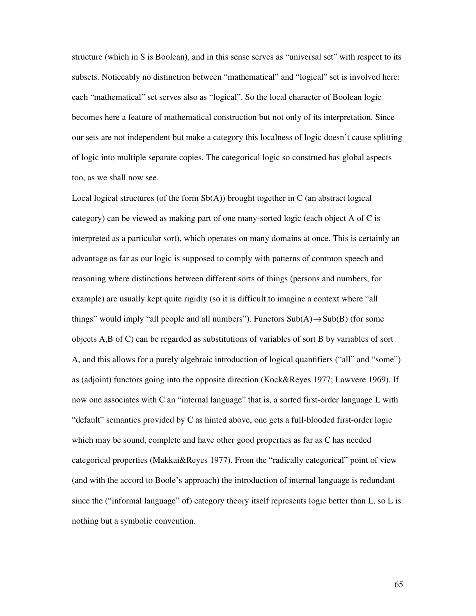structure (which in S is Boolean), and in this sense serves as "universal set" with respect to its subsets. Noticeably no distinction between "mathematical" and "logical" set is involved here: each "mathematical" set serves also as "logical". So the local character of Boolean logic becomes here a feature of mathematical construction but not only of its interpretation. Since our sets are not independent but make a category this localness of logic doesn't cause splitting of logic into multiple separate copies. The categorical logic so construed has global aspects too, as we shall now see.

Local logical structures (of the form  $Sb(A)$ ) brought together in C (an abstract logical category) can be viewed as making part of one many-sorted logic (each object A of C is interpreted as a particular sort), which operates on many domains at once. This is certainly an advantage as far as our logic is supposed to comply with patterns of common speech and reasoning where distinctions between different sorts of things (persons and numbers, for example) are usually kept quite rigidly (so it is difficult to imagine a context where "all things" would imply "all people and all numbers"). Functors  $\text{Sub}(A) \rightarrow \text{Sub}(B)$  (for some objects A,B of C) can be regarded as substitutions of variables of sort B by variables of sort A, and this allows for a purely algebraic introduction of logical quantifiers ("all" and "some") as (adjoint) functors going into the opposite direction (Kock&Reyes 1977; Lawvere 1969). If now one associates with C an "internal language" that is, a sorted first-order language L with "default" semantics provided by C as hinted above, one gets a full-blooded first-order logic which may be sound, complete and have other good properties as far as C has needed categorical properties (Makkai&Reyes 1977). From the "radically categorical" point of view (and with the accord to Boole's approach) the introduction of internal language is redundant since the ("informal language" of) category theory itself represents logic better than L, so L is nothing but a symbolic convention.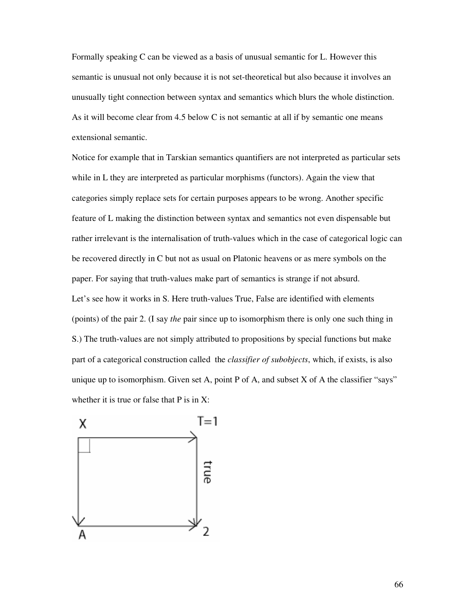Formally speaking C can be viewed as a basis of unusual semantic for L. However this semantic is unusual not only because it is not set-theoretical but also because it involves an unusually tight connection between syntax and semantics which blurs the whole distinction. As it will become clear from 4.5 below C is not semantic at all if by semantic one means extensional semantic.

Notice for example that in Tarskian semantics quantifiers are not interpreted as particular sets while in L they are interpreted as particular morphisms (functors). Again the view that categories simply replace sets for certain purposes appears to be wrong. Another specific feature of L making the distinction between syntax and semantics not even dispensable but rather irrelevant is the internalisation of truth-values which in the case of categorical logic can be recovered directly in C but not as usual on Platonic heavens or as mere symbols on the paper. For saying that truth-values make part of semantics is strange if not absurd. Let's see how it works in S. Here truth-values True, False are identified with elements (points) of the pair 2. (I say *the* pair since up to isomorphism there is only one such thing in S.) The truth-values are not simply attributed to propositions by special functions but make part of a categorical construction called the *classifier of subobjects*, which, if exists, is also unique up to isomorphism. Given set A, point P of A, and subset X of A the classifier "says" whether it is true or false that P is in X:

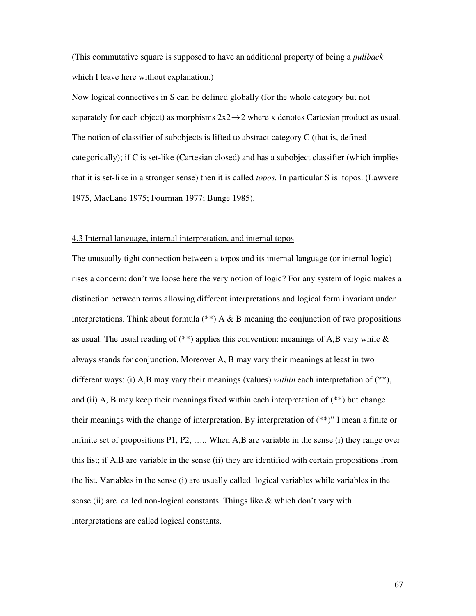(This commutative square is supposed to have an additional property of being a *pullback* which I leave here without explanation.)

Now logical connectives in S can be defined globally (for the whole category but not separately for each object) as morphisms  $2x2 \rightarrow 2$  where x denotes Cartesian product as usual. The notion of classifier of subobjects is lifted to abstract category C (that is, defined categorically); if C is set-like (Cartesian closed) and has a subobject classifier (which implies that it is set-like in a stronger sense) then it is called *topos.* In particular S is topos. (Lawvere 1975, MacLane 1975; Fourman 1977; Bunge 1985).

### 4.3 Internal language, internal interpretation, and internal topos

The unusually tight connection between a topos and its internal language (or internal logic) rises a concern: don't we loose here the very notion of logic? For any system of logic makes a distinction between terms allowing different interpretations and logical form invariant under interpretations. Think about formula  $(**)$  A & B meaning the conjunction of two propositions as usual. The usual reading of  $(**)$  applies this convention: meanings of A,B vary while  $\&$ always stands for conjunction. Moreover A, B may vary their meanings at least in two different ways: (i) A,B may vary their meanings (values) *within* each interpretation of (\*\*), and (ii) A, B may keep their meanings fixed within each interpretation of  $(**)$  but change their meanings with the change of interpretation. By interpretation of (\*\*)" I mean a finite or infinite set of propositions P1, P2, ….. When A,B are variable in the sense (i) they range over this list; if A,B are variable in the sense (ii) they are identified with certain propositions from the list. Variables in the sense (i) are usually called logical variables while variables in the sense (ii) are called non-logical constants. Things like & which don't vary with interpretations are called logical constants.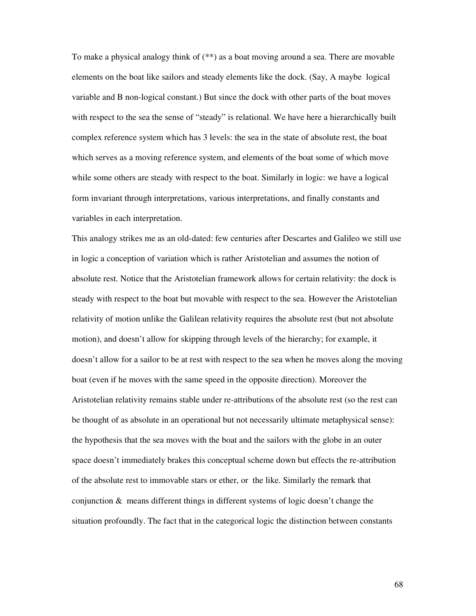To make a physical analogy think of (\*\*) as a boat moving around a sea. There are movable elements on the boat like sailors and steady elements like the dock. (Say, A maybe logical variable and B non-logical constant.) But since the dock with other parts of the boat moves with respect to the sea the sense of "steady" is relational. We have here a hierarchically built complex reference system which has 3 levels: the sea in the state of absolute rest, the boat which serves as a moving reference system, and elements of the boat some of which move while some others are steady with respect to the boat. Similarly in logic: we have a logical form invariant through interpretations, various interpretations, and finally constants and variables in each interpretation.

This analogy strikes me as an old-dated: few centuries after Descartes and Galileo we still use in logic a conception of variation which is rather Aristotelian and assumes the notion of absolute rest. Notice that the Aristotelian framework allows for certain relativity: the dock is steady with respect to the boat but movable with respect to the sea. However the Aristotelian relativity of motion unlike the Galilean relativity requires the absolute rest (but not absolute motion), and doesn't allow for skipping through levels of the hierarchy; for example, it doesn't allow for a sailor to be at rest with respect to the sea when he moves along the moving boat (even if he moves with the same speed in the opposite direction). Moreover the Aristotelian relativity remains stable under re-attributions of the absolute rest (so the rest can be thought of as absolute in an operational but not necessarily ultimate metaphysical sense): the hypothesis that the sea moves with the boat and the sailors with the globe in an outer space doesn't immediately brakes this conceptual scheme down but effects the re-attribution of the absolute rest to immovable stars or ether, or the like. Similarly the remark that conjunction & means different things in different systems of logic doesn't change the situation profoundly. The fact that in the categorical logic the distinction between constants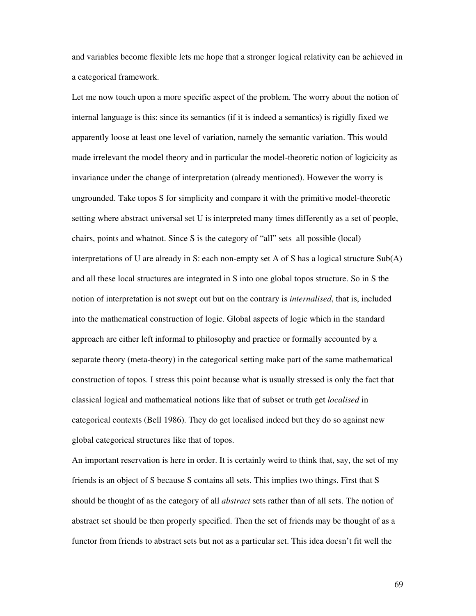and variables become flexible lets me hope that a stronger logical relativity can be achieved in a categorical framework.

Let me now touch upon a more specific aspect of the problem. The worry about the notion of internal language is this: since its semantics (if it is indeed a semantics) is rigidly fixed we apparently loose at least one level of variation, namely the semantic variation. This would made irrelevant the model theory and in particular the model-theoretic notion of logicicity as invariance under the change of interpretation (already mentioned). However the worry is ungrounded. Take topos S for simplicity and compare it with the primitive model-theoretic setting where abstract universal set U is interpreted many times differently as a set of people, chairs, points and whatnot. Since S is the category of "all" sets all possible (local) interpretations of U are already in S: each non-empty set A of S has a logical structure Sub(A) and all these local structures are integrated in S into one global topos structure. So in S the notion of interpretation is not swept out but on the contrary is *internalised*, that is, included into the mathematical construction of logic. Global aspects of logic which in the standard approach are either left informal to philosophy and practice or formally accounted by a separate theory (meta-theory) in the categorical setting make part of the same mathematical construction of topos. I stress this point because what is usually stressed is only the fact that classical logical and mathematical notions like that of subset or truth get *localised* in categorical contexts (Bell 1986). They do get localised indeed but they do so against new global categorical structures like that of topos.

An important reservation is here in order. It is certainly weird to think that, say, the set of my friends is an object of S because S contains all sets. This implies two things. First that S should be thought of as the category of all *abstract* sets rather than of all sets. The notion of abstract set should be then properly specified. Then the set of friends may be thought of as a functor from friends to abstract sets but not as a particular set. This idea doesn't fit well the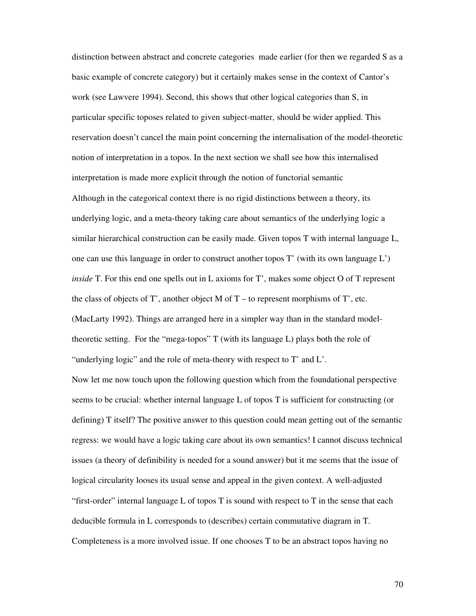distinction between abstract and concrete categories made earlier (for then we regarded S as a basic example of concrete category) but it certainly makes sense in the context of Cantor's work (see Lawvere 1994). Second, this shows that other logical categories than S, in particular specific toposes related to given subject-matter, should be wider applied. This reservation doesn't cancel the main point concerning the internalisation of the model-theoretic notion of interpretation in a topos. In the next section we shall see how this internalised interpretation is made more explicit through the notion of functorial semantic Although in the categorical context there is no rigid distinctions between a theory, its underlying logic, and a meta-theory taking care about semantics of the underlying logic a similar hierarchical construction can be easily made. Given topos T with internal language L, one can use this language in order to construct another topos T' (with its own language L') *inside* T. For this end one spells out in L axioms for T', makes some object O of T represent the class of objects of T', another object M of  $T -$  to represent morphisms of T', etc. (MacLarty 1992). Things are arranged here in a simpler way than in the standard modeltheoretic setting. For the "mega-topos" T (with its language L) plays both the role of "underlying logic" and the role of meta-theory with respect to T' and L'.

Now let me now touch upon the following question which from the foundational perspective seems to be crucial: whether internal language L of topos T is sufficient for constructing (or defining) T itself? The positive answer to this question could mean getting out of the semantic regress: we would have a logic taking care about its own semantics! I cannot discuss technical issues (a theory of definibility is needed for a sound answer) but it me seems that the issue of logical circularity looses its usual sense and appeal in the given context. A well-adjusted "first-order" internal language L of topos T is sound with respect to T in the sense that each deducible formula in L corresponds to (describes) certain commutative diagram in T. Completeness is a more involved issue. If one chooses T to be an abstract topos having no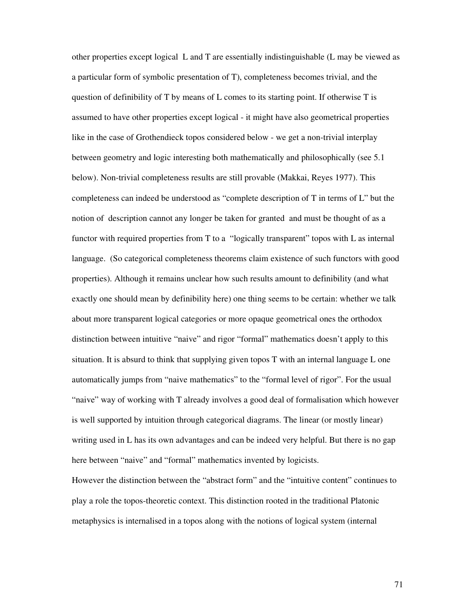other properties except logical L and T are essentially indistinguishable (L may be viewed as a particular form of symbolic presentation of T), completeness becomes trivial, and the question of definibility of T by means of L comes to its starting point. If otherwise T is assumed to have other properties except logical - it might have also geometrical properties like in the case of Grothendieck topos considered below - we get a non-trivial interplay between geometry and logic interesting both mathematically and philosophically (see 5.1 below). Non-trivial completeness results are still provable (Makkai, Reyes 1977). This completeness can indeed be understood as "complete description of T in terms of L" but the notion of description cannot any longer be taken for granted and must be thought of as a functor with required properties from T to a "logically transparent" topos with L as internal language. (So categorical completeness theorems claim existence of such functors with good properties). Although it remains unclear how such results amount to definibility (and what exactly one should mean by definibility here) one thing seems to be certain: whether we talk about more transparent logical categories or more opaque geometrical ones the orthodox distinction between intuitive "naive" and rigor "formal" mathematics doesn't apply to this situation. It is absurd to think that supplying given topos T with an internal language L one automatically jumps from "naive mathematics" to the "formal level of rigor". For the usual "naive" way of working with T already involves a good deal of formalisation which however is well supported by intuition through categorical diagrams. The linear (or mostly linear) writing used in L has its own advantages and can be indeed very helpful. But there is no gap here between "naive" and "formal" mathematics invented by logicists. However the distinction between the "abstract form" and the "intuitive content" continues to play a role the topos-theoretic context. This distinction rooted in the traditional Platonic metaphysics is internalised in a topos along with the notions of logical system (internal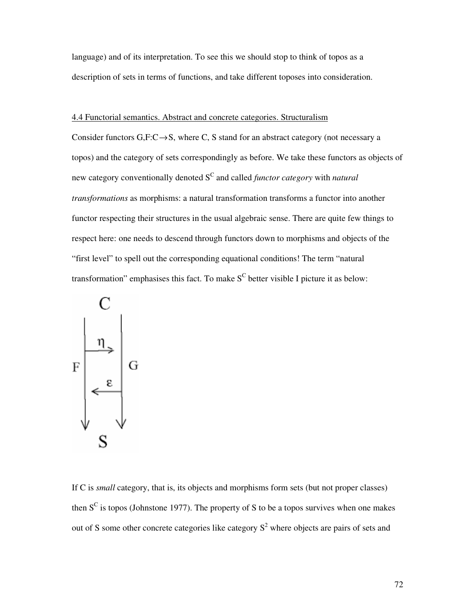language) and of its interpretation. To see this we should stop to think of topos as a description of sets in terms of functions, and take different toposes into consideration.

# 4.4 Functorial semantics. Abstract and concrete categories. Structuralism

Consider functors  $G, F: C \rightarrow S$ , where C, S stand for an abstract category (not necessary a topos) and the category of sets correspondingly as before. We take these functors as objects of new category conventionally denoted S<sup>C</sup> and called *functor category* with *natural transformations* as morphisms: a natural transformation transforms a functor into another functor respecting their structures in the usual algebraic sense. There are quite few things to respect here: one needs to descend through functors down to morphisms and objects of the "first level" to spell out the corresponding equational conditions! The term "natural transformation" emphasises this fact. To make  $S<sup>C</sup>$  better visible I picture it as below:



If C is *small* category, that is, its objects and morphisms form sets (but not proper classes) then  $S^C$  is topos (Johnstone 1977). The property of S to be a topos survives when one makes out of S some other concrete categories like category  $S<sup>2</sup>$  where objects are pairs of sets and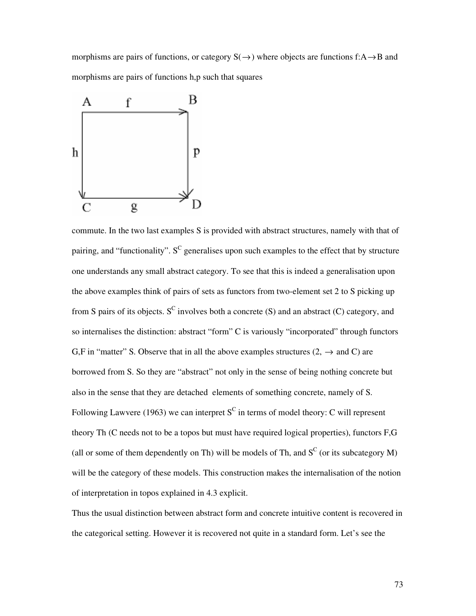morphisms are pairs of functions, or category  $S(\rightarrow)$  where objects are functions f:A  $\rightarrow$ B and morphisms are pairs of functions h,p such that squares



commute. In the two last examples S is provided with abstract structures, namely with that of pairing, and "functionality".  $S^C$  generalises upon such examples to the effect that by structure one understands any small abstract category. To see that this is indeed a generalisation upon the above examples think of pairs of sets as functors from two-element set 2 to S picking up from S pairs of its objects. S<sup>C</sup> involves both a concrete (S) and an abstract (C) category, and so internalises the distinction: abstract "form" C is variously "incorporated" through functors G,F in "matter" S. Observe that in all the above examples structures  $(2, \rightarrow \text{and } C)$  are borrowed from S. So they are "abstract" not only in the sense of being nothing concrete but also in the sense that they are detached elements of something concrete, namely of S. Following Lawvere (1963) we can interpret  $S^C$  in terms of model theory: C will represent theory Th (C needs not to be a topos but must have required logical properties), functors F,G (all or some of them dependently on Th) will be models of Th, and  $S^C$  (or its subcategory M) will be the category of these models. This construction makes the internalisation of the notion of interpretation in topos explained in 4.3 explicit.

Thus the usual distinction between abstract form and concrete intuitive content is recovered in the categorical setting. However it is recovered not quite in a standard form. Let's see the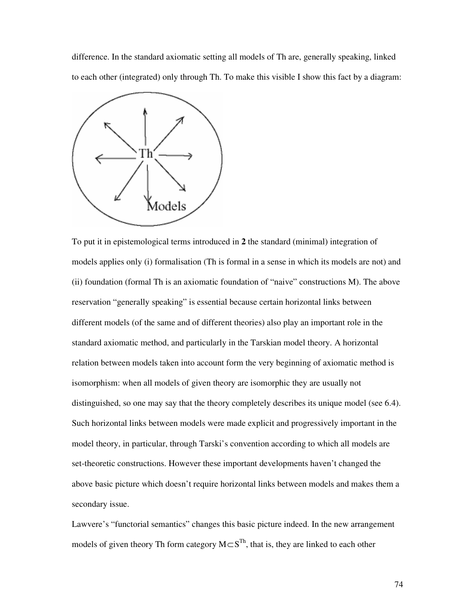difference. In the standard axiomatic setting all models of Th are, generally speaking, linked to each other (integrated) only through Th. To make this visible I show this fact by a diagram:



To put it in epistemological terms introduced in **2** the standard (minimal) integration of models applies only (i) formalisation (Th is formal in a sense in which its models are not) and (ii) foundation (formal Th is an axiomatic foundation of "naive" constructions M). The above reservation "generally speaking" is essential because certain horizontal links between different models (of the same and of different theories) also play an important role in the standard axiomatic method, and particularly in the Tarskian model theory. A horizontal relation between models taken into account form the very beginning of axiomatic method is isomorphism: when all models of given theory are isomorphic they are usually not distinguished, so one may say that the theory completely describes its unique model (see 6.4). Such horizontal links between models were made explicit and progressively important in the model theory, in particular, through Tarski's convention according to which all models are set-theoretic constructions. However these important developments haven't changed the above basic picture which doesn't require horizontal links between models and makes them a secondary issue.

Lawvere's "functorial semantics" changes this basic picture indeed. In the new arrangement models of given theory Th form category  $M \subset S^{Th}$ , that is, they are linked to each other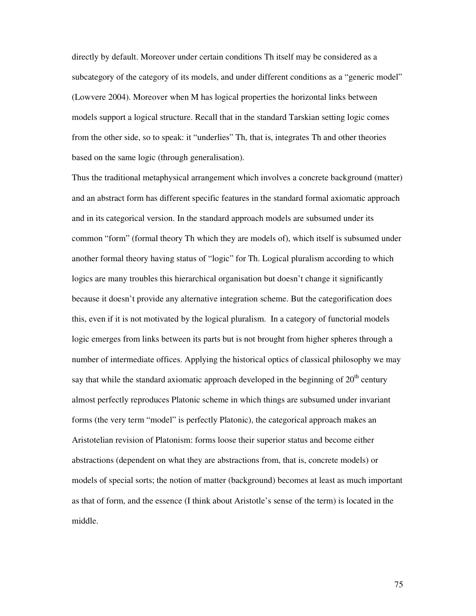directly by default. Moreover under certain conditions Th itself may be considered as a subcategory of the category of its models, and under different conditions as a "generic model" (Lowvere 2004). Moreover when M has logical properties the horizontal links between models support a logical structure. Recall that in the standard Tarskian setting logic comes from the other side, so to speak: it "underlies" Th, that is, integrates Th and other theories based on the same logic (through generalisation).

Thus the traditional metaphysical arrangement which involves a concrete background (matter) and an abstract form has different specific features in the standard formal axiomatic approach and in its categorical version. In the standard approach models are subsumed under its common "form" (formal theory Th which they are models of), which itself is subsumed under another formal theory having status of "logic" for Th. Logical pluralism according to which logics are many troubles this hierarchical organisation but doesn't change it significantly because it doesn't provide any alternative integration scheme. But the categorification does this, even if it is not motivated by the logical pluralism. In a category of functorial models logic emerges from links between its parts but is not brought from higher spheres through a number of intermediate offices. Applying the historical optics of classical philosophy we may say that while the standard axiomatic approach developed in the beginning of  $20<sup>th</sup>$  century almost perfectly reproduces Platonic scheme in which things are subsumed under invariant forms (the very term "model" is perfectly Platonic), the categorical approach makes an Aristotelian revision of Platonism: forms loose their superior status and become either abstractions (dependent on what they are abstractions from, that is, concrete models) or models of special sorts; the notion of matter (background) becomes at least as much important as that of form, and the essence (I think about Aristotle's sense of the term) is located in the middle.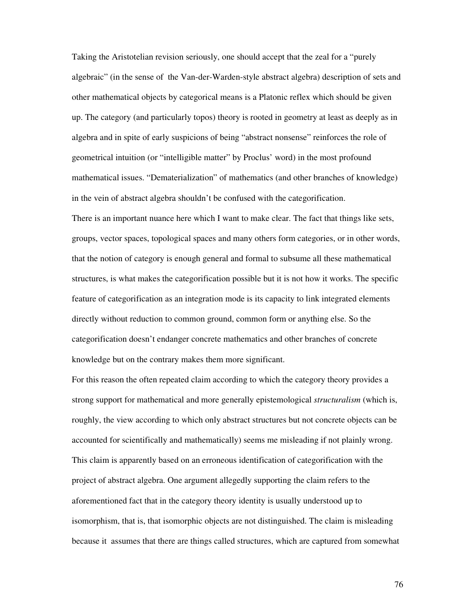Taking the Aristotelian revision seriously, one should accept that the zeal for a "purely algebraic" (in the sense of the Van-der-Warden-style abstract algebra) description of sets and other mathematical objects by categorical means is a Platonic reflex which should be given up. The category (and particularly topos) theory is rooted in geometry at least as deeply as in algebra and in spite of early suspicions of being "abstract nonsense" reinforces the role of geometrical intuition (or "intelligible matter" by Proclus' word) in the most profound mathematical issues. "Dematerialization" of mathematics (and other branches of knowledge) in the vein of abstract algebra shouldn't be confused with the categorification. There is an important nuance here which I want to make clear. The fact that things like sets, groups, vector spaces, topological spaces and many others form categories, or in other words, that the notion of category is enough general and formal to subsume all these mathematical structures, is what makes the categorification possible but it is not how it works. The specific feature of categorification as an integration mode is its capacity to link integrated elements directly without reduction to common ground, common form or anything else. So the categorification doesn't endanger concrete mathematics and other branches of concrete knowledge but on the contrary makes them more significant.

For this reason the often repeated claim according to which the category theory provides a strong support for mathematical and more generally epistemological *structuralism* (which is, roughly, the view according to which only abstract structures but not concrete objects can be accounted for scientifically and mathematically) seems me misleading if not plainly wrong. This claim is apparently based on an erroneous identification of categorification with the project of abstract algebra. One argument allegedly supporting the claim refers to the aforementioned fact that in the category theory identity is usually understood up to isomorphism, that is, that isomorphic objects are not distinguished. The claim is misleading because it assumes that there are things called structures, which are captured from somewhat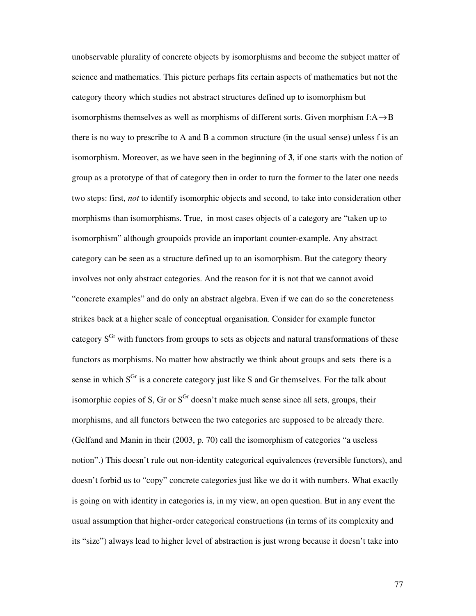unobservable plurality of concrete objects by isomorphisms and become the subject matter of science and mathematics. This picture perhaps fits certain aspects of mathematics but not the category theory which studies not abstract structures defined up to isomorphism but isomorphisms themselves as well as morphisms of different sorts. Given morphism  $f: A \rightarrow B$ there is no way to prescribe to A and B a common structure (in the usual sense) unless f is an isomorphism. Moreover, as we have seen in the beginning of **3**, if one starts with the notion of group as a prototype of that of category then in order to turn the former to the later one needs two steps: first, *not* to identify isomorphic objects and second, to take into consideration other morphisms than isomorphisms. True, in most cases objects of a category are "taken up to isomorphism" although groupoids provide an important counter-example. Any abstract category can be seen as a structure defined up to an isomorphism. But the category theory involves not only abstract categories. And the reason for it is not that we cannot avoid "concrete examples" and do only an abstract algebra. Even if we can do so the concreteness strikes back at a higher scale of conceptual organisation. Consider for example functor category  $S<sup>Gr</sup>$  with functors from groups to sets as objects and natural transformations of these functors as morphisms. No matter how abstractly we think about groups and sets there is a sense in which  $S<sup>Gr</sup>$  is a concrete category just like S and Gr themselves. For the talk about isomorphic copies of S, Gr or  $S<sup>Gr</sup>$  doesn't make much sense since all sets, groups, their morphisms, and all functors between the two categories are supposed to be already there. (Gelfand and Manin in their (2003, p. 70) call the isomorphism of categories "a useless notion".) This doesn't rule out non-identity categorical equivalences (reversible functors), and doesn't forbid us to "copy" concrete categories just like we do it with numbers. What exactly is going on with identity in categories is, in my view, an open question. But in any event the usual assumption that higher-order categorical constructions (in terms of its complexity and its "size") always lead to higher level of abstraction is just wrong because it doesn't take into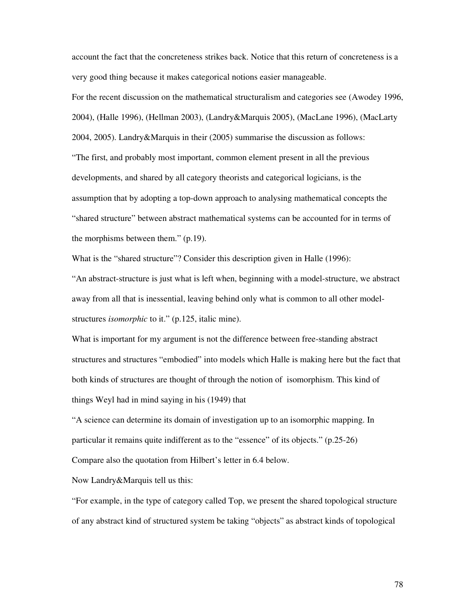account the fact that the concreteness strikes back. Notice that this return of concreteness is a very good thing because it makes categorical notions easier manageable.

For the recent discussion on the mathematical structuralism and categories see (Awodey 1996, 2004), (Halle 1996), (Hellman 2003), (Landry&Marquis 2005), (MacLane 1996), (MacLarty 2004, 2005). Landry&Marquis in their (2005) summarise the discussion as follows: "The first, and probably most important, common element present in all the previous developments, and shared by all category theorists and categorical logicians, is the assumption that by adopting a top-down approach to analysing mathematical concepts the "shared structure" between abstract mathematical systems can be accounted for in terms of the morphisms between them." (p.19).

What is the "shared structure"? Consider this description given in Halle (1996):

"An abstract-structure is just what is left when, beginning with a model-structure, we abstract away from all that is inessential, leaving behind only what is common to all other modelstructures *isomorphic* to it." (p.125, italic mine).

What is important for my argument is not the difference between free-standing abstract structures and structures "embodied" into models which Halle is making here but the fact that both kinds of structures are thought of through the notion of isomorphism. This kind of things Weyl had in mind saying in his (1949) that

"A science can determine its domain of investigation up to an isomorphic mapping. In particular it remains quite indifferent as to the "essence" of its objects." (p.25-26) Compare also the quotation from Hilbert's letter in 6.4 below.

Now Landry&Marquis tell us this:

"For example, in the type of category called Top, we present the shared topological structure of any abstract kind of structured system be taking "objects" as abstract kinds of topological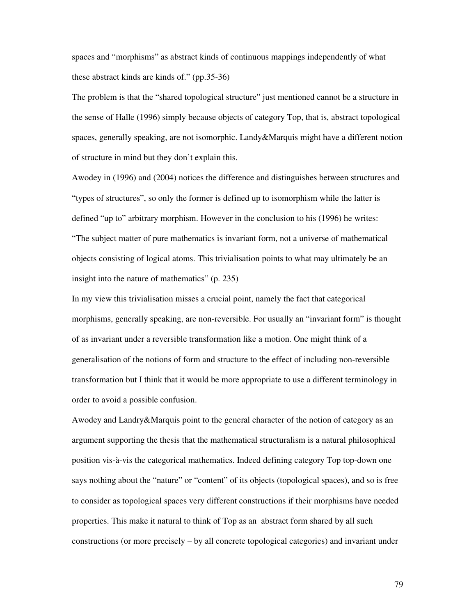spaces and "morphisms" as abstract kinds of continuous mappings independently of what these abstract kinds are kinds of." (pp.35-36)

The problem is that the "shared topological structure" just mentioned cannot be a structure in the sense of Halle (1996) simply because objects of category Top, that is, abstract topological spaces, generally speaking, are not isomorphic. Landy&Marquis might have a different notion of structure in mind but they don't explain this.

Awodey in (1996) and (2004) notices the difference and distinguishes between structures and "types of structures", so only the former is defined up to isomorphism while the latter is defined "up to" arbitrary morphism. However in the conclusion to his (1996) he writes: "The subject matter of pure mathematics is invariant form, not a universe of mathematical objects consisting of logical atoms. This trivialisation points to what may ultimately be an insight into the nature of mathematics" (p. 235)

In my view this trivialisation misses a crucial point, namely the fact that categorical morphisms, generally speaking, are non-reversible. For usually an "invariant form" is thought of as invariant under a reversible transformation like a motion. One might think of a generalisation of the notions of form and structure to the effect of including non-reversible transformation but I think that it would be more appropriate to use a different terminology in order to avoid a possible confusion.

Awodey and Landry&Marquis point to the general character of the notion of category as an argument supporting the thesis that the mathematical structuralism is a natural philosophical position vis-à-vis the categorical mathematics. Indeed defining category Top top-down one says nothing about the "nature" or "content" of its objects (topological spaces), and so is free to consider as topological spaces very different constructions if their morphisms have needed properties. This make it natural to think of Top as an abstract form shared by all such constructions (or more precisely – by all concrete topological categories) and invariant under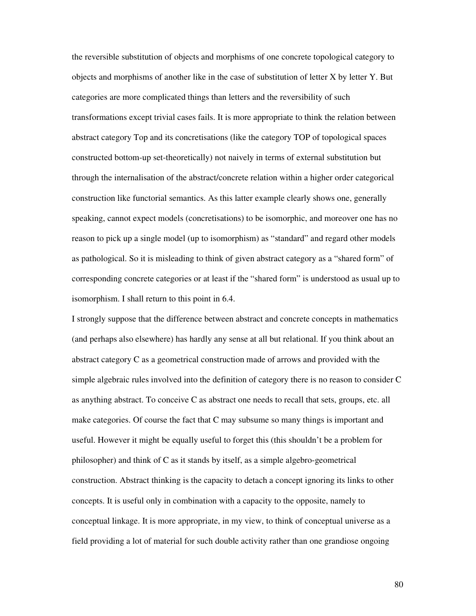the reversible substitution of objects and morphisms of one concrete topological category to objects and morphisms of another like in the case of substitution of letter X by letter Y. But categories are more complicated things than letters and the reversibility of such transformations except trivial cases fails. It is more appropriate to think the relation between abstract category Top and its concretisations (like the category TOP of topological spaces constructed bottom-up set-theoretically) not naively in terms of external substitution but through the internalisation of the abstract/concrete relation within a higher order categorical construction like functorial semantics. As this latter example clearly shows one, generally speaking, cannot expect models (concretisations) to be isomorphic, and moreover one has no reason to pick up a single model (up to isomorphism) as "standard" and regard other models as pathological. So it is misleading to think of given abstract category as a "shared form" of corresponding concrete categories or at least if the "shared form" is understood as usual up to isomorphism. I shall return to this point in 6.4.

I strongly suppose that the difference between abstract and concrete concepts in mathematics (and perhaps also elsewhere) has hardly any sense at all but relational. If you think about an abstract category C as a geometrical construction made of arrows and provided with the simple algebraic rules involved into the definition of category there is no reason to consider C as anything abstract. To conceive C as abstract one needs to recall that sets, groups, etc. all make categories. Of course the fact that C may subsume so many things is important and useful. However it might be equally useful to forget this (this shouldn't be a problem for philosopher) and think of C as it stands by itself, as a simple algebro-geometrical construction. Abstract thinking is the capacity to detach a concept ignoring its links to other concepts. It is useful only in combination with a capacity to the opposite, namely to conceptual linkage. It is more appropriate, in my view, to think of conceptual universe as a field providing a lot of material for such double activity rather than one grandiose ongoing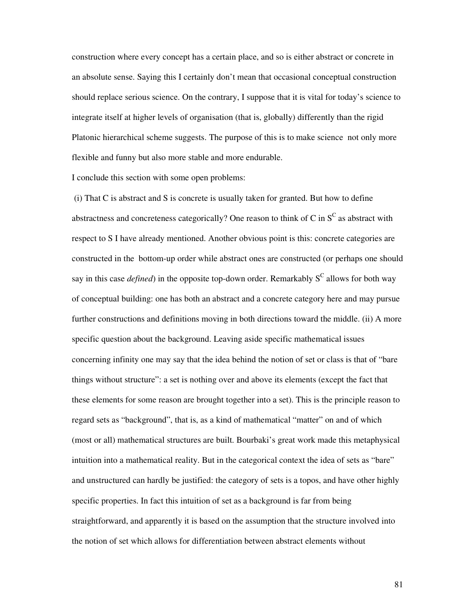construction where every concept has a certain place, and so is either abstract or concrete in an absolute sense. Saying this I certainly don't mean that occasional conceptual construction should replace serious science. On the contrary, I suppose that it is vital for today's science to integrate itself at higher levels of organisation (that is, globally) differently than the rigid Platonic hierarchical scheme suggests. The purpose of this is to make science not only more flexible and funny but also more stable and more endurable.

I conclude this section with some open problems:

 (i) That C is abstract and S is concrete is usually taken for granted. But how to define abstractness and concreteness categorically? One reason to think of C in  $S^C$  as abstract with respect to S I have already mentioned. Another obvious point is this: concrete categories are constructed in the bottom-up order while abstract ones are constructed (or perhaps one should say in this case *defined*) in the opposite top-down order. Remarkably  $S^C$  allows for both way of conceptual building: one has both an abstract and a concrete category here and may pursue further constructions and definitions moving in both directions toward the middle. (ii) A more specific question about the background. Leaving aside specific mathematical issues concerning infinity one may say that the idea behind the notion of set or class is that of "bare things without structure": a set is nothing over and above its elements (except the fact that these elements for some reason are brought together into a set). This is the principle reason to regard sets as "background", that is, as a kind of mathematical "matter" on and of which (most or all) mathematical structures are built. Bourbaki's great work made this metaphysical intuition into a mathematical reality. But in the categorical context the idea of sets as "bare" and unstructured can hardly be justified: the category of sets is a topos, and have other highly specific properties. In fact this intuition of set as a background is far from being straightforward, and apparently it is based on the assumption that the structure involved into the notion of set which allows for differentiation between abstract elements without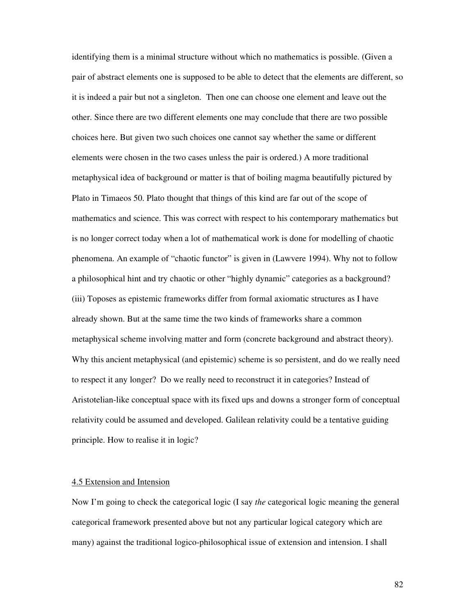identifying them is a minimal structure without which no mathematics is possible. (Given a pair of abstract elements one is supposed to be able to detect that the elements are different, so it is indeed a pair but not a singleton. Then one can choose one element and leave out the other. Since there are two different elements one may conclude that there are two possible choices here. But given two such choices one cannot say whether the same or different elements were chosen in the two cases unless the pair is ordered.) A more traditional metaphysical idea of background or matter is that of boiling magma beautifully pictured by Plato in Timaeos 50. Plato thought that things of this kind are far out of the scope of mathematics and science. This was correct with respect to his contemporary mathematics but is no longer correct today when a lot of mathematical work is done for modelling of chaotic phenomena. An example of "chaotic functor" is given in (Lawvere 1994). Why not to follow a philosophical hint and try chaotic or other "highly dynamic" categories as a background? (iii) Toposes as epistemic frameworks differ from formal axiomatic structures as I have already shown. But at the same time the two kinds of frameworks share a common metaphysical scheme involving matter and form (concrete background and abstract theory). Why this ancient metaphysical (and epistemic) scheme is so persistent, and do we really need to respect it any longer? Do we really need to reconstruct it in categories? Instead of Aristotelian-like conceptual space with its fixed ups and downs a stronger form of conceptual relativity could be assumed and developed. Galilean relativity could be a tentative guiding principle. How to realise it in logic?

### 4.5 Extension and Intension

Now I'm going to check the categorical logic (I say *the* categorical logic meaning the general categorical framework presented above but not any particular logical category which are many) against the traditional logico-philosophical issue of extension and intension. I shall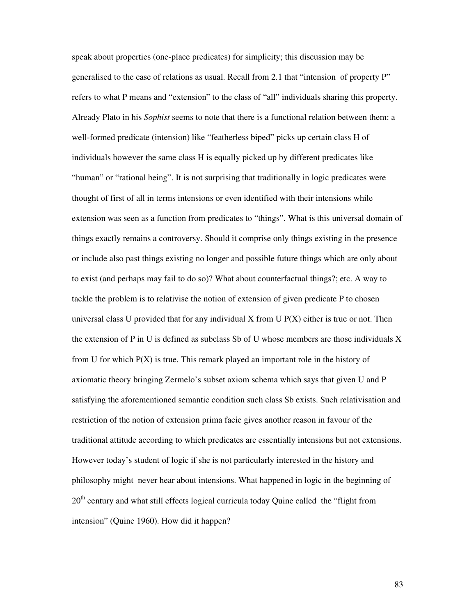speak about properties (one-place predicates) for simplicity; this discussion may be generalised to the case of relations as usual. Recall from 2.1 that "intension of property P" refers to what P means and "extension" to the class of "all" individuals sharing this property. Already Plato in his *Sophist* seems to note that there is a functional relation between them: a well-formed predicate (intension) like "featherless biped" picks up certain class H of individuals however the same class H is equally picked up by different predicates like "human" or "rational being". It is not surprising that traditionally in logic predicates were thought of first of all in terms intensions or even identified with their intensions while extension was seen as a function from predicates to "things". What is this universal domain of things exactly remains a controversy. Should it comprise only things existing in the presence or include also past things existing no longer and possible future things which are only about to exist (and perhaps may fail to do so)? What about counterfactual things?; etc. A way to tackle the problem is to relativise the notion of extension of given predicate P to chosen universal class U provided that for any individual X from U  $P(X)$  either is true or not. Then the extension of P in U is defined as subclass Sb of U whose members are those individuals X from U for which  $P(X)$  is true. This remark played an important role in the history of axiomatic theory bringing Zermelo's subset axiom schema which says that given U and P satisfying the aforementioned semantic condition such class Sb exists. Such relativisation and restriction of the notion of extension prima facie gives another reason in favour of the traditional attitude according to which predicates are essentially intensions but not extensions. However today's student of logic if she is not particularly interested in the history and philosophy might never hear about intensions. What happened in logic in the beginning of 20<sup>th</sup> century and what still effects logical curricula today Quine called the "flight from intension" (Quine 1960). How did it happen?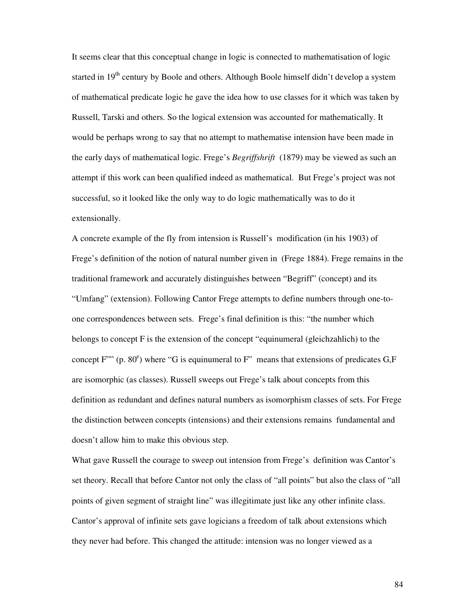It seems clear that this conceptual change in logic is connected to mathematisation of logic started in 19<sup>th</sup> century by Boole and others. Although Boole himself didn't develop a system of mathematical predicate logic he gave the idea how to use classes for it which was taken by Russell, Tarski and others. So the logical extension was accounted for mathematically. It would be perhaps wrong to say that no attempt to mathematise intension have been made in the early days of mathematical logic. Frege's *Begriffshrift* (1879) may be viewed as such an attempt if this work can been qualified indeed as mathematical. But Frege's project was not successful, so it looked like the only way to do logic mathematically was to do it extensionally.

A concrete example of the fly from intension is Russell's modification (in his 1903) of Frege's definition of the notion of natural number given in (Frege 1884). Frege remains in the traditional framework and accurately distinguishes between "Begriff" (concept) and its "Umfang" (extension). Following Cantor Frege attempts to define numbers through one-toone correspondences between sets. Frege's final definition is this: "the number which belongs to concept F is the extension of the concept "equinumeral (gleichzahlich) to the concept  $F^{\prime\prime\prime}$  (p. 80<sup>e</sup>) where "G is equinumeral to  $F^{\prime\prime}$  means that extensions of predicates G,F are isomorphic (as classes). Russell sweeps out Frege's talk about concepts from this definition as redundant and defines natural numbers as isomorphism classes of sets. For Frege the distinction between concepts (intensions) and their extensions remains fundamental and doesn't allow him to make this obvious step.

What gave Russell the courage to sweep out intension from Frege's definition was Cantor's set theory. Recall that before Cantor not only the class of "all points" but also the class of "all points of given segment of straight line" was illegitimate just like any other infinite class. Cantor's approval of infinite sets gave logicians a freedom of talk about extensions which they never had before. This changed the attitude: intension was no longer viewed as a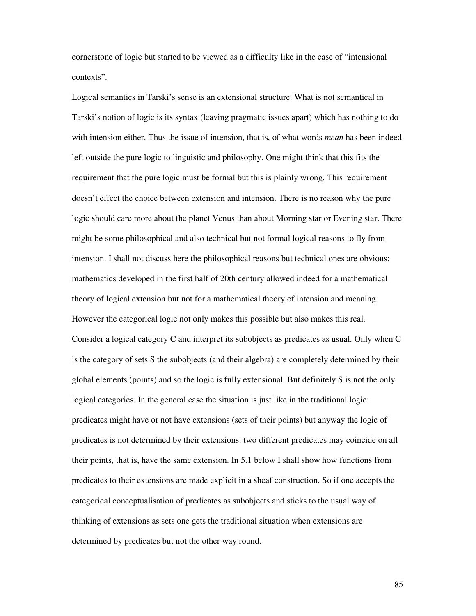cornerstone of logic but started to be viewed as a difficulty like in the case of "intensional contexts".

Logical semantics in Tarski's sense is an extensional structure. What is not semantical in Tarski's notion of logic is its syntax (leaving pragmatic issues apart) which has nothing to do with intension either. Thus the issue of intension, that is, of what words *mean* has been indeed left outside the pure logic to linguistic and philosophy. One might think that this fits the requirement that the pure logic must be formal but this is plainly wrong. This requirement doesn't effect the choice between extension and intension. There is no reason why the pure logic should care more about the planet Venus than about Morning star or Evening star. There might be some philosophical and also technical but not formal logical reasons to fly from intension. I shall not discuss here the philosophical reasons but technical ones are obvious: mathematics developed in the first half of 20th century allowed indeed for a mathematical theory of logical extension but not for a mathematical theory of intension and meaning. However the categorical logic not only makes this possible but also makes this real. Consider a logical category C and interpret its subobjects as predicates as usual. Only when C is the category of sets S the subobjects (and their algebra) are completely determined by their global elements (points) and so the logic is fully extensional. But definitely S is not the only logical categories. In the general case the situation is just like in the traditional logic: predicates might have or not have extensions (sets of their points) but anyway the logic of predicates is not determined by their extensions: two different predicates may coincide on all their points, that is, have the same extension. In 5.1 below I shall show how functions from predicates to their extensions are made explicit in a sheaf construction. So if one accepts the categorical conceptualisation of predicates as subobjects and sticks to the usual way of thinking of extensions as sets one gets the traditional situation when extensions are determined by predicates but not the other way round.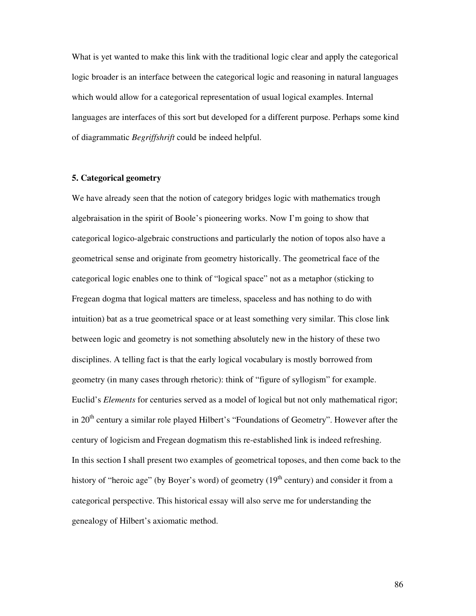What is yet wanted to make this link with the traditional logic clear and apply the categorical logic broader is an interface between the categorical logic and reasoning in natural languages which would allow for a categorical representation of usual logical examples. Internal languages are interfaces of this sort but developed for a different purpose. Perhaps some kind of diagrammatic *Begriffshrift* could be indeed helpful.

## **5. Categorical geometry**

We have already seen that the notion of category bridges logic with mathematics trough algebraisation in the spirit of Boole's pioneering works. Now I'm going to show that categorical logico-algebraic constructions and particularly the notion of topos also have a geometrical sense and originate from geometry historically. The geometrical face of the categorical logic enables one to think of "logical space" not as a metaphor (sticking to Fregean dogma that logical matters are timeless, spaceless and has nothing to do with intuition) bat as a true geometrical space or at least something very similar. This close link between logic and geometry is not something absolutely new in the history of these two disciplines. A telling fact is that the early logical vocabulary is mostly borrowed from geometry (in many cases through rhetoric): think of "figure of syllogism" for example. Euclid's *Elements* for centuries served as a model of logical but not only mathematical rigor; in 20<sup>th</sup> century a similar role played Hilbert's "Foundations of Geometry". However after the century of logicism and Fregean dogmatism this re-established link is indeed refreshing. In this section I shall present two examples of geometrical toposes, and then come back to the history of "heroic age" (by Boyer's word) of geometry  $(19<sup>th</sup>$  century) and consider it from a categorical perspective. This historical essay will also serve me for understanding the genealogy of Hilbert's axiomatic method.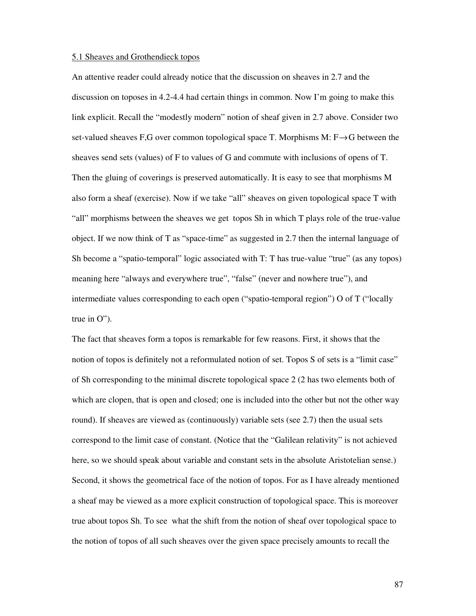### 5.1 Sheaves and Grothendieck topos

An attentive reader could already notice that the discussion on sheaves in 2.7 and the discussion on toposes in 4.2-4.4 had certain things in common. Now I'm going to make this link explicit. Recall the "modestly modern" notion of sheaf given in 2.7 above. Consider two set-valued sheaves F,G over common topological space T. Morphisms M:  $F \rightarrow G$  between the sheaves send sets (values) of F to values of G and commute with inclusions of opens of T. Then the gluing of coverings is preserved automatically. It is easy to see that morphisms M also form a sheaf (exercise). Now if we take "all" sheaves on given topological space T with "all" morphisms between the sheaves we get topos Sh in which T plays role of the true-value object. If we now think of T as "space-time" as suggested in 2.7 then the internal language of Sh become a "spatio-temporal" logic associated with T: T has true-value "true" (as any topos) meaning here "always and everywhere true", "false" (never and nowhere true"), and intermediate values corresponding to each open ("spatio-temporal region") O of T ("locally true in O").

The fact that sheaves form a topos is remarkable for few reasons. First, it shows that the notion of topos is definitely not a reformulated notion of set. Topos S of sets is a "limit case" of Sh corresponding to the minimal discrete topological space 2 (2 has two elements both of which are clopen, that is open and closed; one is included into the other but not the other way round). If sheaves are viewed as (continuously) variable sets (see 2.7) then the usual sets correspond to the limit case of constant. (Notice that the "Galilean relativity" is not achieved here, so we should speak about variable and constant sets in the absolute Aristotelian sense.) Second, it shows the geometrical face of the notion of topos. For as I have already mentioned a sheaf may be viewed as a more explicit construction of topological space. This is moreover true about topos Sh. To see what the shift from the notion of sheaf over topological space to the notion of topos of all such sheaves over the given space precisely amounts to recall the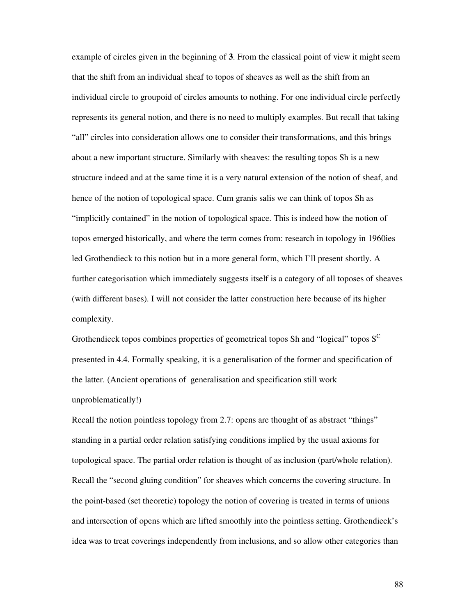example of circles given in the beginning of **3**. From the classical point of view it might seem that the shift from an individual sheaf to topos of sheaves as well as the shift from an individual circle to groupoid of circles amounts to nothing. For one individual circle perfectly represents its general notion, and there is no need to multiply examples. But recall that taking "all" circles into consideration allows one to consider their transformations, and this brings about a new important structure. Similarly with sheaves: the resulting topos Sh is a new structure indeed and at the same time it is a very natural extension of the notion of sheaf, and hence of the notion of topological space. Cum granis salis we can think of topos Sh as "implicitly contained" in the notion of topological space. This is indeed how the notion of topos emerged historically, and where the term comes from: research in topology in 1960ies led Grothendieck to this notion but in a more general form, which I'll present shortly. A further categorisation which immediately suggests itself is a category of all toposes of sheaves (with different bases). I will not consider the latter construction here because of its higher complexity.

Grothendieck topos combines properties of geometrical topos Sh and "logical" topos  $S^C$ presented in 4.4. Formally speaking, it is a generalisation of the former and specification of the latter. (Ancient operations of generalisation and specification still work unproblematically!)

Recall the notion pointless topology from 2.7: opens are thought of as abstract "things" standing in a partial order relation satisfying conditions implied by the usual axioms for topological space. The partial order relation is thought of as inclusion (part/whole relation). Recall the "second gluing condition" for sheaves which concerns the covering structure. In the point-based (set theoretic) topology the notion of covering is treated in terms of unions and intersection of opens which are lifted smoothly into the pointless setting. Grothendieck's idea was to treat coverings independently from inclusions, and so allow other categories than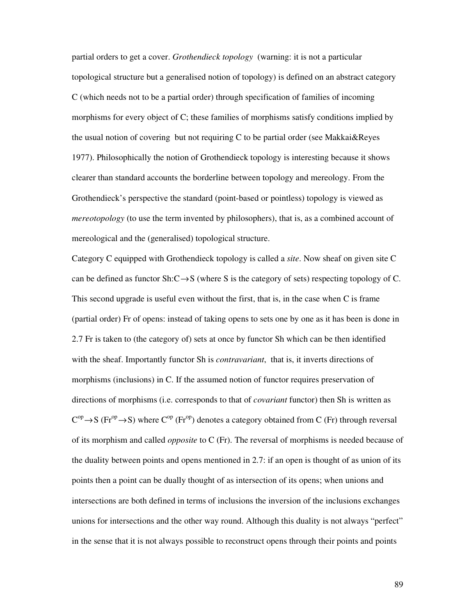partial orders to get a cover. *Grothendieck topology* (warning: it is not a particular topological structure but a generalised notion of topology) is defined on an abstract category C (which needs not to be a partial order) through specification of families of incoming morphisms for every object of C; these families of morphisms satisfy conditions implied by the usual notion of covering but not requiring C to be partial order (see Makkai&Reyes 1977). Philosophically the notion of Grothendieck topology is interesting because it shows clearer than standard accounts the borderline between topology and mereology. From the Grothendieck's perspective the standard (point-based or pointless) topology is viewed as *mereotopology* (to use the term invented by philosophers), that is, as a combined account of mereological and the (generalised) topological structure.

Category C equipped with Grothendieck topology is called a *site*. Now sheaf on given site C can be defined as functor Sh: $C \rightarrow S$  (where S is the category of sets) respecting topology of C. This second upgrade is useful even without the first, that is, in the case when C is frame (partial order) Fr of opens: instead of taking opens to sets one by one as it has been is done in 2.7 Fr is taken to (the category of) sets at once by functor Sh which can be then identified with the sheaf. Importantly functor Sh is *contravariant*, that is, it inverts directions of morphisms (inclusions) in C. If the assumed notion of functor requires preservation of directions of morphisms (i.e. corresponds to that of *covariant* functor) then Sh is written as  $C^{op} \rightarrow S$  (Fr<sup>op</sup>  $\rightarrow$  S) where  $C^{op}$  (Fr<sup>op</sup>) denotes a category obtained from C (Fr) through reversal of its morphism and called *opposite* to C (Fr). The reversal of morphisms is needed because of the duality between points and opens mentioned in 2.7: if an open is thought of as union of its points then a point can be dually thought of as intersection of its opens; when unions and intersections are both defined in terms of inclusions the inversion of the inclusions exchanges unions for intersections and the other way round. Although this duality is not always "perfect" in the sense that it is not always possible to reconstruct opens through their points and points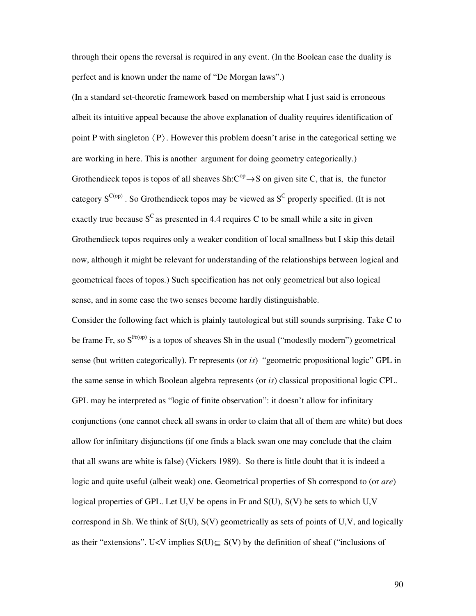through their opens the reversal is required in any event. (In the Boolean case the duality is perfect and is known under the name of "De Morgan laws".)

(In a standard set-theoretic framework based on membership what I just said is erroneous albeit its intuitive appeal because the above explanation of duality requires identification of point P with singleton  $\langle P \rangle$ . However this problem doesn't arise in the categorical setting we are working in here. This is another argument for doing geometry categorically.) Grothendieck topos is topos of all sheaves  $\text{Sh:} \text{C}^{\text{op}} \rightarrow \text{S}$  on given site C, that is, the functor category  $S^{C(op)}$ . So Grothendieck topos may be viewed as  $S^C$  properly specified. (It is not exactly true because  $S^C$  as presented in 4.4 requires C to be small while a site in given Grothendieck topos requires only a weaker condition of local smallness but I skip this detail now, although it might be relevant for understanding of the relationships between logical and geometrical faces of topos.) Such specification has not only geometrical but also logical sense, and in some case the two senses become hardly distinguishable.

Consider the following fact which is plainly tautological but still sounds surprising. Take C to be frame Fr, so  $S^{\text{Fr(op)}}$  is a topos of sheaves Sh in the usual ("modestly modern") geometrical sense (but written categorically). Fr represents (or *is*) "geometric propositional logic" GPL in the same sense in which Boolean algebra represents (or *is*) classical propositional logic CPL. GPL may be interpreted as "logic of finite observation": it doesn't allow for infinitary conjunctions (one cannot check all swans in order to claim that all of them are white) but does allow for infinitary disjunctions (if one finds a black swan one may conclude that the claim that all swans are white is false) (Vickers 1989). So there is little doubt that it is indeed a logic and quite useful (albeit weak) one. Geometrical properties of Sh correspond to (or *are*) logical properties of GPL. Let U,V be opens in Fr and S(U), S(V) be sets to which U,V correspond in Sh. We think of S(U), S(V) geometrically as sets of points of U,V, and logically as their "extensions". U<V implies  $S(U) \subseteq S(V)$  by the definition of sheaf ("inclusions of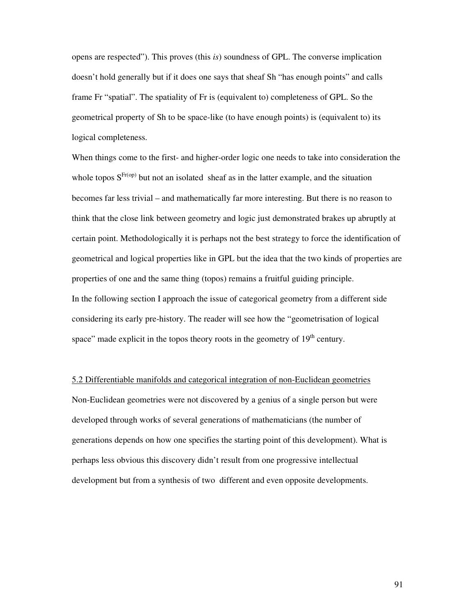opens are respected"). This proves (this *is*) soundness of GPL. The converse implication doesn't hold generally but if it does one says that sheaf Sh "has enough points" and calls frame Fr "spatial". The spatiality of Fr is (equivalent to) completeness of GPL. So the geometrical property of Sh to be space-like (to have enough points) is (equivalent to) its logical completeness.

When things come to the first- and higher-order logic one needs to take into consideration the whole topos  $S^{Fr(op)}$  but not an isolated sheaf as in the latter example, and the situation becomes far less trivial – and mathematically far more interesting. But there is no reason to think that the close link between geometry and logic just demonstrated brakes up abruptly at certain point. Methodologically it is perhaps not the best strategy to force the identification of geometrical and logical properties like in GPL but the idea that the two kinds of properties are properties of one and the same thing (topos) remains a fruitful guiding principle. In the following section I approach the issue of categorical geometry from a different side considering its early pre-history. The reader will see how the "geometrisation of logical space" made explicit in the topos theory roots in the geometry of  $19<sup>th</sup>$  century.

5.2 Differentiable manifolds and categorical integration of non-Euclidean geometries Non-Euclidean geometries were not discovered by a genius of a single person but were developed through works of several generations of mathematicians (the number of generations depends on how one specifies the starting point of this development). What is perhaps less obvious this discovery didn't result from one progressive intellectual

development but from a synthesis of two different and even opposite developments.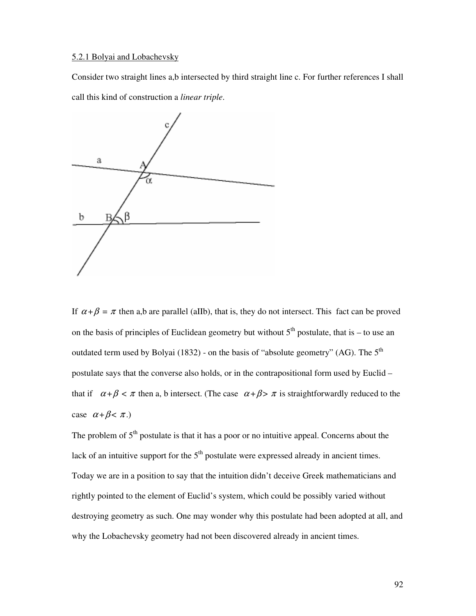# 5.2.1 Bolyai and Lobachevsky

Consider two straight lines a,b intersected by third straight line c. For further references I shall call this kind of construction a *linear triple*.



If  $\alpha + \beta = \pi$  then a,b are parallel (aIIb), that is, they do not intersect. This fact can be proved on the basis of principles of Euclidean geometry but without  $5<sup>th</sup>$  postulate, that is – to use an outdated term used by Bolyai (1832) - on the basis of "absolute geometry" (AG). The  $5<sup>th</sup>$ postulate says that the converse also holds, or in the contrapositional form used by Euclid – that if  $\alpha + \beta < \pi$  then a, b intersect. (The case  $\alpha + \beta > \pi$  is straightforwardly reduced to the case  $\alpha + \beta < \pi$ .)

The problem of  $5<sup>th</sup>$  postulate is that it has a poor or no intuitive appeal. Concerns about the lack of an intuitive support for the  $5<sup>th</sup>$  postulate were expressed already in ancient times. Today we are in a position to say that the intuition didn't deceive Greek mathematicians and rightly pointed to the element of Euclid's system, which could be possibly varied without destroying geometry as such. One may wonder why this postulate had been adopted at all, and why the Lobachevsky geometry had not been discovered already in ancient times.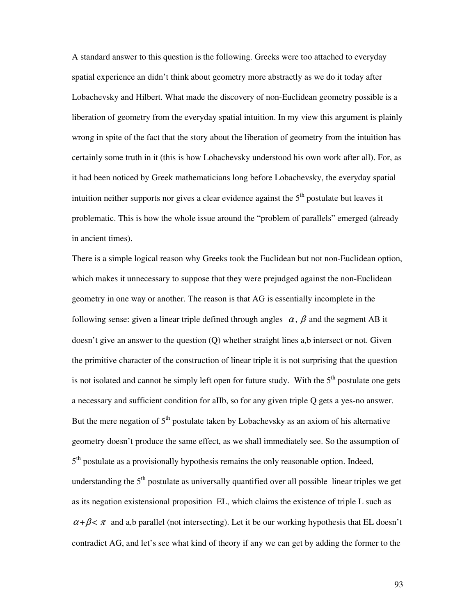A standard answer to this question is the following. Greeks were too attached to everyday spatial experience an didn't think about geometry more abstractly as we do it today after Lobachevsky and Hilbert. What made the discovery of non-Euclidean geometry possible is a liberation of geometry from the everyday spatial intuition. In my view this argument is plainly wrong in spite of the fact that the story about the liberation of geometry from the intuition has certainly some truth in it (this is how Lobachevsky understood his own work after all). For, as it had been noticed by Greek mathematicians long before Lobachevsky, the everyday spatial intuition neither supports nor gives a clear evidence against the  $5<sup>th</sup>$  postulate but leaves it problematic. This is how the whole issue around the "problem of parallels" emerged (already in ancient times).

There is a simple logical reason why Greeks took the Euclidean but not non-Euclidean option, which makes it unnecessary to suppose that they were prejudged against the non-Euclidean geometry in one way or another. The reason is that AG is essentially incomplete in the following sense: given a linear triple defined through angles  $\alpha$ ,  $\beta$  and the segment AB it doesn't give an answer to the question (Q) whether straight lines a,b intersect or not. Given the primitive character of the construction of linear triple it is not surprising that the question is not isolated and cannot be simply left open for future study. With the  $5<sup>th</sup>$  postulate one gets a necessary and sufficient condition for aIIb, so for any given triple Q gets a yes-no answer. But the mere negation of  $5<sup>th</sup>$  postulate taken by Lobachevsky as an axiom of his alternative geometry doesn't produce the same effect, as we shall immediately see. So the assumption of 5<sup>th</sup> postulate as a provisionally hypothesis remains the only reasonable option. Indeed, understanding the  $5<sup>th</sup>$  postulate as universally quantified over all possible linear triples we get as its negation existensional proposition EL, which claims the existence of triple L such as  $\alpha + \beta < \pi$  and a,b parallel (not intersecting). Let it be our working hypothesis that EL doesn't contradict AG, and let's see what kind of theory if any we can get by adding the former to the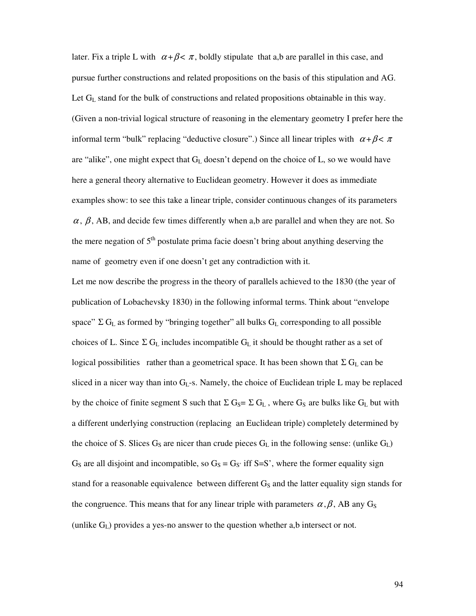later. Fix a triple L with  $\alpha + \beta < \pi$ , boldly stipulate that a,b are parallel in this case, and pursue further constructions and related propositions on the basis of this stipulation and AG. Let G<sub>L</sub> stand for the bulk of constructions and related propositions obtainable in this way. (Given a non-trivial logical structure of reasoning in the elementary geometry I prefer here the informal term "bulk" replacing "deductive closure".) Since all linear triples with  $\alpha + \beta < \pi$ are "alike", one might expect that  $G<sub>L</sub>$  doesn't depend on the choice of L, so we would have here a general theory alternative to Euclidean geometry. However it does as immediate examples show: to see this take a linear triple, consider continuous changes of its parameters  $\alpha$ ,  $\beta$ , AB, and decide few times differently when a,b are parallel and when they are not. So the mere negation of  $5<sup>th</sup>$  postulate prima facie doesn't bring about anything deserving the name of geometry even if one doesn't get any contradiction with it.

Let me now describe the progress in the theory of parallels achieved to the 1830 (the year of publication of Lobachevsky 1830) in the following informal terms. Think about "envelope space"  $\Sigma$  G<sub>L</sub> as formed by "bringing together" all bulks G<sub>L</sub> corresponding to all possible choices of L. Since  $\Sigma$  G<sub>L</sub> includes incompatible G<sub>L</sub> it should be thought rather as a set of logical possibilities rather than a geometrical space. It has been shown that  $\Sigma G_L$  can be sliced in a nicer way than into  $G<sub>L</sub>$ -s. Namely, the choice of Euclidean triple L may be replaced by the choice of finite segment S such that  $\Sigma$  G<sub>S</sub>=  $\Sigma$  G<sub>L</sub>, where G<sub>S</sub> are bulks like G<sub>L</sub> but with a different underlying construction (replacing an Euclidean triple) completely determined by the choice of S. Slices  $G_S$  are nicer than crude pieces  $G_L$  in the following sense: (unlike  $G_L$ )  $G<sub>S</sub>$  are all disjoint and incompatible, so  $G<sub>S</sub> = G<sub>S</sub>$  iff S=S', where the former equality sign stand for a reasonable equivalence between different  $G<sub>S</sub>$  and the latter equality sign stands for the congruence. This means that for any linear triple with parameters  $\alpha, \beta$ , AB any G<sub>S</sub> (unlike  $G_L$ ) provides a yes-no answer to the question whether a,b intersect or not.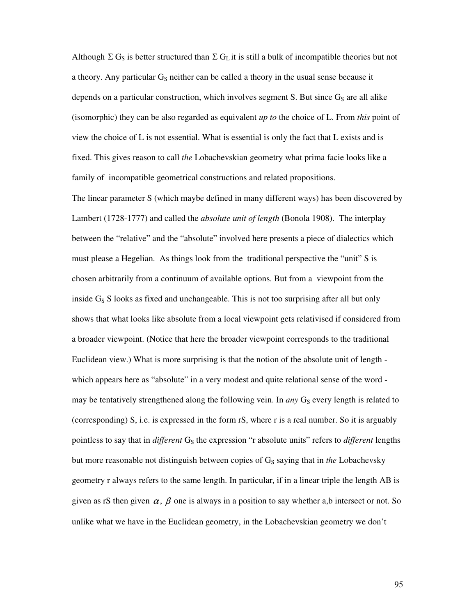Although  $\Sigma G_S$  is better structured than  $\Sigma G_L$  it is still a bulk of incompatible theories but not a theory. Any particular  $G<sub>S</sub>$  neither can be called a theory in the usual sense because it depends on a particular construction, which involves segment S. But since  $G<sub>S</sub>$  are all alike (isomorphic) they can be also regarded as equivalent *up to* the choice of L. From *this* point of view the choice of L is not essential. What is essential is only the fact that L exists and is fixed. This gives reason to call *the* Lobachevskian geometry what prima facie looks like a family of incompatible geometrical constructions and related propositions.

The linear parameter S (which maybe defined in many different ways) has been discovered by Lambert (1728-1777) and called the *absolute unit of length* (Bonola 1908). The interplay between the "relative" and the "absolute" involved here presents a piece of dialectics which must please a Hegelian. As things look from the traditional perspective the "unit" S is chosen arbitrarily from a continuum of available options. But from a viewpoint from the inside  $G<sub>S</sub>$  S looks as fixed and unchangeable. This is not too surprising after all but only shows that what looks like absolute from a local viewpoint gets relativised if considered from a broader viewpoint. (Notice that here the broader viewpoint corresponds to the traditional Euclidean view.) What is more surprising is that the notion of the absolute unit of length which appears here as "absolute" in a very modest and quite relational sense of the word may be tentatively strengthened along the following vein. In *any*  $G_S$  every length is related to (corresponding) S, i.e. is expressed in the form rS, where r is a real number. So it is arguably pointless to say that in *different* G<sub>S</sub> the expression "r absolute units" refers to *different* lengths but more reasonable not distinguish between copies of GS saying that in *the* Lobachevsky geometry r always refers to the same length. In particular, if in a linear triple the length AB is given as rS then given  $\alpha$ ,  $\beta$  one is always in a position to say whether a,b intersect or not. So unlike what we have in the Euclidean geometry, in the Lobachevskian geometry we don't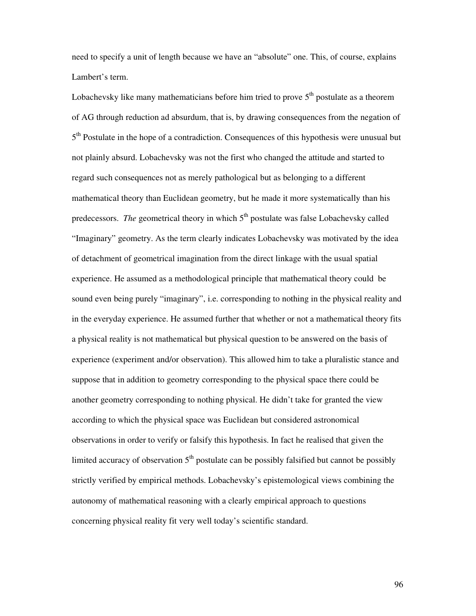need to specify a unit of length because we have an "absolute" one. This, of course, explains Lambert's term.

Lobachevsky like many mathematicians before him tried to prove  $5<sup>th</sup>$  postulate as a theorem of AG through reduction ad absurdum, that is, by drawing consequences from the negation of 5<sup>th</sup> Postulate in the hope of a contradiction. Consequences of this hypothesis were unusual but not plainly absurd. Lobachevsky was not the first who changed the attitude and started to regard such consequences not as merely pathological but as belonging to a different mathematical theory than Euclidean geometry, but he made it more systematically than his predecessors. *The* geometrical theory in which 5<sup>th</sup> postulate was false Lobachevsky called "Imaginary" geometry. As the term clearly indicates Lobachevsky was motivated by the idea of detachment of geometrical imagination from the direct linkage with the usual spatial experience. He assumed as a methodological principle that mathematical theory could be sound even being purely "imaginary", i.e. corresponding to nothing in the physical reality and in the everyday experience. He assumed further that whether or not a mathematical theory fits a physical reality is not mathematical but physical question to be answered on the basis of experience (experiment and/or observation). This allowed him to take a pluralistic stance and suppose that in addition to geometry corresponding to the physical space there could be another geometry corresponding to nothing physical. He didn't take for granted the view according to which the physical space was Euclidean but considered astronomical observations in order to verify or falsify this hypothesis. In fact he realised that given the limited accuracy of observation  $5<sup>th</sup>$  postulate can be possibly falsified but cannot be possibly strictly verified by empirical methods. Lobachevsky's epistemological views combining the autonomy of mathematical reasoning with a clearly empirical approach to questions concerning physical reality fit very well today's scientific standard.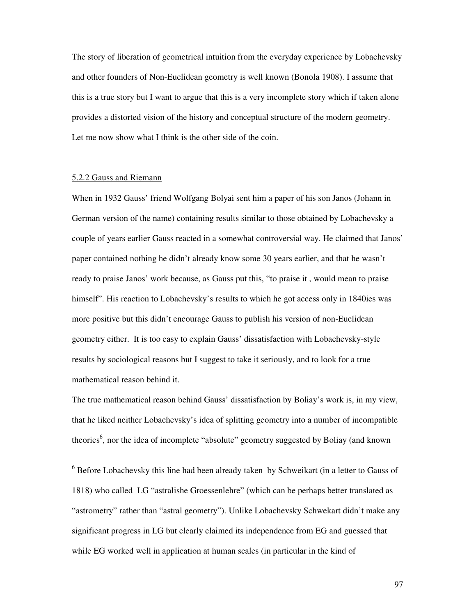The story of liberation of geometrical intuition from the everyday experience by Lobachevsky and other founders of Non-Euclidean geometry is well known (Bonola 1908). I assume that this is a true story but I want to argue that this is a very incomplete story which if taken alone provides a distorted vision of the history and conceptual structure of the modern geometry. Let me now show what I think is the other side of the coin.

## 5.2.2 Gauss and Riemann

-

When in 1932 Gauss' friend Wolfgang Bolyai sent him a paper of his son Janos (Johann in German version of the name) containing results similar to those obtained by Lobachevsky a couple of years earlier Gauss reacted in a somewhat controversial way. He claimed that Janos' paper contained nothing he didn't already know some 30 years earlier, and that he wasn't ready to praise Janos' work because, as Gauss put this, "to praise it , would mean to praise himself". His reaction to Lobachevsky's results to which he got access only in 1840ies was more positive but this didn't encourage Gauss to publish his version of non-Euclidean geometry either. It is too easy to explain Gauss' dissatisfaction with Lobachevsky-style results by sociological reasons but I suggest to take it seriously, and to look for a true mathematical reason behind it.

The true mathematical reason behind Gauss' dissatisfaction by Boliay's work is, in my view, that he liked neither Lobachevsky's idea of splitting geometry into a number of incompatible theories<sup>6</sup>, nor the idea of incomplete "absolute" geometry suggested by Boliay (and known

<sup>&</sup>lt;sup>6</sup> Before Lobachevsky this line had been already taken by Schweikart (in a letter to Gauss of 1818) who called LG "astralishe Groessenlehre" (which can be perhaps better translated as "astrometry" rather than "astral geometry"). Unlike Lobachevsky Schwekart didn't make any significant progress in LG but clearly claimed its independence from EG and guessed that while EG worked well in application at human scales (in particular in the kind of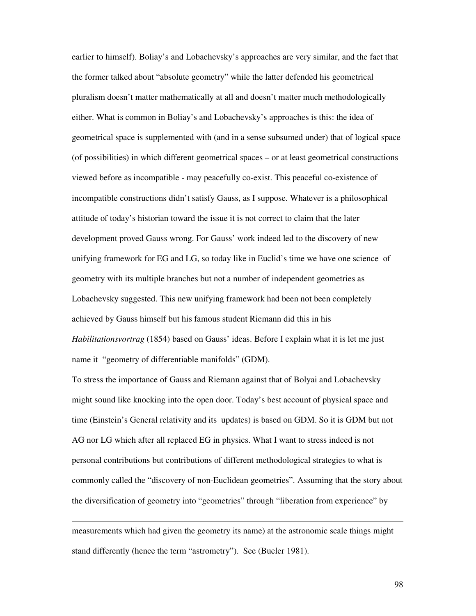earlier to himself). Boliay's and Lobachevsky's approaches are very similar, and the fact that the former talked about "absolute geometry" while the latter defended his geometrical pluralism doesn't matter mathematically at all and doesn't matter much methodologically either. What is common in Boliay's and Lobachevsky's approaches is this: the idea of geometrical space is supplemented with (and in a sense subsumed under) that of logical space (of possibilities) in which different geometrical spaces – or at least geometrical constructions viewed before as incompatible - may peacefully co-exist. This peaceful co-existence of incompatible constructions didn't satisfy Gauss, as I suppose. Whatever is a philosophical attitude of today's historian toward the issue it is not correct to claim that the later development proved Gauss wrong. For Gauss' work indeed led to the discovery of new unifying framework for EG and LG, so today like in Euclid's time we have one science of geometry with its multiple branches but not a number of independent geometries as Lobachevsky suggested. This new unifying framework had been not been completely achieved by Gauss himself but his famous student Riemann did this in his *Habilitationsvortrag* (1854) based on Gauss' ideas. Before I explain what it is let me just name it "geometry of differentiable manifolds" (GDM).

To stress the importance of Gauss and Riemann against that of Bolyai and Lobachevsky might sound like knocking into the open door. Today's best account of physical space and time (Einstein's General relativity and its updates) is based on GDM. So it is GDM but not AG nor LG which after all replaced EG in physics. What I want to stress indeed is not personal contributions but contributions of different methodological strategies to what is commonly called the "discovery of non-Euclidean geometries". Assuming that the story about the diversification of geometry into "geometries" through "liberation from experience" by

measurements which had given the geometry its name) at the astronomic scale things might stand differently (hence the term "astrometry"). See (Bueler 1981).

-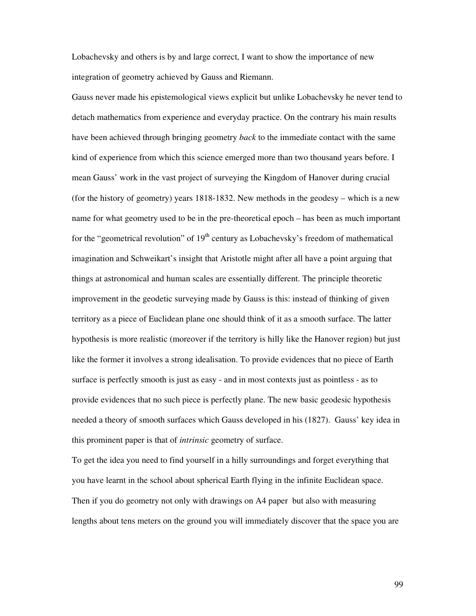Lobachevsky and others is by and large correct, I want to show the importance of new integration of geometry achieved by Gauss and Riemann.

Gauss never made his epistemological views explicit but unlike Lobachevsky he never tend to detach mathematics from experience and everyday practice. On the contrary his main results have been achieved through bringing geometry *back* to the immediate contact with the same kind of experience from which this science emerged more than two thousand years before. I mean Gauss' work in the vast project of surveying the Kingdom of Hanover during crucial (for the history of geometry) years 1818-1832. New methods in the geodesy – which is a new name for what geometry used to be in the pre-theoretical epoch – has been as much important for the "geometrical revolution" of  $19<sup>th</sup>$  century as Lobachevsky's freedom of mathematical imagination and Schweikart's insight that Aristotle might after all have a point arguing that things at astronomical and human scales are essentially different. The principle theoretic improvement in the geodetic surveying made by Gauss is this: instead of thinking of given territory as a piece of Euclidean plane one should think of it as a smooth surface. The latter hypothesis is more realistic (moreover if the territory is hilly like the Hanover region) but just like the former it involves a strong idealisation. To provide evidences that no piece of Earth surface is perfectly smooth is just as easy - and in most contexts just as pointless - as to provide evidences that no such piece is perfectly plane. The new basic geodesic hypothesis needed a theory of smooth surfaces which Gauss developed in his (1827). Gauss' key idea in this prominent paper is that of *intrinsic* geometry of surface.

To get the idea you need to find yourself in a hilly surroundings and forget everything that you have learnt in the school about spherical Earth flying in the infinite Euclidean space. Then if you do geometry not only with drawings on A4 paper but also with measuring lengths about tens meters on the ground you will immediately discover that the space you are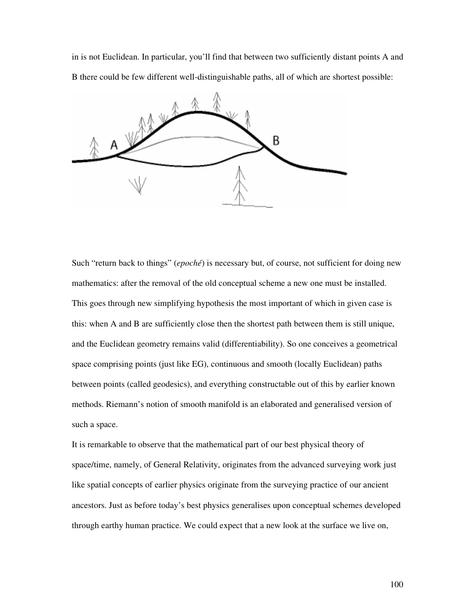in is not Euclidean. In particular, you'll find that between two sufficiently distant points A and B there could be few different well-distinguishable paths, all of which are shortest possible:



Such "return back to things" (*epoché*) is necessary but, of course, not sufficient for doing new mathematics: after the removal of the old conceptual scheme a new one must be installed. This goes through new simplifying hypothesis the most important of which in given case is this: when A and B are sufficiently close then the shortest path between them is still unique, and the Euclidean geometry remains valid (differentiability). So one conceives a geometrical space comprising points (just like EG), continuous and smooth (locally Euclidean) paths between points (called geodesics), and everything constructable out of this by earlier known methods. Riemann's notion of smooth manifold is an elaborated and generalised version of such a space.

It is remarkable to observe that the mathematical part of our best physical theory of space/time, namely, of General Relativity, originates from the advanced surveying work just like spatial concepts of earlier physics originate from the surveying practice of our ancient ancestors. Just as before today's best physics generalises upon conceptual schemes developed through earthy human practice. We could expect that a new look at the surface we live on,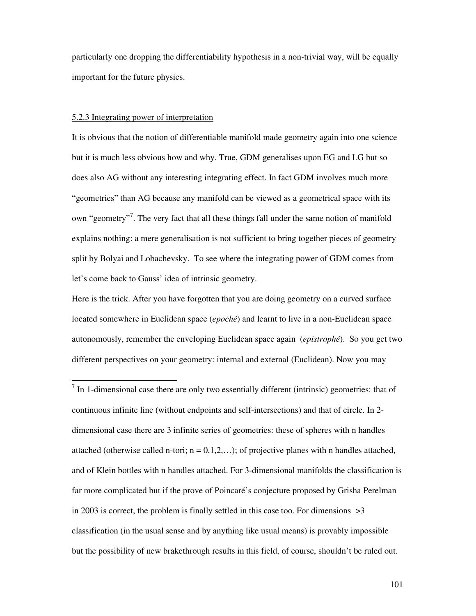particularly one dropping the differentiability hypothesis in a non-trivial way, will be equally important for the future physics.

## 5.2.3 Integrating power of interpretation

-

It is obvious that the notion of differentiable manifold made geometry again into one science but it is much less obvious how and why. True, GDM generalises upon EG and LG but so does also AG without any interesting integrating effect. In fact GDM involves much more "geometries" than AG because any manifold can be viewed as a geometrical space with its own "geometry"<sup>7</sup>. The very fact that all these things fall under the same notion of manifold explains nothing: a mere generalisation is not sufficient to bring together pieces of geometry split by Bolyai and Lobachevsky. To see where the integrating power of GDM comes from let's come back to Gauss' idea of intrinsic geometry.

Here is the trick. After you have forgotten that you are doing geometry on a curved surface located somewhere in Euclidean space (*epoché*) and learnt to live in a non-Euclidean space autonomously, remember the enveloping Euclidean space again (*epistrophé*). So you get two different perspectives on your geometry: internal and external (Euclidean). Now you may

 $<sup>7</sup>$  In 1-dimensional case there are only two essentially different (intrinsic) geometries: that of</sup> continuous infinite line (without endpoints and self-intersections) and that of circle. In 2 dimensional case there are 3 infinite series of geometries: these of spheres with n handles attached (otherwise called n-tori;  $n = 0, 1, 2, \ldots$ ); of projective planes with n handles attached, and of Klein bottles with n handles attached. For 3-dimensional manifolds the classification is far more complicated but if the prove of Poincaré's conjecture proposed by Grisha Perelman in 2003 is correct, the problem is finally settled in this case too. For dimensions  $>3$ classification (in the usual sense and by anything like usual means) is provably impossible but the possibility of new brakethrough results in this field, of course, shouldn't be ruled out.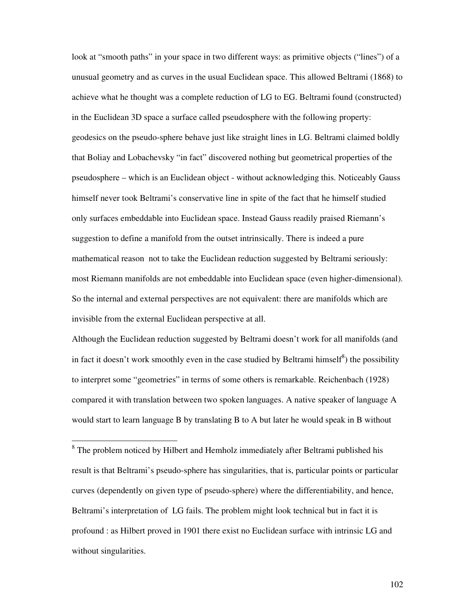look at "smooth paths" in your space in two different ways: as primitive objects ("lines") of a unusual geometry and as curves in the usual Euclidean space. This allowed Beltrami (1868) to achieve what he thought was a complete reduction of LG to EG. Beltrami found (constructed) in the Euclidean 3D space a surface called pseudosphere with the following property: geodesics on the pseudo-sphere behave just like straight lines in LG. Beltrami claimed boldly that Boliay and Lobachevsky "in fact" discovered nothing but geometrical properties of the pseudosphere – which is an Euclidean object - without acknowledging this. Noticeably Gauss himself never took Beltrami's conservative line in spite of the fact that he himself studied only surfaces embeddable into Euclidean space. Instead Gauss readily praised Riemann's suggestion to define a manifold from the outset intrinsically. There is indeed a pure mathematical reason not to take the Euclidean reduction suggested by Beltrami seriously: most Riemann manifolds are not embeddable into Euclidean space (even higher-dimensional). So the internal and external perspectives are not equivalent: there are manifolds which are invisible from the external Euclidean perspective at all.

Although the Euclidean reduction suggested by Beltrami doesn't work for all manifolds (and in fact it doesn't work smoothly even in the case studied by Beltrami himself<sup>8</sup>) the possibility to interpret some "geometries" in terms of some others is remarkable. Reichenbach (1928) compared it with translation between two spoken languages. A native speaker of language A would start to learn language B by translating B to A but later he would speak in B without

<sup>8</sup> The problem noticed by Hilbert and Hemholz immediately after Beltrami published his result is that Beltrami's pseudo-sphere has singularities, that is, particular points or particular curves (dependently on given type of pseudo-sphere) where the differentiability, and hence, Beltrami's interpretation of LG fails. The problem might look technical but in fact it is profound : as Hilbert proved in 1901 there exist no Euclidean surface with intrinsic LG and without singularities.

-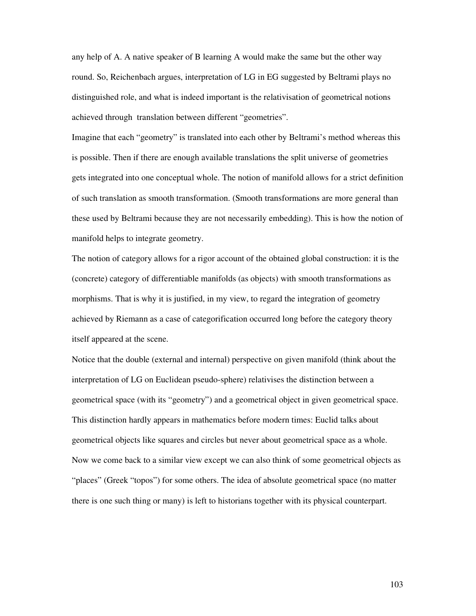any help of A. A native speaker of B learning A would make the same but the other way round. So, Reichenbach argues, interpretation of LG in EG suggested by Beltrami plays no distinguished role, and what is indeed important is the relativisation of geometrical notions achieved through translation between different "geometries".

Imagine that each "geometry" is translated into each other by Beltrami's method whereas this is possible. Then if there are enough available translations the split universe of geometries gets integrated into one conceptual whole. The notion of manifold allows for a strict definition of such translation as smooth transformation. (Smooth transformations are more general than these used by Beltrami because they are not necessarily embedding). This is how the notion of manifold helps to integrate geometry.

The notion of category allows for a rigor account of the obtained global construction: it is the (concrete) category of differentiable manifolds (as objects) with smooth transformations as morphisms. That is why it is justified, in my view, to regard the integration of geometry achieved by Riemann as a case of categorification occurred long before the category theory itself appeared at the scene.

Notice that the double (external and internal) perspective on given manifold (think about the interpretation of LG on Euclidean pseudo-sphere) relativises the distinction between a geometrical space (with its "geometry") and a geometrical object in given geometrical space. This distinction hardly appears in mathematics before modern times: Euclid talks about geometrical objects like squares and circles but never about geometrical space as a whole. Now we come back to a similar view except we can also think of some geometrical objects as "places" (Greek "topos") for some others. The idea of absolute geometrical space (no matter there is one such thing or many) is left to historians together with its physical counterpart.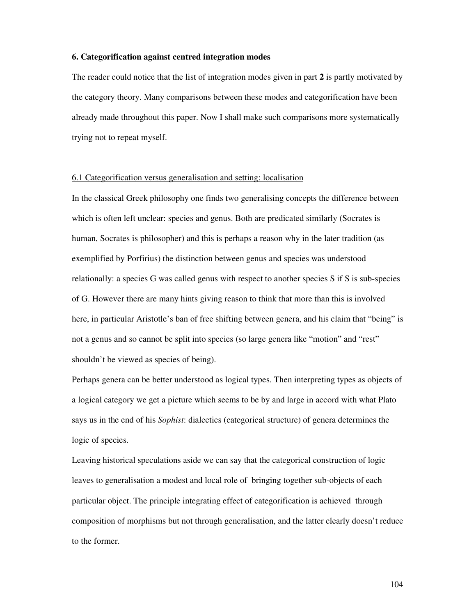## **6. Categorification against centred integration modes**

The reader could notice that the list of integration modes given in part **2** is partly motivated by the category theory. Many comparisons between these modes and categorification have been already made throughout this paper. Now I shall make such comparisons more systematically trying not to repeat myself.

## 6.1 Categorification versus generalisation and setting: localisation

In the classical Greek philosophy one finds two generalising concepts the difference between which is often left unclear: species and genus. Both are predicated similarly (Socrates is human, Socrates is philosopher) and this is perhaps a reason why in the later tradition (as exemplified by Porfirius) the distinction between genus and species was understood relationally: a species G was called genus with respect to another species S if S is sub-species of G. However there are many hints giving reason to think that more than this is involved here, in particular Aristotle's ban of free shifting between genera, and his claim that "being" is not a genus and so cannot be split into species (so large genera like "motion" and "rest" shouldn't be viewed as species of being).

Perhaps genera can be better understood as logical types. Then interpreting types as objects of a logical category we get a picture which seems to be by and large in accord with what Plato says us in the end of his *Sophist*: dialectics (categorical structure) of genera determines the logic of species.

Leaving historical speculations aside we can say that the categorical construction of logic leaves to generalisation a modest and local role of bringing together sub-objects of each particular object. The principle integrating effect of categorification is achieved through composition of morphisms but not through generalisation, and the latter clearly doesn't reduce to the former.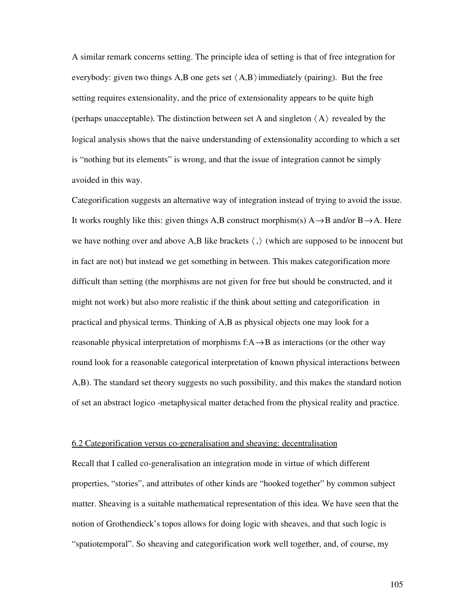A similar remark concerns setting. The principle idea of setting is that of free integration for everybody: given two things A,B one gets set  $\langle A, B \rangle$  immediately (pairing). But the free setting requires extensionality, and the price of extensionality appears to be quite high (perhaps unacceptable). The distinction between set A and singleton  $\langle A \rangle$  revealed by the logical analysis shows that the naive understanding of extensionality according to which a set is "nothing but its elements" is wrong, and that the issue of integration cannot be simply avoided in this way.

Categorification suggests an alternative way of integration instead of trying to avoid the issue. It works roughly like this: given things A,B construct morphism(s)  $A \rightarrow B$  and/or  $B \rightarrow A$ . Here we have nothing over and above A,B like brackets  $\langle , \rangle$  (which are supposed to be innocent but in fact are not) but instead we get something in between. This makes categorification more difficult than setting (the morphisms are not given for free but should be constructed, and it might not work) but also more realistic if the think about setting and categorification in practical and physical terms. Thinking of A,B as physical objects one may look for a reasonable physical interpretation of morphisms  $f: A \rightarrow B$  as interactions (or the other way round look for a reasonable categorical interpretation of known physical interactions between A,B). The standard set theory suggests no such possibility, and this makes the standard notion of set an abstract logico -metaphysical matter detached from the physical reality and practice.

### 6.2 Categorification versus co-generalisation and sheaving: decentralisation

Recall that I called co-generalisation an integration mode in virtue of which different properties, "stories", and attributes of other kinds are "hooked together" by common subject matter. Sheaving is a suitable mathematical representation of this idea. We have seen that the notion of Grothendieck's topos allows for doing logic with sheaves, and that such logic is "spatiotemporal". So sheaving and categorification work well together, and, of course, my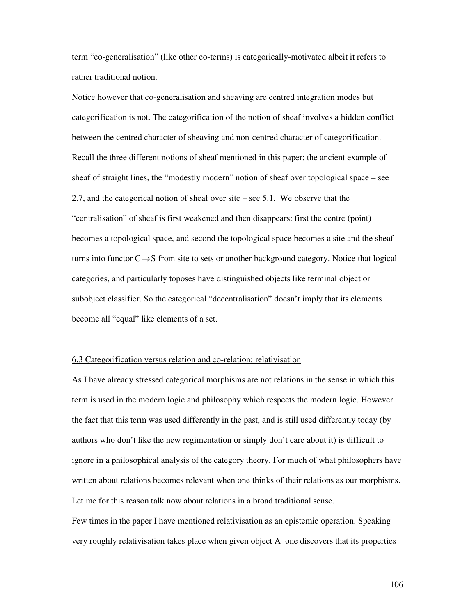term "co-generalisation" (like other co-terms) is categorically-motivated albeit it refers to rather traditional notion.

Notice however that co-generalisation and sheaving are centred integration modes but categorification is not. The categorification of the notion of sheaf involves a hidden conflict between the centred character of sheaving and non-centred character of categorification. Recall the three different notions of sheaf mentioned in this paper: the ancient example of sheaf of straight lines, the "modestly modern" notion of sheaf over topological space – see 2.7, and the categorical notion of sheaf over site – see 5.1. We observe that the "centralisation" of sheaf is first weakened and then disappears: first the centre (point) becomes a topological space, and second the topological space becomes a site and the sheaf turns into functor  $C \rightarrow S$  from site to sets or another background category. Notice that logical categories, and particularly toposes have distinguished objects like terminal object or subobject classifier. So the categorical "decentralisation" doesn't imply that its elements become all "equal" like elements of a set.

## 6.3 Categorification versus relation and co-relation: relativisation

As I have already stressed categorical morphisms are not relations in the sense in which this term is used in the modern logic and philosophy which respects the modern logic. However the fact that this term was used differently in the past, and is still used differently today (by authors who don't like the new regimentation or simply don't care about it) is difficult to ignore in a philosophical analysis of the category theory. For much of what philosophers have written about relations becomes relevant when one thinks of their relations as our morphisms. Let me for this reason talk now about relations in a broad traditional sense.

Few times in the paper I have mentioned relativisation as an epistemic operation. Speaking very roughly relativisation takes place when given object A one discovers that its properties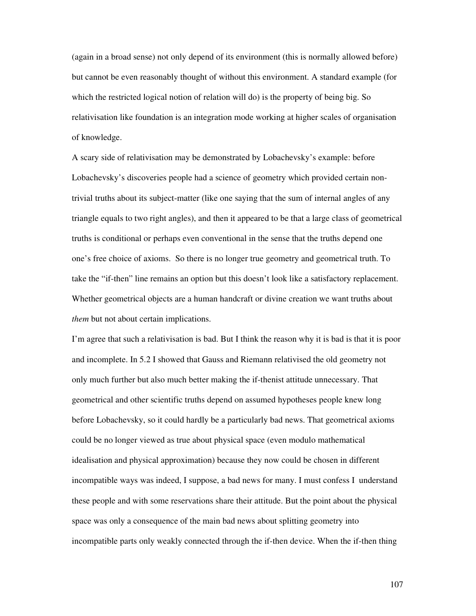(again in a broad sense) not only depend of its environment (this is normally allowed before) but cannot be even reasonably thought of without this environment. A standard example (for which the restricted logical notion of relation will do) is the property of being big. So relativisation like foundation is an integration mode working at higher scales of organisation of knowledge.

A scary side of relativisation may be demonstrated by Lobachevsky's example: before Lobachevsky's discoveries people had a science of geometry which provided certain nontrivial truths about its subject-matter (like one saying that the sum of internal angles of any triangle equals to two right angles), and then it appeared to be that a large class of geometrical truths is conditional or perhaps even conventional in the sense that the truths depend one one's free choice of axioms. So there is no longer true geometry and geometrical truth. To take the "if-then" line remains an option but this doesn't look like a satisfactory replacement. Whether geometrical objects are a human handcraft or divine creation we want truths about *them* but not about certain implications.

I'm agree that such a relativisation is bad. But I think the reason why it is bad is that it is poor and incomplete. In 5.2 I showed that Gauss and Riemann relativised the old geometry not only much further but also much better making the if-thenist attitude unnecessary. That geometrical and other scientific truths depend on assumed hypotheses people knew long before Lobachevsky, so it could hardly be a particularly bad news. That geometrical axioms could be no longer viewed as true about physical space (even modulo mathematical idealisation and physical approximation) because they now could be chosen in different incompatible ways was indeed, I suppose, a bad news for many. I must confess I understand these people and with some reservations share their attitude. But the point about the physical space was only a consequence of the main bad news about splitting geometry into incompatible parts only weakly connected through the if-then device. When the if-then thing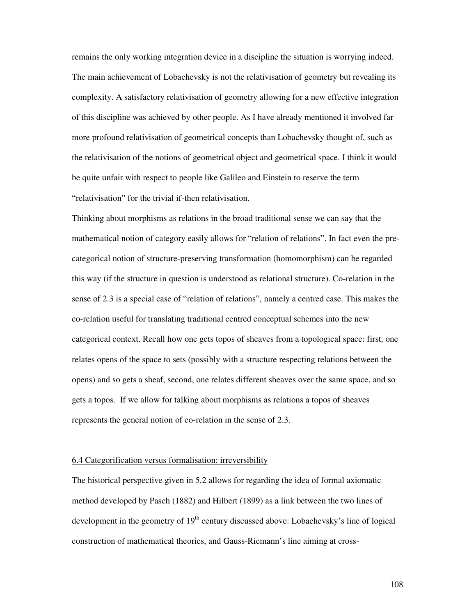remains the only working integration device in a discipline the situation is worrying indeed. The main achievement of Lobachevsky is not the relativisation of geometry but revealing its complexity. A satisfactory relativisation of geometry allowing for a new effective integration of this discipline was achieved by other people. As I have already mentioned it involved far more profound relativisation of geometrical concepts than Lobachevsky thought of, such as the relativisation of the notions of geometrical object and geometrical space. I think it would be quite unfair with respect to people like Galileo and Einstein to reserve the term "relativisation" for the trivial if-then relativisation.

Thinking about morphisms as relations in the broad traditional sense we can say that the mathematical notion of category easily allows for "relation of relations". In fact even the precategorical notion of structure-preserving transformation (homomorphism) can be regarded this way (if the structure in question is understood as relational structure). Co-relation in the sense of 2.3 is a special case of "relation of relations", namely a centred case. This makes the co-relation useful for translating traditional centred conceptual schemes into the new categorical context. Recall how one gets topos of sheaves from a topological space: first, one relates opens of the space to sets (possibly with a structure respecting relations between the opens) and so gets a sheaf, second, one relates different sheaves over the same space, and so gets a topos. If we allow for talking about morphisms as relations a topos of sheaves represents the general notion of co-relation in the sense of 2.3.

## 6.4 Categorification versus formalisation: irreversibility

The historical perspective given in 5.2 allows for regarding the idea of formal axiomatic method developed by Pasch (1882) and Hilbert (1899) as a link between the two lines of development in the geometry of  $19<sup>th</sup>$  century discussed above: Lobachevsky's line of logical construction of mathematical theories, and Gauss-Riemann's line aiming at cross-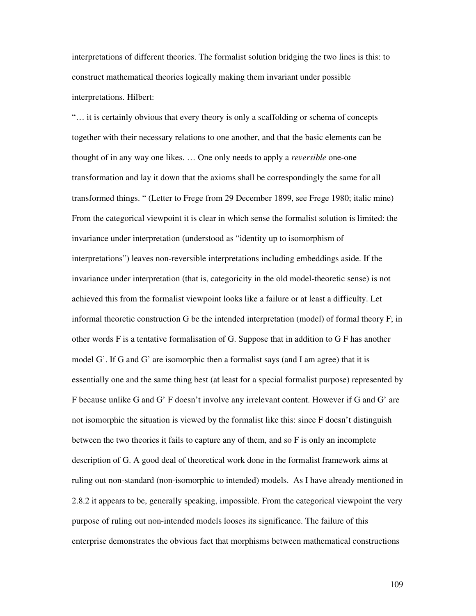interpretations of different theories. The formalist solution bridging the two lines is this: to construct mathematical theories logically making them invariant under possible interpretations. Hilbert:

"… it is certainly obvious that every theory is only a scaffolding or schema of concepts together with their necessary relations to one another, and that the basic elements can be thought of in any way one likes. … One only needs to apply a *reversible* one-one transformation and lay it down that the axioms shall be correspondingly the same for all transformed things. " (Letter to Frege from 29 December 1899, see Frege 1980; italic mine) From the categorical viewpoint it is clear in which sense the formalist solution is limited: the invariance under interpretation (understood as "identity up to isomorphism of interpretations") leaves non-reversible interpretations including embeddings aside. If the invariance under interpretation (that is, categoricity in the old model-theoretic sense) is not achieved this from the formalist viewpoint looks like a failure or at least a difficulty. Let informal theoretic construction G be the intended interpretation (model) of formal theory F; in other words F is a tentative formalisation of G. Suppose that in addition to G F has another model G'. If G and G' are isomorphic then a formalist says (and I am agree) that it is essentially one and the same thing best (at least for a special formalist purpose) represented by F because unlike G and G' F doesn't involve any irrelevant content. However if G and G' are not isomorphic the situation is viewed by the formalist like this: since F doesn't distinguish between the two theories it fails to capture any of them, and so F is only an incomplete description of G. A good deal of theoretical work done in the formalist framework aims at ruling out non-standard (non-isomorphic to intended) models. As I have already mentioned in 2.8.2 it appears to be, generally speaking, impossible. From the categorical viewpoint the very purpose of ruling out non-intended models looses its significance. The failure of this enterprise demonstrates the obvious fact that morphisms between mathematical constructions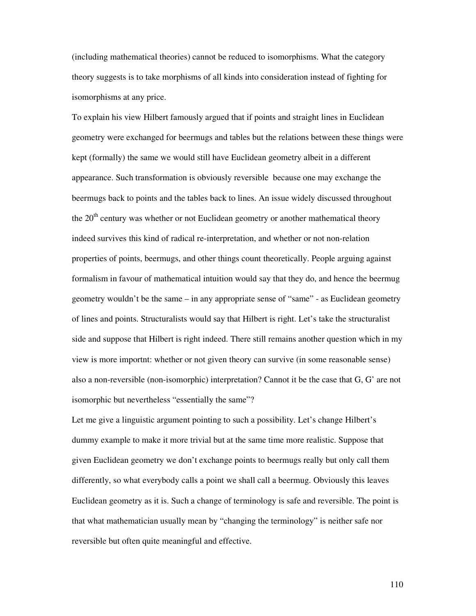(including mathematical theories) cannot be reduced to isomorphisms. What the category theory suggests is to take morphisms of all kinds into consideration instead of fighting for isomorphisms at any price.

To explain his view Hilbert famously argued that if points and straight lines in Euclidean geometry were exchanged for beermugs and tables but the relations between these things were kept (formally) the same we would still have Euclidean geometry albeit in a different appearance. Such transformation is obviously reversible because one may exchange the beermugs back to points and the tables back to lines. An issue widely discussed throughout the 20<sup>th</sup> century was whether or not Euclidean geometry or another mathematical theory indeed survives this kind of radical re-interpretation, and whether or not non-relation properties of points, beermugs, and other things count theoretically. People arguing against formalism in favour of mathematical intuition would say that they do, and hence the beermug geometry wouldn't be the same – in any appropriate sense of "same" - as Euclidean geometry of lines and points. Structuralists would say that Hilbert is right. Let's take the structuralist side and suppose that Hilbert is right indeed. There still remains another question which in my view is more importnt: whether or not given theory can survive (in some reasonable sense) also a non-reversible (non-isomorphic) interpretation? Cannot it be the case that G, G' are not isomorphic but nevertheless "essentially the same"?

Let me give a linguistic argument pointing to such a possibility. Let's change Hilbert's dummy example to make it more trivial but at the same time more realistic. Suppose that given Euclidean geometry we don't exchange points to beermugs really but only call them differently, so what everybody calls a point we shall call a beermug. Obviously this leaves Euclidean geometry as it is. Such a change of terminology is safe and reversible. The point is that what mathematician usually mean by "changing the terminology" is neither safe nor reversible but often quite meaningful and effective.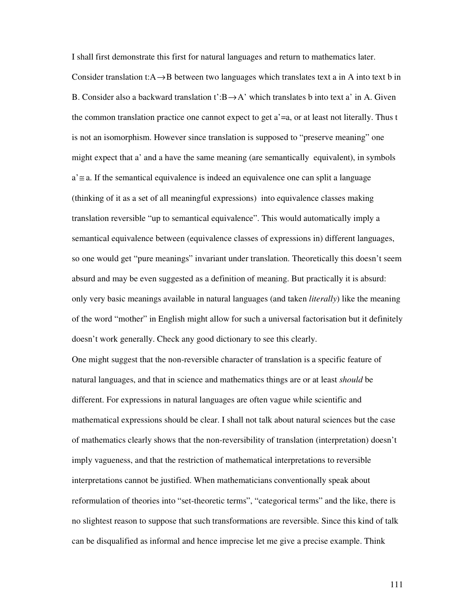I shall first demonstrate this first for natural languages and return to mathematics later. Consider translation t:A→B between two languages which translates text a in A into text b in B. Consider also a backward translation t':B  $\rightarrow$  A' which translates b into text a' in A. Given the common translation practice one cannot expect to get a'=a, or at least not literally. Thus t is not an isomorphism. However since translation is supposed to "preserve meaning" one might expect that a' and a have the same meaning (are semantically equivalent), in symbols a'≅ a. If the semantical equivalence is indeed an equivalence one can split a language (thinking of it as a set of all meaningful expressions) into equivalence classes making translation reversible "up to semantical equivalence". This would automatically imply a semantical equivalence between (equivalence classes of expressions in) different languages, so one would get "pure meanings" invariant under translation. Theoretically this doesn't seem absurd and may be even suggested as a definition of meaning. But practically it is absurd: only very basic meanings available in natural languages (and taken *literally*) like the meaning of the word "mother" in English might allow for such a universal factorisation but it definitely doesn't work generally. Check any good dictionary to see this clearly.

One might suggest that the non-reversible character of translation is a specific feature of natural languages, and that in science and mathematics things are or at least *should* be different. For expressions in natural languages are often vague while scientific and mathematical expressions should be clear. I shall not talk about natural sciences but the case of mathematics clearly shows that the non-reversibility of translation (interpretation) doesn't imply vagueness, and that the restriction of mathematical interpretations to reversible interpretations cannot be justified. When mathematicians conventionally speak about reformulation of theories into "set-theoretic terms", "categorical terms" and the like, there is no slightest reason to suppose that such transformations are reversible. Since this kind of talk can be disqualified as informal and hence imprecise let me give a precise example. Think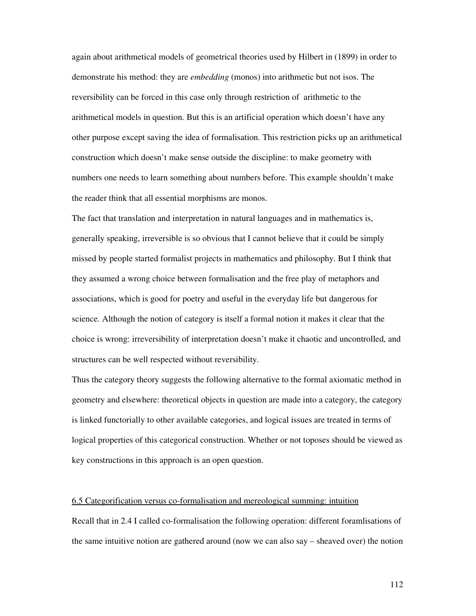again about arithmetical models of geometrical theories used by Hilbert in (1899) in order to demonstrate his method: they are *embedding* (monos) into arithmetic but not isos. The reversibility can be forced in this case only through restriction of arithmetic to the arithmetical models in question. But this is an artificial operation which doesn't have any other purpose except saving the idea of formalisation. This restriction picks up an arithmetical construction which doesn't make sense outside the discipline: to make geometry with numbers one needs to learn something about numbers before. This example shouldn't make the reader think that all essential morphisms are monos.

The fact that translation and interpretation in natural languages and in mathematics is, generally speaking, irreversible is so obvious that I cannot believe that it could be simply missed by people started formalist projects in mathematics and philosophy. But I think that they assumed a wrong choice between formalisation and the free play of metaphors and associations, which is good for poetry and useful in the everyday life but dangerous for science. Although the notion of category is itself a formal notion it makes it clear that the choice is wrong: irreversibility of interpretation doesn't make it chaotic and uncontrolled, and structures can be well respected without reversibility.

Thus the category theory suggests the following alternative to the formal axiomatic method in geometry and elsewhere: theoretical objects in question are made into a category, the category is linked functorially to other available categories, and logical issues are treated in terms of logical properties of this categorical construction. Whether or not toposes should be viewed as key constructions in this approach is an open question.

## 6.5 Categorification versus co-formalisation and mereological summing: intuition

Recall that in 2.4 I called co-formalisation the following operation: different foramlisations of the same intuitive notion are gathered around (now we can also say – sheaved over) the notion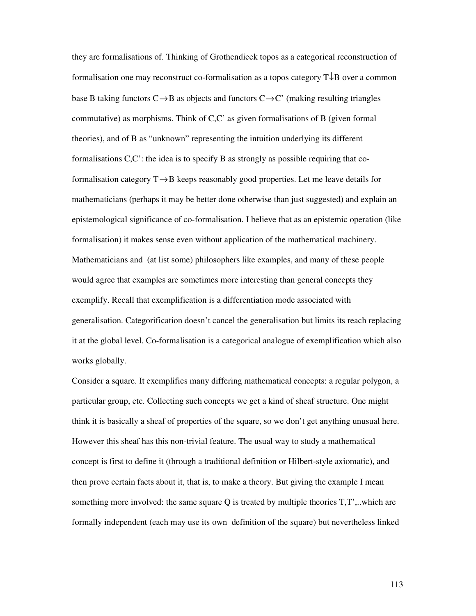they are formalisations of. Thinking of Grothendieck topos as a categorical reconstruction of formalisation one may reconstruct co-formalisation as a topos category T↓B over a common base B taking functors  $C \rightarrow B$  as objects and functors  $C \rightarrow C'$  (making resulting triangles commutative) as morphisms. Think of C,C' as given formalisations of B (given formal theories), and of B as "unknown" representing the intuition underlying its different formalisations C,C': the idea is to specify B as strongly as possible requiring that coformalisation category T→B keeps reasonably good properties. Let me leave details for mathematicians (perhaps it may be better done otherwise than just suggested) and explain an epistemological significance of co-formalisation. I believe that as an epistemic operation (like formalisation) it makes sense even without application of the mathematical machinery. Mathematicians and (at list some) philosophers like examples, and many of these people would agree that examples are sometimes more interesting than general concepts they exemplify. Recall that exemplification is a differentiation mode associated with generalisation. Categorification doesn't cancel the generalisation but limits its reach replacing it at the global level. Co-formalisation is a categorical analogue of exemplification which also works globally.

Consider a square. It exemplifies many differing mathematical concepts: a regular polygon, a particular group, etc. Collecting such concepts we get a kind of sheaf structure. One might think it is basically a sheaf of properties of the square, so we don't get anything unusual here. However this sheaf has this non-trivial feature. The usual way to study a mathematical concept is first to define it (through a traditional definition or Hilbert-style axiomatic), and then prove certain facts about it, that is, to make a theory. But giving the example I mean something more involved: the same square Q is treated by multiple theories T,T',..which are formally independent (each may use its own definition of the square) but nevertheless linked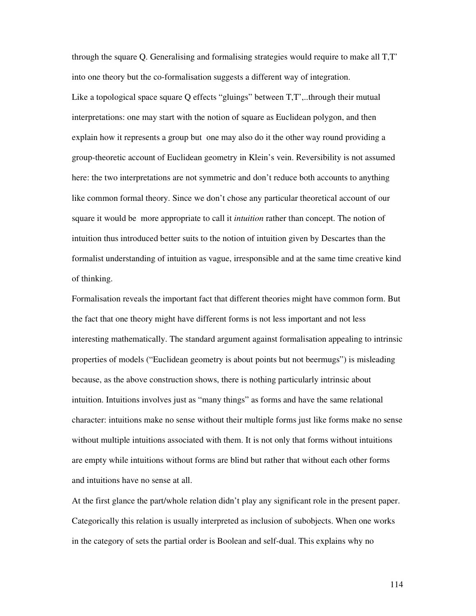through the square Q. Generalising and formalising strategies would require to make all T,T' into one theory but the co-formalisation suggests a different way of integration. Like a topological space square Q effects "gluings" between T,T',..through their mutual interpretations: one may start with the notion of square as Euclidean polygon, and then explain how it represents a group but one may also do it the other way round providing a group-theoretic account of Euclidean geometry in Klein's vein. Reversibility is not assumed here: the two interpretations are not symmetric and don't reduce both accounts to anything like common formal theory. Since we don't chose any particular theoretical account of our square it would be more appropriate to call it *intuition* rather than concept. The notion of intuition thus introduced better suits to the notion of intuition given by Descartes than the formalist understanding of intuition as vague, irresponsible and at the same time creative kind of thinking.

Formalisation reveals the important fact that different theories might have common form. But the fact that one theory might have different forms is not less important and not less interesting mathematically. The standard argument against formalisation appealing to intrinsic properties of models ("Euclidean geometry is about points but not beermugs") is misleading because, as the above construction shows, there is nothing particularly intrinsic about intuition. Intuitions involves just as "many things" as forms and have the same relational character: intuitions make no sense without their multiple forms just like forms make no sense without multiple intuitions associated with them. It is not only that forms without intuitions are empty while intuitions without forms are blind but rather that without each other forms and intuitions have no sense at all.

At the first glance the part/whole relation didn't play any significant role in the present paper. Categorically this relation is usually interpreted as inclusion of subobjects. When one works in the category of sets the partial order is Boolean and self-dual. This explains why no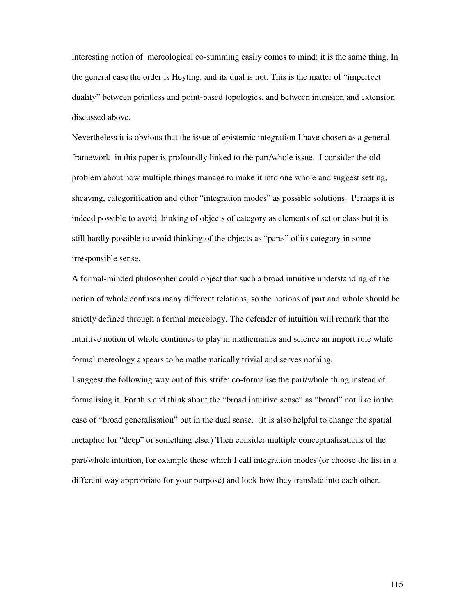interesting notion of mereological co-summing easily comes to mind: it is the same thing. In the general case the order is Heyting, and its dual is not. This is the matter of "imperfect duality" between pointless and point-based topologies, and between intension and extension discussed above.

Nevertheless it is obvious that the issue of epistemic integration I have chosen as a general framework in this paper is profoundly linked to the part/whole issue. I consider the old problem about how multiple things manage to make it into one whole and suggest setting, sheaving, categorification and other "integration modes" as possible solutions. Perhaps it is indeed possible to avoid thinking of objects of category as elements of set or class but it is still hardly possible to avoid thinking of the objects as "parts" of its category in some irresponsible sense.

A formal-minded philosopher could object that such a broad intuitive understanding of the notion of whole confuses many different relations, so the notions of part and whole should be strictly defined through a formal mereology. The defender of intuition will remark that the intuitive notion of whole continues to play in mathematics and science an import role while formal mereology appears to be mathematically trivial and serves nothing.

I suggest the following way out of this strife: co-formalise the part/whole thing instead of formalising it. For this end think about the "broad intuitive sense" as "broad" not like in the case of "broad generalisation" but in the dual sense. (It is also helpful to change the spatial metaphor for "deep" or something else.) Then consider multiple conceptualisations of the part/whole intuition, for example these which I call integration modes (or choose the list in a different way appropriate for your purpose) and look how they translate into each other.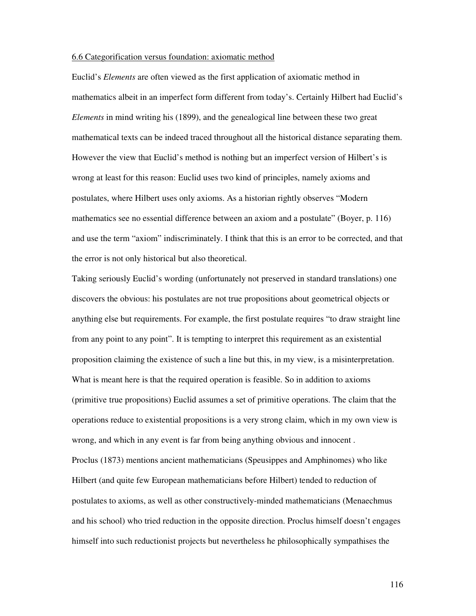## 6.6 Categorification versus foundation: axiomatic method

Euclid's *Elements* are often viewed as the first application of axiomatic method in mathematics albeit in an imperfect form different from today's. Certainly Hilbert had Euclid's *Elements* in mind writing his (1899), and the genealogical line between these two great mathematical texts can be indeed traced throughout all the historical distance separating them. However the view that Euclid's method is nothing but an imperfect version of Hilbert's is wrong at least for this reason: Euclid uses two kind of principles, namely axioms and postulates, where Hilbert uses only axioms. As a historian rightly observes "Modern mathematics see no essential difference between an axiom and a postulate" (Boyer, p. 116) and use the term "axiom" indiscriminately. I think that this is an error to be corrected, and that the error is not only historical but also theoretical.

Taking seriously Euclid's wording (unfortunately not preserved in standard translations) one discovers the obvious: his postulates are not true propositions about geometrical objects or anything else but requirements. For example, the first postulate requires "to draw straight line from any point to any point". It is tempting to interpret this requirement as an existential proposition claiming the existence of such a line but this, in my view, is a misinterpretation. What is meant here is that the required operation is feasible. So in addition to axioms (primitive true propositions) Euclid assumes a set of primitive operations. The claim that the operations reduce to existential propositions is a very strong claim, which in my own view is wrong, and which in any event is far from being anything obvious and innocent . Proclus (1873) mentions ancient mathematicians (Speusippes and Amphinomes) who like Hilbert (and quite few European mathematicians before Hilbert) tended to reduction of postulates to axioms, as well as other constructively-minded mathematicians (Menaechmus and his school) who tried reduction in the opposite direction. Proclus himself doesn't engages himself into such reductionist projects but nevertheless he philosophically sympathises the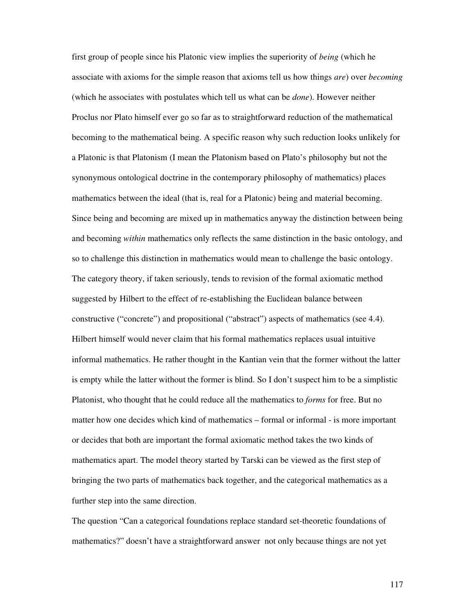first group of people since his Platonic view implies the superiority of *being* (which he associate with axioms for the simple reason that axioms tell us how things *are*) over *becoming* (which he associates with postulates which tell us what can be *done*). However neither Proclus nor Plato himself ever go so far as to straightforward reduction of the mathematical becoming to the mathematical being. A specific reason why such reduction looks unlikely for a Platonic is that Platonism (I mean the Platonism based on Plato's philosophy but not the synonymous ontological doctrine in the contemporary philosophy of mathematics) places mathematics between the ideal (that is, real for a Platonic) being and material becoming. Since being and becoming are mixed up in mathematics anyway the distinction between being and becoming *within* mathematics only reflects the same distinction in the basic ontology, and so to challenge this distinction in mathematics would mean to challenge the basic ontology. The category theory, if taken seriously, tends to revision of the formal axiomatic method suggested by Hilbert to the effect of re-establishing the Euclidean balance between constructive ("concrete") and propositional ("abstract") aspects of mathematics (see 4.4). Hilbert himself would never claim that his formal mathematics replaces usual intuitive informal mathematics. He rather thought in the Kantian vein that the former without the latter is empty while the latter without the former is blind. So I don't suspect him to be a simplistic Platonist, who thought that he could reduce all the mathematics to *forms* for free. But no matter how one decides which kind of mathematics – formal or informal - is more important or decides that both are important the formal axiomatic method takes the two kinds of mathematics apart. The model theory started by Tarski can be viewed as the first step of bringing the two parts of mathematics back together, and the categorical mathematics as a further step into the same direction.

The question "Can a categorical foundations replace standard set-theoretic foundations of mathematics?" doesn't have a straightforward answer not only because things are not yet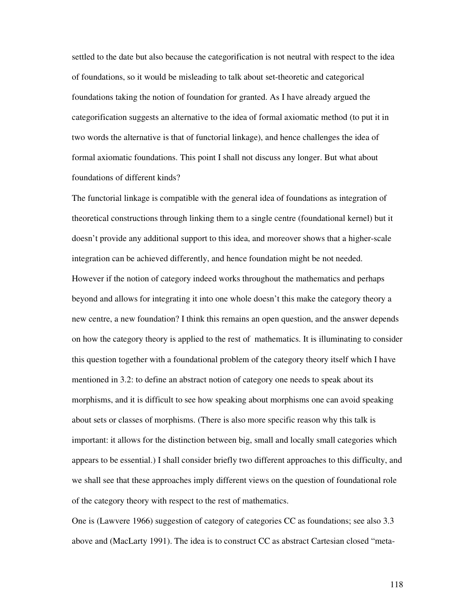settled to the date but also because the categorification is not neutral with respect to the idea of foundations, so it would be misleading to talk about set-theoretic and categorical foundations taking the notion of foundation for granted. As I have already argued the categorification suggests an alternative to the idea of formal axiomatic method (to put it in two words the alternative is that of functorial linkage), and hence challenges the idea of formal axiomatic foundations. This point I shall not discuss any longer. But what about foundations of different kinds?

The functorial linkage is compatible with the general idea of foundations as integration of theoretical constructions through linking them to a single centre (foundational kernel) but it doesn't provide any additional support to this idea, and moreover shows that a higher-scale integration can be achieved differently, and hence foundation might be not needed. However if the notion of category indeed works throughout the mathematics and perhaps beyond and allows for integrating it into one whole doesn't this make the category theory a new centre, a new foundation? I think this remains an open question, and the answer depends on how the category theory is applied to the rest of mathematics. It is illuminating to consider this question together with a foundational problem of the category theory itself which I have mentioned in 3.2: to define an abstract notion of category one needs to speak about its morphisms, and it is difficult to see how speaking about morphisms one can avoid speaking about sets or classes of morphisms. (There is also more specific reason why this talk is important: it allows for the distinction between big, small and locally small categories which appears to be essential.) I shall consider briefly two different approaches to this difficulty, and we shall see that these approaches imply different views on the question of foundational role of the category theory with respect to the rest of mathematics.

One is (Lawvere 1966) suggestion of category of categories CC as foundations; see also 3.3 above and (MacLarty 1991). The idea is to construct CC as abstract Cartesian closed "meta-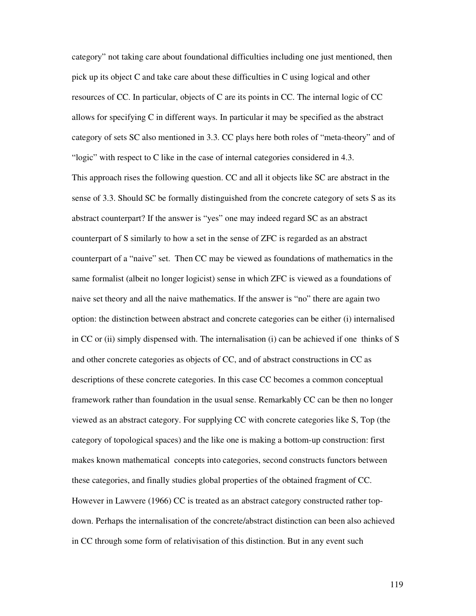category" not taking care about foundational difficulties including one just mentioned, then pick up its object C and take care about these difficulties in C using logical and other resources of CC. In particular, objects of C are its points in CC. The internal logic of CC allows for specifying C in different ways. In particular it may be specified as the abstract category of sets SC also mentioned in 3.3. CC plays here both roles of "meta-theory" and of "logic" with respect to C like in the case of internal categories considered in 4.3.

This approach rises the following question. CC and all it objects like SC are abstract in the sense of 3.3. Should SC be formally distinguished from the concrete category of sets S as its abstract counterpart? If the answer is "yes" one may indeed regard SC as an abstract counterpart of S similarly to how a set in the sense of ZFC is regarded as an abstract counterpart of a "naive" set. Then CC may be viewed as foundations of mathematics in the same formalist (albeit no longer logicist) sense in which ZFC is viewed as a foundations of naive set theory and all the naive mathematics. If the answer is "no" there are again two option: the distinction between abstract and concrete categories can be either (i) internalised in CC or (ii) simply dispensed with. The internalisation (i) can be achieved if one thinks of S and other concrete categories as objects of CC, and of abstract constructions in CC as descriptions of these concrete categories. In this case CC becomes a common conceptual framework rather than foundation in the usual sense. Remarkably CC can be then no longer viewed as an abstract category. For supplying CC with concrete categories like S, Top (the category of topological spaces) and the like one is making a bottom-up construction: first makes known mathematical concepts into categories, second constructs functors between these categories, and finally studies global properties of the obtained fragment of CC. However in Lawvere (1966) CC is treated as an abstract category constructed rather topdown. Perhaps the internalisation of the concrete/abstract distinction can been also achieved in CC through some form of relativisation of this distinction. But in any event such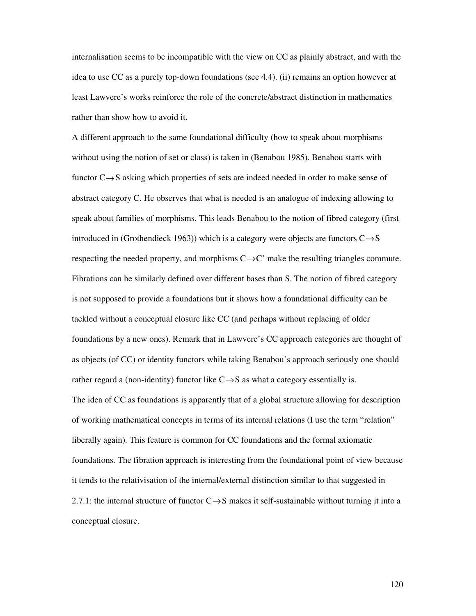internalisation seems to be incompatible with the view on CC as plainly abstract, and with the idea to use CC as a purely top-down foundations (see 4.4). (ii) remains an option however at least Lawvere's works reinforce the role of the concrete/abstract distinction in mathematics rather than show how to avoid it.

A different approach to the same foundational difficulty (how to speak about morphisms without using the notion of set or class) is taken in (Benabou 1985). Benabou starts with functor  $C \rightarrow S$  asking which properties of sets are indeed needed in order to make sense of abstract category C. He observes that what is needed is an analogue of indexing allowing to speak about families of morphisms. This leads Benabou to the notion of fibred category (first introduced in (Grothendieck 1963)) which is a category were objects are functors  $C \rightarrow S$ respecting the needed property, and morphisms  $C \rightarrow C'$  make the resulting triangles commute. Fibrations can be similarly defined over different bases than S. The notion of fibred category is not supposed to provide a foundations but it shows how a foundational difficulty can be tackled without a conceptual closure like CC (and perhaps without replacing of older foundations by a new ones). Remark that in Lawvere's CC approach categories are thought of as objects (of CC) or identity functors while taking Benabou's approach seriously one should rather regard a (non-identity) functor like  $C \rightarrow S$  as what a category essentially is. The idea of CC as foundations is apparently that of a global structure allowing for description of working mathematical concepts in terms of its internal relations (I use the term "relation" liberally again). This feature is common for CC foundations and the formal axiomatic foundations. The fibration approach is interesting from the foundational point of view because it tends to the relativisation of the internal/external distinction similar to that suggested in 2.7.1: the internal structure of functor  $C \rightarrow S$  makes it self-sustainable without turning it into a conceptual closure.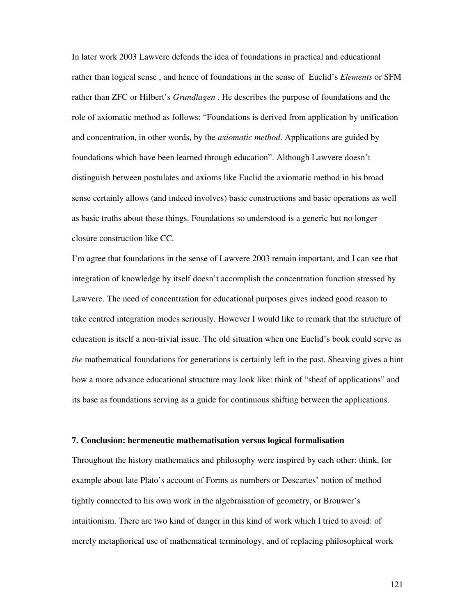In later work 2003 Lawvere defends the idea of foundations in practical and educational rather than logical sense , and hence of foundations in the sense of Euclid's *Elements* or SFM rather than ZFC or Hilbert's *Grundlagen* . He describes the purpose of foundations and the role of axiomatic method as follows: "Foundations is derived from application by unification and concentration, in other words, by the *axiomatic method*. Applications are guided by foundations which have been learned through education". Although Lawvere doesn't distinguish between postulates and axioms like Euclid the axiomatic method in his broad sense certainly allows (and indeed involves) basic constructions and basic operations as well as basic truths about these things. Foundations so understood is a generic but no longer closure construction like CC.

I'm agree that foundations in the sense of Lawvere 2003 remain important, and I can see that integration of knowledge by itself doesn't accomplish the concentration function stressed by Lawvere. The need of concentration for educational purposes gives indeed good reason to take centred integration modes seriously. However I would like to remark that the structure of education is itself a non-trivial issue. The old situation when one Euclid's book could serve as *the* mathematical foundations for generations is certainly left in the past. Sheaving gives a hint how a more advance educational structure may look like: think of "sheaf of applications" and its base as foundations serving as a guide for continuous shifting between the applications.

## **7. Conclusion: hermeneutic mathematisation versus logical formalisation**

Throughout the history mathematics and philosophy were inspired by each other: think, for example about late Plato's account of Forms as numbers or Descartes' notion of method tightly connected to his own work in the algebraisation of geometry, or Brouwer's intuitionism. There are two kind of danger in this kind of work which I tried to avoid: of merely metaphorical use of mathematical terminology, and of replacing philosophical work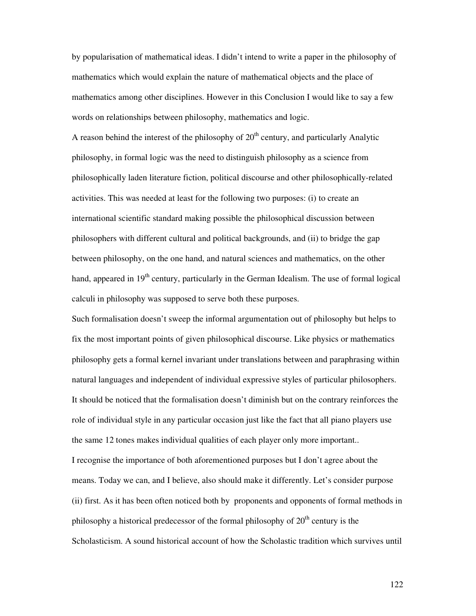by popularisation of mathematical ideas. I didn't intend to write a paper in the philosophy of mathematics which would explain the nature of mathematical objects and the place of mathematics among other disciplines. However in this Conclusion I would like to say a few words on relationships between philosophy, mathematics and logic.

A reason behind the interest of the philosophy of  $20<sup>th</sup>$  century, and particularly Analytic philosophy, in formal logic was the need to distinguish philosophy as a science from philosophically laden literature fiction, political discourse and other philosophically-related activities. This was needed at least for the following two purposes: (i) to create an international scientific standard making possible the philosophical discussion between philosophers with different cultural and political backgrounds, and (ii) to bridge the gap between philosophy, on the one hand, and natural sciences and mathematics, on the other hand, appeared in  $19<sup>th</sup>$  century, particularly in the German Idealism. The use of formal logical calculi in philosophy was supposed to serve both these purposes.

Such formalisation doesn't sweep the informal argumentation out of philosophy but helps to fix the most important points of given philosophical discourse. Like physics or mathematics philosophy gets a formal kernel invariant under translations between and paraphrasing within natural languages and independent of individual expressive styles of particular philosophers. It should be noticed that the formalisation doesn't diminish but on the contrary reinforces the role of individual style in any particular occasion just like the fact that all piano players use the same 12 tones makes individual qualities of each player only more important..

I recognise the importance of both aforementioned purposes but I don't agree about the means. Today we can, and I believe, also should make it differently. Let's consider purpose (ii) first. As it has been often noticed both by proponents and opponents of formal methods in philosophy a historical predecessor of the formal philosophy of  $20<sup>th</sup>$  century is the Scholasticism. A sound historical account of how the Scholastic tradition which survives until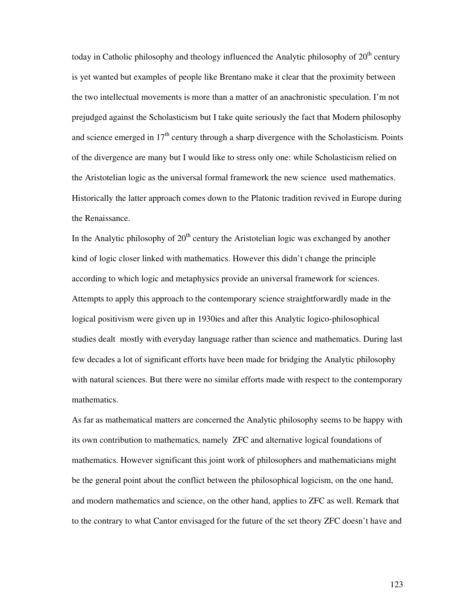today in Catholic philosophy and theology influenced the Analytic philosophy of  $20<sup>th</sup>$  century is yet wanted but examples of people like Brentano make it clear that the proximity between the two intellectual movements is more than a matter of an anachronistic speculation. I'm not prejudged against the Scholasticism but I take quite seriously the fact that Modern philosophy and science emerged in  $17<sup>th</sup>$  century through a sharp divergence with the Scholasticism. Points of the divergence are many but I would like to stress only one: while Scholasticism relied on the Aristotelian logic as the universal formal framework the new science used mathematics. Historically the latter approach comes down to the Platonic tradition revived in Europe during the Renaissance.

In the Analytic philosophy of  $20<sup>th</sup>$  century the Aristotelian logic was exchanged by another kind of logic closer linked with mathematics. However this didn't change the principle according to which logic and metaphysics provide an universal framework for sciences. Attempts to apply this approach to the contemporary science straightforwardly made in the logical positivism were given up in 1930ies and after this Analytic logico-philosophical studies dealt mostly with everyday language rather than science and mathematics. During last few decades a lot of significant efforts have been made for bridging the Analytic philosophy with natural sciences. But there were no similar efforts made with respect to the contemporary mathematics.

As far as mathematical matters are concerned the Analytic philosophy seems to be happy with its own contribution to mathematics, namely ZFC and alternative logical foundations of mathematics. However significant this joint work of philosophers and mathematicians might be the general point about the conflict between the philosophical logicism, on the one hand, and modern mathematics and science, on the other hand, applies to ZFC as well. Remark that to the contrary to what Cantor envisaged for the future of the set theory ZFC doesn't have and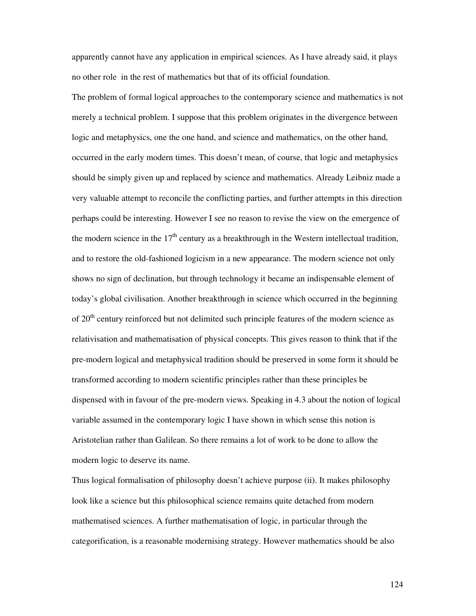apparently cannot have any application in empirical sciences. As I have already said, it plays no other role in the rest of mathematics but that of its official foundation.

The problem of formal logical approaches to the contemporary science and mathematics is not merely a technical problem. I suppose that this problem originates in the divergence between logic and metaphysics, one the one hand, and science and mathematics, on the other hand, occurred in the early modern times. This doesn't mean, of course, that logic and metaphysics should be simply given up and replaced by science and mathematics. Already Leibniz made a very valuable attempt to reconcile the conflicting parties, and further attempts in this direction perhaps could be interesting. However I see no reason to revise the view on the emergence of the modern science in the  $17<sup>th</sup>$  century as a breakthrough in the Western intellectual tradition, and to restore the old-fashioned logicism in a new appearance. The modern science not only shows no sign of declination, but through technology it became an indispensable element of today's global civilisation. Another breakthrough in science which occurred in the beginning of 20<sup>th</sup> century reinforced but not delimited such principle features of the modern science as relativisation and mathematisation of physical concepts. This gives reason to think that if the pre-modern logical and metaphysical tradition should be preserved in some form it should be transformed according to modern scientific principles rather than these principles be dispensed with in favour of the pre-modern views. Speaking in 4.3 about the notion of logical variable assumed in the contemporary logic I have shown in which sense this notion is Aristotelian rather than Galilean. So there remains a lot of work to be done to allow the modern logic to deserve its name.

Thus logical formalisation of philosophy doesn't achieve purpose (ii). It makes philosophy look like a science but this philosophical science remains quite detached from modern mathematised sciences. A further mathematisation of logic, in particular through the categorification, is a reasonable modernising strategy. However mathematics should be also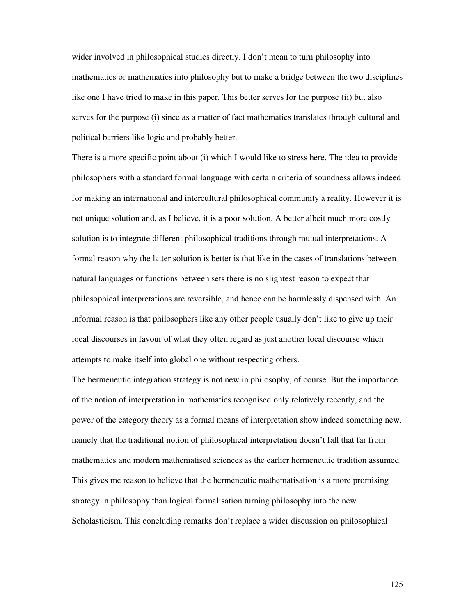wider involved in philosophical studies directly. I don't mean to turn philosophy into mathematics or mathematics into philosophy but to make a bridge between the two disciplines like one I have tried to make in this paper. This better serves for the purpose (ii) but also serves for the purpose (i) since as a matter of fact mathematics translates through cultural and political barriers like logic and probably better.

There is a more specific point about (i) which I would like to stress here. The idea to provide philosophers with a standard formal language with certain criteria of soundness allows indeed for making an international and intercultural philosophical community a reality. However it is not unique solution and, as I believe, it is a poor solution. A better albeit much more costly solution is to integrate different philosophical traditions through mutual interpretations. A formal reason why the latter solution is better is that like in the cases of translations between natural languages or functions between sets there is no slightest reason to expect that philosophical interpretations are reversible, and hence can be harmlessly dispensed with. An informal reason is that philosophers like any other people usually don't like to give up their local discourses in favour of what they often regard as just another local discourse which attempts to make itself into global one without respecting others.

The hermeneutic integration strategy is not new in philosophy, of course. But the importance of the notion of interpretation in mathematics recognised only relatively recently, and the power of the category theory as a formal means of interpretation show indeed something new, namely that the traditional notion of philosophical interpretation doesn't fall that far from mathematics and modern mathematised sciences as the earlier hermeneutic tradition assumed. This gives me reason to believe that the hermeneutic mathematisation is a more promising strategy in philosophy than logical formalisation turning philosophy into the new Scholasticism. This concluding remarks don't replace a wider discussion on philosophical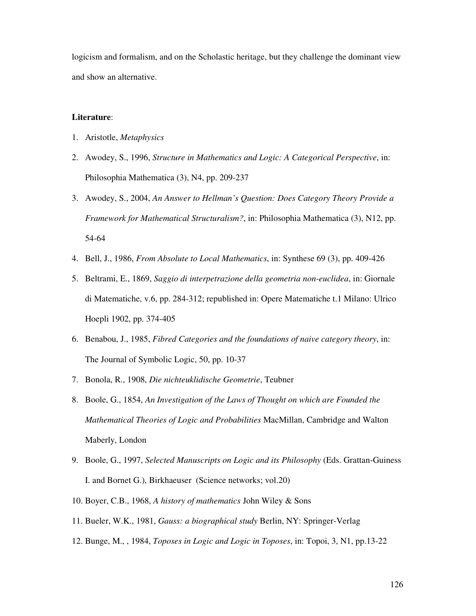logicism and formalism, and on the Scholastic heritage, but they challenge the dominant view and show an alternative.

## **Literature**:

- 1. Aristotle, *Metaphysics*
- 2. Awodey, S., 1996, *Structure in Mathematics and Logic: A Categorical Perspective*, in: Philosophia Mathematica (3), N4, pp. 209-237
- 3. Awodey, S., 2004, *An Answer to Hellman's Question: Does Category Theory Provide a Framework for Mathematical Structuralism?*, in: Philosophia Mathematica (3), N12, pp. 54-64
- 4. Bell, J., 1986, *From Absolute to Local Mathematics*, in: Synthese 69 (3), pp. 409-426
- 5. Beltrami, E., 1869, *Saggio di interpetrazione della geometria non-euclidea*, in: Giornale di Matematiche, v.6, pp. 284-312; republished in: Opere Matematiche t.1 Milano: Ulrico Hoepli 1902, pp. 374-405
- 6. Benabou, J., 1985, *Fibred Categories and the foundations of naive category theory*, in: The Journal of Symbolic Logic, 50, pp. 10-37
- 7. Bonola, R., 1908, *Die nichteuklidische Geometrie*, Teubner
- 8. Boole, G., 1854, *An Investigation of the Laws of Thought on which are Founded the Mathematical Theories of Logic and Probabilities* MacMillan, Cambridge and Walton Maberly, London
- 9. Boole, G., 1997, *Selected Manuscripts on Logic and its Philosophy* (Eds. Grattan-Guiness I. and Bornet G.), Birkhaeuser (Science networks; vol.20)
- 10. Boyer, C.B., 1968, *A history of mathematics* John Wiley & Sons
- 11. Bueler, W.K., 1981, *Gauss: a biographical study* Berlin, NY: Springer-Verlag
- 12. Bunge, M., , 1984, *Toposes in Logic and Logic in Toposes*, in: Topoi, 3, N1, pp.13-22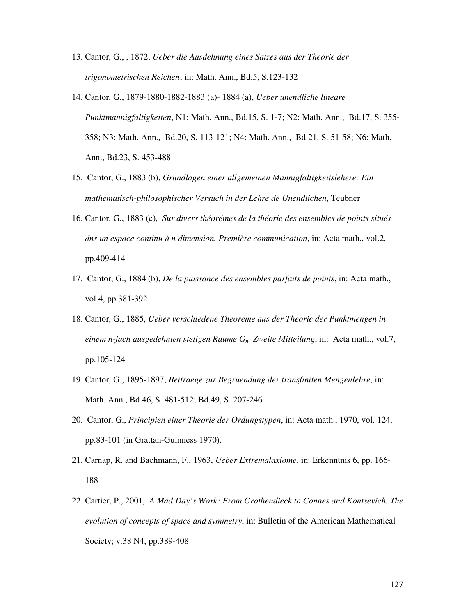- 13. Cantor, G., , 1872, *Ueber die Ausdehnung eines Satzes aus der Theorie der trigonometrischen Reichen*; in: Math. Ann., Bd.5, S.123-132
- 14. Cantor, G., 1879-1880-1882-1883 (a)- 1884 (a), *Ueber unendliche lineare Punktmannigfaltigkeiten*, N1: Math. Ann., Bd.15, S. 1-7; N2: Math. Ann., Bd.17, S. 355- 358; N3: Math. Ann., Bd.20, S. 113-121; N4: Math. Ann., Bd.21, S. 51-58; N6: Math. Ann., Bd.23, S. 453-488
- 15. Cantor, G., 1883 (b), *Grundlagen einer allgemeinen Mannigfaltigkeitslehere: Ein mathematisch-philosophischer Versuch in der Lehre de Unendlichen*, Teubner
- 16. Cantor, G., 1883 (c), *Sur divers théorémes de la théorie des ensembles de points situés dns un espace continu à n dimension. Première communication*, in: Acta math., vol.2, pp.409-414
- 17. Cantor, G., 1884 (b), *De la puissance des ensembles parfaits de points*, in: Acta math., vol.4, pp.381-392
- 18. Cantor, G., 1885, *Ueber verschiedene Theoreme aus der Theorie der Punktmengen in einem n-fach ausgedehnten stetigen Raume Gn. Zweite Mitteilung*, in: Acta math., vol.7, pp.105-124
- 19. Cantor, G., 1895-1897, *Beitraege zur Begruendung der transfiniten Mengenlehre*, in: Math. Ann., Bd.46, S. 481-512; Bd.49, S. 207-246
- 20. Cantor, G., *Principien einer Theorie der Ordungstypen*, in: Acta math., 1970, vol. 124, pp.83-101 (in Grattan-Guinness 1970).
- 21. Carnap, R. and Bachmann, F., 1963, *Ueber Extremalaxiome*, in: Erkenntnis 6, pp. 166- 188
- 22. Cartier, P., 2001, *A Mad Day's Work: From Grothendieck to Connes and Kontsevich. The evolution of concepts of space and symmetry*, in: Bulletin of the American Mathematical Society; v.38 N4, pp.389-408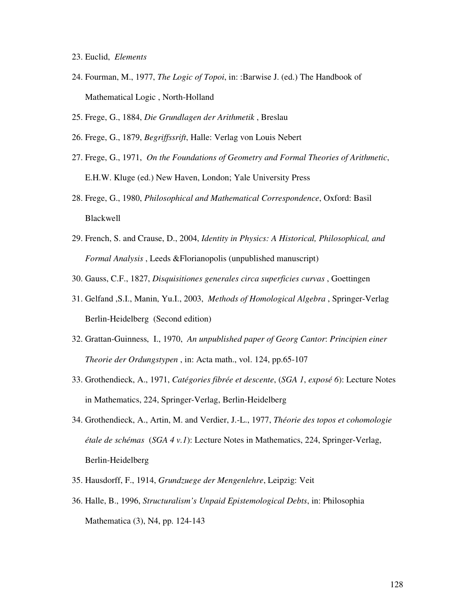- 23. Euclid, *Elements*
- 24. Fourman, M., 1977, *The Logic of Topoi*, in: :Barwise J. (ed.) The Handbook of Mathematical Logic , North-Holland
- 25. Frege, G., 1884, *Die Grundlagen der Arithmetik* , Breslau
- 26. Frege, G., 1879, *Begriffssrift*, Halle: Verlag von Louis Nebert
- 27. Frege, G., 1971, *On the Foundations of Geometry and Formal Theories of Arithmetic*, E.H.W. Kluge (ed.) New Haven, London; Yale University Press
- 28. Frege, G., 1980, *Philosophical and Mathematical Correspondence*, Oxford: Basil Blackwell
- 29. French, S. and Crause, D., 2004, *Identity in Physics: A Historical, Philosophical, and Formal Analysis* , Leeds &Florianopolis (unpublished manuscript)
- 30. Gauss, C.F., 1827, *Disquisitiones generales circa superficies curvas* , Goettingen
- 31. Gelfand ,S.I., Manin, Yu.I., 2003, *Methods of Homological Algebra* , Springer-Verlag Berlin-Heidelberg (Second edition)
- 32. Grattan-Guinness, I., 1970, *An unpublished paper of Georg Cantor*: *Principien einer Theorie der Ordungstypen* , in: Acta math., vol. 124, pp.65-107
- 33. Grothendieck, A., 1971, *Catégories fibrée et descente*, (*SGA 1*, *exposé 6*): Lecture Notes in Mathematics, 224, Springer-Verlag, Berlin-Heidelberg
- 34. Grothendieck, A., Artin, M. and Verdier, J.-L., 1977, *Théorie des topos et cohomologie étale de schémas* (*SGA 4 v.1*): Lecture Notes in Mathematics, 224, Springer-Verlag, Berlin-Heidelberg
- 35. Hausdorff, F., 1914, *Grundzuege der Mengenlehre*, Leipzig: Veit
- 36. Halle, B., 1996, *Structuralism's Unpaid Epistemological Debts*, in: Philosophia Mathematica (3), N4, pp. 124-143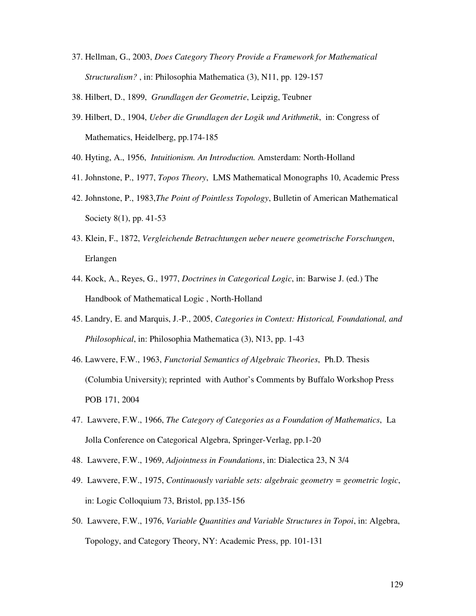- 37. Hellman, G., 2003, *Does Category Theory Provide a Framework for Mathematical Structuralism?* , in: Philosophia Mathematica (3), N11, pp. 129-157
- 38. Hilbert, D., 1899, *Grundlagen der Geometrie*, Leipzig, Teubner
- 39. Hilbert, D., 1904, *Ueber die Grundlagen der Logik und Arithmetik*,in: Congress of Mathematics, Heidelberg, pp.174-185
- 40. Hyting, A., 1956, *Intuitionism. An Introduction.* Amsterdam: North-Holland
- 41. Johnstone, P., 1977, *Topos Theory*, LMS Mathematical Monographs 10, Academic Press
- 42. Johnstone, P., 1983,*The Point of Pointless Topology*, Bulletin of American Mathematical Society 8(1), pp. 41-53
- 43. Klein, F., 1872, *Vergleichende Betrachtungen ueber neuere geometrische Forschungen*, Erlangen
- 44. Kock, A., Reyes, G., 1977, *Doctrines in Categorical Logic*, in: Barwise J. (ed.) The Handbook of Mathematical Logic , North-Holland
- 45. Landry, E. and Marquis, J.-P., 2005, *Categories in Context: Historical, Foundational, and Philosophical*, in: Philosophia Mathematica (3), N13, pp. 1-43
- 46. Lawvere, F.W., 1963, *Functorial Semantics of Algebraic Theories*, Ph.D. Thesis (Columbia University); reprinted with Author's Comments by Buffalo Workshop Press POB 171, 2004
- 47. Lawvere, F.W., 1966, *The Category of Categories as a Foundation of Mathematics*, La Jolla Conference on Categorical Algebra, Springer-Verlag, pp.1-20
- 48. Lawvere, F.W., 1969, *Adjointness in Foundations*, in: Dialectica 23, N 3/4
- 49. Lawvere, F.W., 1975, *Continuously variable sets: algebraic geometry = geometric logic*, in: Logic Colloquium 73, Bristol, pp.135-156
- 50. Lawvere, F.W., 1976, *Variable Quantities and Variable Structures in Topoi*, in: Algebra, Topology, and Category Theory, NY: Academic Press, pp. 101-131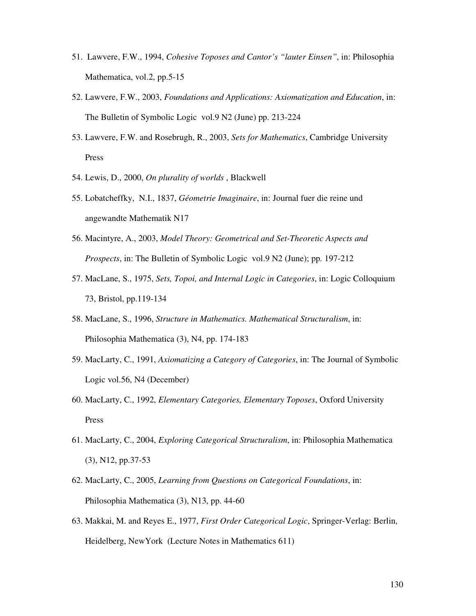- 51. Lawvere, F.W., 1994, *Cohesive Toposes and Cantor's "lauter Einsen"*, in: Philosophia Mathematica, vol.2, pp.5-15
- 52. Lawvere, F.W., 2003, *Foundations and Applications: Axiomatization and Education*, in: The Bulletin of Symbolic Logic vol.9 N2 (June) pp. 213-224
- 53. Lawvere, F.W. and Rosebrugh, R., 2003, *Sets for Mathematics*, Cambridge University Press
- 54. Lewis, D., 2000, *On plurality of worlds* , Blackwell
- 55. Lobatcheffky, N.I., 1837, *Géometrie Imaginaire*, in: Journal fuer die reine und angewandte Mathematik N17
- 56. Macintyre, A., 2003, *Model Theory: Geometrical and Set-Theoretic Aspects and Prospects*, in: The Bulletin of Symbolic Logic vol.9 N2 (June); pp. 197-212
- 57. MacLane, S., 1975, *Sets, Topoi, and Internal Logic in Categories*, in: Logic Colloquium 73, Bristol, pp.119-134
- 58. MacLane, S., 1996, *Structure in Mathematics. Mathematical Structuralism*, in: Philosophia Mathematica (3), N4, pp. 174-183
- 59. MacLarty, C., 1991, *Axiomatizing a Category of Categories*, in: The Journal of Symbolic Logic vol.56, N4 (December)
- 60. MacLarty, C., 1992, *Elementary Categories, Elementary Toposes*, Oxford University Press
- 61. MacLarty, C., 2004, *Exploring Categorical Structuralism*, in: Philosophia Mathematica (3), N12, pp.37-53
- 62. MacLarty, C., 2005, *Learning from Questions on Categorical Foundations*, in: Philosophia Mathematica (3), N13, pp. 44-60
- 63. Makkai, M. and Reyes E., 1977, *First Order Categorical Logic*, Springer-Verlag: Berlin, Heidelberg, NewYork (Lecture Notes in Mathematics 611)